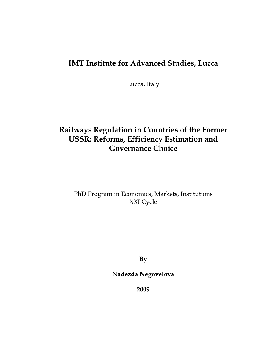## IMT Institute for Advanced Studies, Lucca

Lucca, Italy

# Railways Regulation in Countries of the Former USSR: Reforms, Efficiency Estimation and Governance Choice

## PhD Program in Economics, Markets, Institutions XXI Cycle

By

Nadezda Negovelova

2009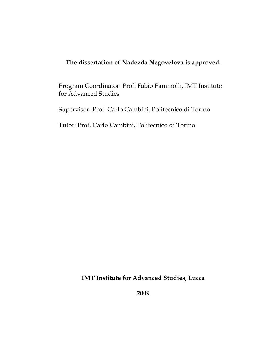### The dissertation of Nadezda Negovelova is approved.

Program Coordinator: Prof. Fabio Pammolli, IMT Institute for Advanced Studies

Supervisor: Prof. Carlo Cambini, Politecnico di Torino

Tutor: Prof. Carlo Cambini, Politecnico di Torino

IMT Institute for Advanced Studies, Lucca

2009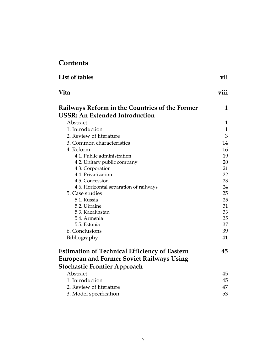## **Contents**

| <b>List of tables</b>                                                                          | vii          |
|------------------------------------------------------------------------------------------------|--------------|
| <b>Vita</b>                                                                                    | viii         |
| <b>Railways Reform in the Countries of the Former</b><br><b>USSR: An Extended Introduction</b> | 1            |
| Abstract                                                                                       | $\mathbf{1}$ |
| 1. Introduction                                                                                | $\mathbf{1}$ |
| 2. Review of literature                                                                        | 3            |
| 3. Common characteristics                                                                      | 14           |
| 4. Reform                                                                                      | 16           |
| 4.1. Public administration                                                                     | 19           |
| 4.2. Unitary public company                                                                    | 20           |
| 4.3. Corporation                                                                               | 21           |
| 4.4. Privatization                                                                             | 22           |
| 4.5. Concession                                                                                | 23           |
| 4.6. Horizontal separation of railways                                                         | 24           |
| 5. Case studies                                                                                | 25           |
| 5.1. Russia                                                                                    | 25           |
| 5.2. Ukraine                                                                                   | 31           |
| 5.3. Kazakhstan                                                                                | 33           |
| 5.4. Armenia                                                                                   | 35           |
| 5.5. Estonia                                                                                   | 37           |
| 6. Conclusions                                                                                 | 39           |
| Bibliography                                                                                   | 41           |
| <b>Estimation of Technical Efficiency of Eastern</b>                                           | 45           |
| <b>European and Former Soviet Railways Using</b>                                               |              |
| <b>Stochastic Frontier Approach</b>                                                            |              |
| Abstract                                                                                       | 45           |
| 1. Introduction                                                                                | 45           |
| 2. Review of literature                                                                        | 47           |
| 3. Model specification                                                                         | 53           |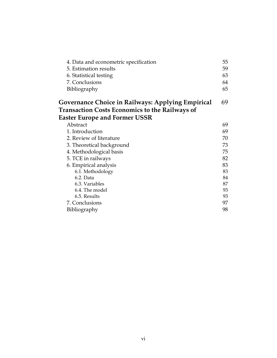| 4. Data and econometric specification<br>5. Estimation results<br>6. Statistical testing<br>7. Conclusions<br>Bibliography | 55<br>59<br>63<br>64<br>65 |
|----------------------------------------------------------------------------------------------------------------------------|----------------------------|
| Governance Choice in Railways: Applying Empirical<br><b>Transaction Costs Economics to the Railways of</b>                 | 69                         |
| <b>Easter Europe and Former USSR</b><br>Abstract                                                                           | 69                         |
| 1. Introduction                                                                                                            | 69                         |
| 2. Review of literature                                                                                                    | 70                         |
| 3. Theoretical background                                                                                                  | 73                         |
| 4. Methodological basis                                                                                                    | 75                         |
| 5. TCE in railways                                                                                                         | 82                         |
| 6. Empirical analysis                                                                                                      | 83                         |
| 6.1. Methodology                                                                                                           | 83                         |
| $6.2.$ Data                                                                                                                | 84                         |
| 6.3. Variables                                                                                                             | 87                         |
| 6.4. The model                                                                                                             | 93                         |
| 6.5. Results                                                                                                               | 93                         |
| 7. Conclusions                                                                                                             | 97                         |
| Bibliography                                                                                                               | 98                         |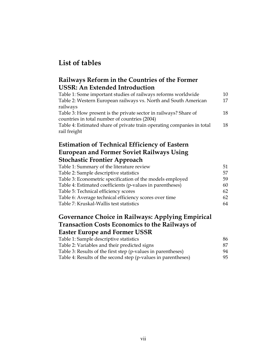## List of tables

### Railways Reform in the Countries of the Former USSR: An Extended Introduction

| Table 1: Some important studies of railways reforms worldwide          | 10 |
|------------------------------------------------------------------------|----|
| Table 2: Western European railways vs. North and South American        | 17 |
| railways                                                               |    |
| Table 3: How present is the private sector in railways? Share of       | 18 |
| countries in total number of countries (2004)                          |    |
| Table 4: Estimated share of private train operating companies in total | 18 |
| rail freight                                                           |    |

### Estimation of Technical Efficiency of Eastern European and Former Soviet Railways Using Stochastic Frontier Approach

| Table 1: Summary of the literature review                 | 51  |
|-----------------------------------------------------------|-----|
| Table 2: Sample descriptive statistics                    | 57  |
| Table 3: Econometric specification of the models employed | 59. |
| Table 4: Estimated coefficients (p-values in parentheses) | 60  |
| Table 5: Technical efficiency scores                      | 62  |
| Table 6: Average technical efficiency scores over time    | 62  |
| Table 7: Kruskal-Wallis test statistics                   | 64  |
|                                                           |     |

### Governance Choice in Railways: Applying Empirical Transaction Costs Economics to the Railways of Easter Europe and Former USSR

| Table 1: Sample descriptive statistics                        | 86. |
|---------------------------------------------------------------|-----|
| Table 2: Variables and their predicted signs                  | 87  |
| Table 3: Results of the first step (p-values in parentheses)  | 94  |
| Table 4: Results of the second step (p-values in parentheses) | 95. |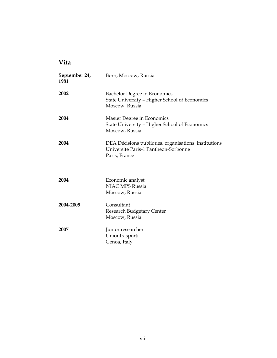## Vita

| September 24,<br>1981 | Born, Moscow, Russia                                                                                          |
|-----------------------|---------------------------------------------------------------------------------------------------------------|
| 2002                  | <b>Bachelor Degree in Economics</b><br>State University - Higher School of Economics<br>Moscow, Russia        |
| 2004                  | Master Degree in Economics<br>State University - Higher School of Economics<br>Moscow, Russia                 |
| 2004                  | DEA Décisions publiques, organisations, institutions<br>Université Paris-1 Panthéon-Sorbonne<br>Paris, France |
| 2004                  | Economic analyst<br><b>NIAC MPS Russia</b><br>Moscow, Russia                                                  |
| 2004-2005             | Consultant<br><b>Research Budgetary Center</b><br>Moscow, Russia                                              |
| 2007                  | Junior researcher<br>Uniontrasporti<br>Genoa, Italy                                                           |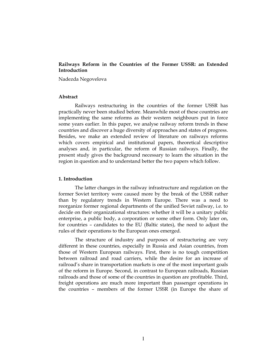#### Railways Reform in the Countries of the Former USSR: an Extended Introduction

Nadezda Negovelova

#### Abstract

Railways restructuring in the countries of the former USSR has practically never been studied before. Meanwhile most of these countries are implementing the same reforms as their western neighbours put in force some years earlier. In this paper, we analyse railway reform trends in these countries and discover a huge diversity of approaches and states of progress. Besides, we make an extended review of literature on railways reforms which covers empirical and institutional papers, theoretical descriptive analyses and, in particular, the reform of Russian railways. Finally, the present study gives the background necessary to learn the situation in the region in question and to understand better the two papers which follow.

#### 1. Introduction

The latter changes in the railway infrastructure and regulation on the former Soviet territory were caused more by the break of the USSR rather than by regulatory trends in Western Europe. There was a need to reorganize former regional departments of the unified Soviet railway, i.e. to decide on their organizational structures: whether it will be a unitary public enterprise, a public body, a corporation or some other form. Only later on, for countries – candidates to the EU (Baltic states), the need to adjust the rules of their operations to the European ones emerged.

The structure of industry and purposes of restructuring are very different in these countries, especially in Russia and Asian countries, from those of Western European railways. First, there is no tough competition between railroad and road carriers, while the desire for an increase of railroad's share in transportation markets is one of the most important goals of the reform in Europe. Second, in contrast to European railroads, Russian railroads and those of some of the countries in question are profitable. Third, freight operations are much more important than passenger operations in the countries – members of the former USSR (in Europe the share of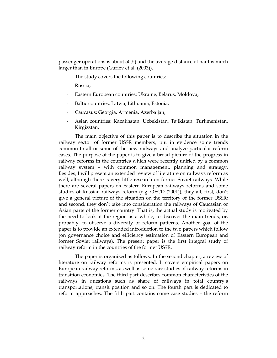passenger operations is about 50%) and the average distance of haul is much larger than in Europe (Guriev et al. (2003)).

The study covers the following countries:

- Russia:
- Eastern European countries: Ukraine, Belarus, Moldova;
- Baltic countries: Latvia, Lithuania, Estonia;
- Caucasus: Georgia, Armenia, Azerbaijan;
- Asian countries: Kazakhstan, Uzbekistan, Tajikistan, Turkmenistan, Kirgizstan.

The main objective of this paper is to describe the situation in the railway sector of former USSR members, put in evidence some trends common to all or some of the new railways and analyze particular reform cases. The purpose of the paper is to give a broad picture of the progress in railway reforms in the countries which were recently unified by a common railway system – with common management, planning and strategy. Besides, I will present an extended review of literature on railways reform as well, although there is very little research on former Soviet railways. While there are several papers on Eastern European railways reforms and some studies of Russian railways reform (e.g. OECD (2001)), they all, first, don't give a general picture of the situation on the territory of the former USSR; and second, they don't take into consideration the railways of Caucasian or Asian parts of the former country. That is, the actual study is motivated by the need to look at the region as a whole, to discover the main trends, or, probably, to observe a diversity of reform patterns. Another goal of the paper is to provide an extended introduction to the two papers which follow (on governance choice and efficiency estimation of Eastern European and former Soviet railways). The present paper is the first integral study of railway reform in the countries of the former USSR.

The paper is organized as follows. In the second chapter, a review of literature on railway reforms is presented. It covers empirical papers on European railway reforms, as well as some rare studies of railway reforms in transition economies. The third part describes common characteristics of the railways in questions such as share of railways in total country's transportations, transit position and so on. The fourth part is dedicated to reform approaches. The fifth part contains come case studies – the reform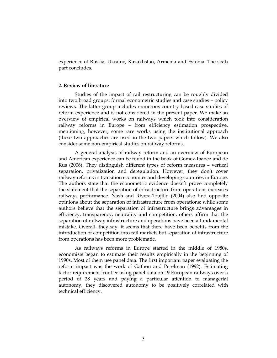experience of Russia, Ukraine, Kazakhstan, Armenia and Estonia. The sixth part concludes.

#### 2. Review of literature

Studies of the impact of rail restructuring can be roughly divided into two broad groups: formal econometric studies and case studies – policy reviews. The latter group includes numerous country-based case studies of reform experience and is not considered in the present paper. We make an overview of empirical works on railways which took into consideration railway reforms in Europe – from efficiency estimation prospective, mentioning, however, some rare works using the institutional approach (these two approaches are used in the two papers which follow). We also consider some non-empirical studies on railway reforms.

A general analysis of railway reform and an overview of European and American experience can be found in the book of Gomez-Ibanez and de Rus (2006). They distinguish different types of reform measures – vertical separation, privatization and deregulation. However, they don't cover railway reforms in transition economies and developing countries in Europe. The authors state that the econometric evidence doesn't prove completely the statement that the separation of infrastructure from operations increases railways performance. Nash and Rivera-Trujillo (2004) also find opposite opinions about the separation of infrastructure from operations: while some authors believe that the separation of infrastructure brings advantages in efficiency, transparency, neutrality and competition, others affirm that the separation of railway infrastructure and operations have been a fundamental mistake. Overall, they say, it seems that there have been benefits from the introduction of competition into rail markets but separation of infrastructure from operations has been more problematic.

As railways reforms in Europe started in the middle of 1980s, economists began to estimate their results empirically in the beginning of 1990s. Most of them use panel data. The first important paper evaluating the reform impact was the work of Gathon and Perelman (1992). Estimating factor requirement frontier using panel data on 19 European railways over a period of 28 years and paying a particular attention to managerial autonomy, they discovered autonomy to be positively correlated with technical efficiency.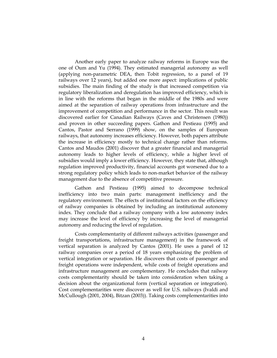Another early paper to analyze railway reforms in Europe was the one of Oum and Yu (1994). They estimated managerial autonomy as well (applying non-parametric DEA, then Tobit regression, to a panel of 19 railways over 12 years), but added one more aspect: implications of public subsidies. The main finding of the study is that increased competition via regulatory liberalization and deregulation has improved efficiency, which is in line with the reforms that began in the middle of the 1980s and were aimed at the separation of railway operations from infrastructure and the improvement of competition and performance in the sector. This result was discovered earlier for Canadian Railways (Caves and Christensen (1980)) and proven in other succeeding papers. Gathon and Pestieau (1995) and Cantos, Pastor and Serrano (1999) show, on the samples of European railways, that autonomy increases efficiency. However, both papers attribute the increase in efficiency mostly to technical change rather than reforms. Cantos and Maudos (2001) discover that a greater financial and managerial autonomy leads to higher levels of efficiency, while a higher level of subsidies would imply a lower efficiency. However, they state that, although regulation improved productivity, financial accounts got worsened due to a strong regulatory policy which leads to non-market behavior of the railway management due to the absence of competitive pressure.

Gathon and Pestieau (1995) aimed to decompose technical inefficiency into two main parts: management inefficiency and the regulatory environment. The effects of institutional factors on the efficiency of railway companies is obtained by including an institutional autonomy index. They conclude that a railway company with a low autonomy index may increase the level of efficiency by increasing the level of managerial autonomy and reducing the level of regulation.

Costs complementarity of different railways activities (passenger and freight transportations, infrastructure management) in the framework of vertical separation is analyzed by Cantos (2001). He uses a panel of 12 railway companies over a period of 18 years emphasizing the problem of vertical integration or separation. He discovers that costs of passenger and freight operations were independent, while costs of freight operations and infrastructure management are complementary. He concludes that railway costs complementarity should be taken into consideration when taking a decision about the organizational form (vertical separation or integration). Cost complementarities were discover as well for U.S. railways (Ivaldi and McCullough (2001, 2004), Bitzan (2003)). Taking costs complementarities into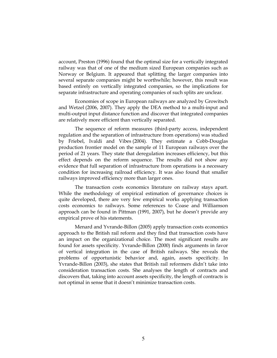account, Preston (1996) found that the optimal size for a vertically integrated railway was that of one of the medium sized European companies such as Norway or Belgium. It appeared that splitting the larger companies into several separate companies might be worthwhile; however, this result was based entirely on vertically integrated companies, so the implications for separate infrastructure and operating companies of such splits are unclear.

Economies of scope in European railways are analyzed by Growitsch and Wetzel (2006, 2007). They apply the DEA method to a multi-input and multi-output input distance function and discover that integrated companies are relatively more efficient than vertically separated.

The sequence of reform measures (third-party access, independent regulation and the separation of infrastructure from operations) was studied by Friebel, Ivaldi and Vibes (2004). They estimate a Cobb-Douglas production frontier model on the sample of 11 European railways over the period of 21 years. They state that deregulation increases efficiency, but this effect depends on the reform sequence. The results did not show any evidence that full separation of infrastructure from operations is a necessary condition for increasing railroad efficiency. It was also found that smaller railways improved efficiency more than larger ones.

The transaction costs economics literature on railway stays apart. While the methodology of empirical estimation of governance choices is quite developed, there are very few empirical works applying transaction costs economics to railways. Some references to Coase and Williamson approach can be found in Pittman (1991, 2007), but he doesn't provide any empirical prove of his statements.

Menard and Yvrande-Billon (2005) apply transaction costs economics approach to the British rail reform and they find that transaction costs have an impact on the organizational choice. The most significant results are found for assets specificity. Yvrande-Billon (2000) finds arguments in favor of vertical integration in the case of British railways. She reveals the problems of opportunistic behavior and, again, assets specificity. In Yvrande-Billon (2003), she states that British rail reformers didn't take into consideration transaction costs. She analyses the length of contracts and discovers that, taking into account assets specificity, the length of contracts is not optimal in sense that it doesn't minimize transaction costs.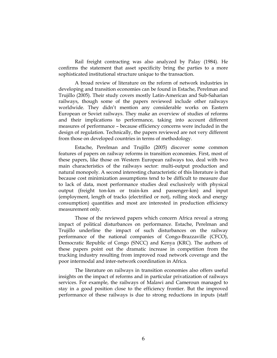Rail freight contracting was also analyzed by Palay (1984). He confirms the statement that asset specificity bring the parties to a more sophisticated institutional structure unique to the transaction.

A broad review of literature on the reform of network industries in developing and transition economies can be found in Estache, Perelman and Trujillo (2005). Their study covers mostly Latin-American and Sub-Saharian railways, though some of the papers reviewed include other railways worldwide. They didn't mention any considerable works on Eastern European or Soviet railways. They make an overview of studies of reforms and their implications to performance, taking into account different measures of performance – because efficiency concerns were included in the design of regulation. Technically, the papers reviewed are not very different from those on developed countries in terms of methodology.

Estache, Perelman and Trujillo (2005) discover some common features of papers on railway reforms in transition economies. First, most of these papers, like those on Western European railways too, deal with two main characteristics of the railways sector: multi-output production and natural monopoly. A second interesting characteristic of this literature is that because cost minimization assumptions tend to be difficult to measure due to lack of data, most performance studies deal exclusively with physical output (freight ton-km or train-km and passenger-km) and input (employment, length of tracks (electrified or not), rolling stock and energy consumption) quantities and most are interested in production efficiency measurement only.

Those of the reviewed papers which concern Africa reveal a strong impact of political disturbances on performance. Estache, Perelman and Trujillo underline the impact of such disturbances on the railway performance of the national companies of Congo-Brazzaville (CFCO), Democratic Republic of Congo (SNCC) and Kenya (KRC). The authors of these papers point out the dramatic increase in competition from the trucking industry resulting from improved road network coverage and the poor intermodal and inter-network coordination in Africa.

The literature on railways in transition economies also offers useful insights on the impact of reforms and in particular privatization of railways services. For example, the railways of Malawi and Cameroun managed to stay in a good position close to the efficiency frontier. But the improved performance of these railways is due to strong reductions in inputs (staff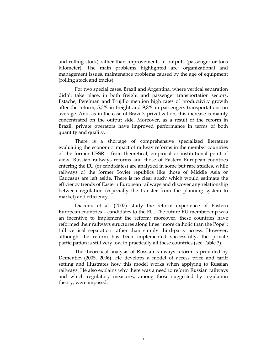and rolling stock) rather than improvements in outputs (passenger or tons kilometer). The main problems highlighted are: organizational and management issues, maintenance problems caused by the age of equipment (rolling stock and tracks).

For two special cases, Brazil and Argentina, where vertical separation didn't take place, in both freight and passenger transportation sectors, Estache, Perelman and Trujillo mention high rates of productivity growth after the reform, 5,3% in freight and 9,8% in passengers transportations on average. And, as in the case of Brazil's privatization, this increase is mainly concentrated on the output side. Moreover, as a result of the reform in Brazil, private operators have improved performance in terms of both quantity and quality.

There is a shortage of comprehensive specialized literature evaluating the economic impact of railway reforms in the member countries of the former USSR – from theoretical, empirical or institutional point of view. Russian railways reforms and those of Eastern European countries entering the EU (or candidates) are analyzed in some but rare studies, while railways of the former Soviet republics like those of Middle Asia or Caucasus are left aside. There is no clear study which would estimate the efficiency trends of Eastern European railways and discover any relationship between regulation (especially the transfer from the planning system to market) and efficiency.

Diaconu et al. (2007) study the reform experience of Eastern European countries – candidates to the EU. The future EU membership was an incentive to implement the reform; moreover, these countries have reformed their railways structures along lines "more catholic than the Pope": full vertical separation rather than simply third-party access. However, although the reform has been implemented successfully, the private participation is still very low in practically all these countries (see Table 3).

The theoretical analysis of Russian railways reform is provided by Dementiev (2005, 2006). He develops a model of access price and tariff setting and illustrates how this model works when applying to Russian railways. He also explains why there was a need to reform Russian railways and which regulatory measures, among those suggested by regulation theory, were imposed.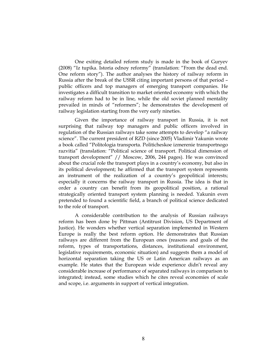One exiting detailed reform study is made in the book of Guryev (2008) "Iz tupika. Istoria odnoy reformy" (translation: "From the dead end. One reform story"). The author analyses the history of railway reform in Russia after the break of the USSR citing important persons of that period – public officers and top managers of emerging transport companies. He investigates a difficult transition to market oriented economy with which the railway reform had to be in line, while the old soviet planned mentality prevailed in minds of "reformers"; he demonstrates the development of railway legislation starting from the very early nineties.

Given the importance of railway transport in Russia, it is not surprising that railway top managers and public officers involved in regulation of the Russian railways take some attempts to develop "a railway science". The current president of RZD (since 2005) Vladimir Yakunin wrote a book called "Politologia transporta. Politicheskoe izmerenie transportnogo razvitia" (translation: "Political science of transport. Political dimension of transport development" // Moscow, 2006, 244 pages). He was convinced about the crucial role the transport plays in a country's economy, but also in its political development; he affirmed that the transport system represents an instrument of the realization of a country's geopolitical interests; especially it concerns the railway transport in Russia. The idea is that in order a country can benefit from its geopolitical position, a rational strategically oriented transport system planning is needed. Yakunin even pretended to found a scientific field, a branch of political science dedicated to the role of transport.

A considerable contribution to the analysis of Russian railways reform has been done by Pittman (Antitrust Division, US Department of Justice). He wonders whether vertical separation implemented in Western Europe is really the best reform option. He demonstrates that Russian railways are different from the European ones (reasons and goals of the reform, types of transportations, distances, institutional environment, legislative requirements, economic situation) and suggests them a model of horizontal separation taking the US or Latin American railways as an example. He states that the European wide experience didn't reveal any considerable increase of performance of separated railways in comparison to integrated; instead, some studies which he cites reveal economies of scale and scope, i.e. arguments in support of vertical integration.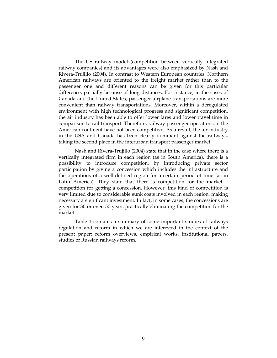The US railway model (competition between vertically integrated railway companies) and its advantages were also emphasized by Nash and Rivera-Trujillo (2004). In contrast to Western European countries, Northern American railways are oriented to the freight market rather than to the passenger one and different reasons can be given for this particular difference, partially because of long distances. For instance, in the cases of Canada and the United States, passenger airplane transportations are more convenient than railway transportations. Moreover, within a deregulated environment with high technological progress and significant competition, the air industry has been able to offer lower fares and lower travel time in comparison to rail transport. Therefore, railway passenger operations in the American continent have not been competitive. As a result, the air industry in the USA and Canada has been clearly dominant against the railways, taking the second place in the interurban transport passenger market.

Nash and Rivera-Trujillo (2004) state that in the case where there is a vertically integrated firm in each region (as in South America), there is a possibility to introduce competition, by introducing private sector participation by giving a concession which includes the infrastructure and the operations of a well-defined region for a certain period of time (as in Latin America). They state that there is competition for the market – competition for getting a concession. However, this kind of competition is very limited due to considerable sunk costs involved in each region, making necessary a significant investment. In fact, in some cases, the concessions are given for 30 or even 50 years practically eliminating the competition for the market.

Table 1 contains a summary of some important studies of railways regulation and reform in which we are interested in the context of the present paper: reform overviews, empirical works, institutional papers, studies of Russian railways reform.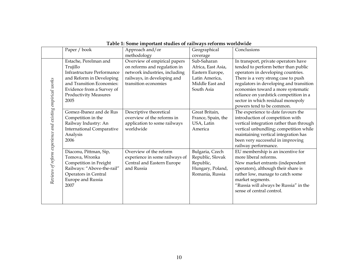|                                                           | Paper / book                      | Approach and/or                | Geographical       | Conclusions                              |
|-----------------------------------------------------------|-----------------------------------|--------------------------------|--------------------|------------------------------------------|
|                                                           |                                   | methodology                    | coverage           |                                          |
|                                                           | Estache, Perelman and             | Overview of empirical papers   | Sub-Saharan        | In transport, private operators have     |
|                                                           | Trujillo                          | on reforms and regulation in   | Africa, East Asia, | tended to perform better than public     |
|                                                           | <b>Infrastructure Performance</b> | network industries, including  | Eastern Europe,    | operators in developing countries.       |
|                                                           | and Reform in Developing          | railways, in developing and    | Latin America,     | There is a very strong case to push      |
|                                                           | and Transition Economies:         | transition economies           | Middle East and    | regulators in developing and transition  |
|                                                           | Evidence from a Survey of         |                                | South Asia         | economies toward a more systematic       |
| Reviews of reform experience and existing empirical works | <b>Productivity Measures</b>      |                                |                    | reliance on yardstick competition in a   |
|                                                           | 2005                              |                                |                    | sector in which residual monopoly        |
|                                                           |                                   |                                |                    | powers tend to be common.                |
|                                                           | Gomez-Ibanez and de Rus           | Descriptive theoretical        | Great Britain,     | The experience to date favours the       |
|                                                           | Competition in the                | overview of the reforms in     | France, Spain, the | introduction of competition with         |
|                                                           | Railway Industry: An              | application to some railways   | USA, Latin         | vertical integration rather than through |
|                                                           | <b>International Comparative</b>  | worldwide                      | America            | vertical unbundling; competition while   |
|                                                           | Analysis                          |                                |                    | maintaining vertical integration has     |
|                                                           | 2006                              |                                |                    | been very successful in improving        |
|                                                           |                                   |                                |                    | railway performance.                     |
|                                                           | Diaconu, Pittman, Sip,            | Overview of the reform         | Bulgaria, Czech    | EU membership is an incentive for        |
|                                                           | Tomova, Wronka                    | experience in some railways of | Republic, Slovak   | more liberal reforms.                    |
|                                                           | Competition in Freight            | Central and Eastern Europe     | Republic,          | New market entrants (independent         |
|                                                           | Railways: "Above-the-rail"        | and Russia                     | Hungary, Poland,   | operators), although their share is      |
|                                                           | Operators in Central              |                                | Romania, Russia    | rather low, manage to catch some         |
|                                                           | <b>Europe and Russia</b>          |                                |                    | market segments.                         |
|                                                           | 2007                              |                                |                    | "Russia will always be Russia" in the    |
|                                                           |                                   |                                |                    | sense of central control.                |
|                                                           |                                   |                                |                    |                                          |
|                                                           |                                   |                                |                    |                                          |

### Table 1: Some important studies of railways reforms worldwide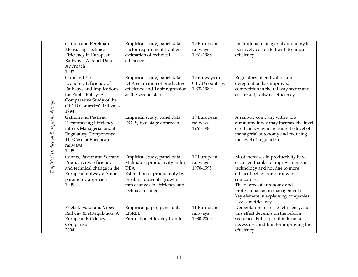|                                        | Gathon and Perelman             | Empirical study, panel data     | 19 European           | Institutional managerial autonomy is     |
|----------------------------------------|---------------------------------|---------------------------------|-----------------------|------------------------------------------|
|                                        | Measuring Technical             | Factor requirement frontier     | railways              | positively correlated with technical     |
|                                        | Efficiency in European          | estimation of technical         | 1961-1988             | efficiency.                              |
|                                        | Railways: A Panel Data          | efficiency                      |                       |                                          |
|                                        | Approach                        |                                 |                       |                                          |
|                                        | 1992                            |                                 |                       |                                          |
|                                        | Oum and Yu                      | Empirical study, panel data     | 19 railways in        | Regulatory liberalization and            |
|                                        | Economic Efficiency of          | DEA estimation of productive    | <b>OECD</b> countries | deregulation has improved                |
|                                        | Railways and Implications       | efficiency and Tobit regression | 1978-1989             | competition in the railway sector and,   |
|                                        | for Public Policy: A            | as the second step              |                       | as a result, railways efficiency.        |
|                                        | Comparative Study of the        |                                 |                       |                                          |
|                                        | <b>OECD Countries' Railways</b> |                                 |                       |                                          |
|                                        | 1994                            |                                 |                       |                                          |
|                                        | Gathon and Pestieau             | Empirical study, panel data     | 19 European           | A railway company with a low             |
|                                        | Decomposing Efficiency          | DOLS, two-stage approach        | railways              | autonomy index may increase the level    |
|                                        | into its Managerial and its     |                                 | 1961-1988             | of efficiency by increasing the level of |
|                                        | <b>Regulatory Components:</b>   |                                 |                       | managerial autonomy and reducing         |
|                                        | The Case of European            |                                 |                       | the level of regulation.                 |
| Empirical studies on European railways | railways                        |                                 |                       |                                          |
|                                        | 1995                            |                                 |                       |                                          |
|                                        | Cantos, Pastor and Serrano      | Empirical study, panel data     | 17 European           | Most increases in productivity have      |
|                                        | Productivity, efficiency        | Malmquist productivity index,   | railways              | occurred thanks to improvements in       |
|                                        | and technical change in the     | <b>DEA</b>                      | 1970-1995             | technology and not due to more           |
|                                        | European railways: A non-       | Estimation of productivity by   |                       | efficient behaviour of railway           |
|                                        | parametric approach             | breaking down its growth        |                       | companies.                               |
|                                        | 1999                            | into changes in efficiency and  |                       | The degree of autonomy and               |
|                                        |                                 | technical change                |                       | professionalism in management is a       |
|                                        |                                 |                                 |                       | key element in explaining companies'     |
|                                        |                                 |                                 |                       | levels of efficiency.                    |
|                                        | Friebel, Ivaldi and Vibes       | Empirical paper, panel data     | 11 European           | Deregulation increases efficiency, but   |
|                                        | Railway (De)Regulation: A       | <b>LISREL</b>                   | railways              | this effect depends on the reform        |
|                                        | European Efficiency             | Production efficiency frontier  | 1980-2000             | sequence. Full separation is not a       |
|                                        | Comparison                      |                                 |                       | necessary condition for improving the    |
|                                        | 2004                            |                                 |                       | efficiency.                              |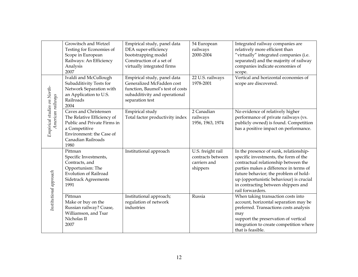|                                                  | Growitsch and Wetzel<br>Testing for Economies of<br>Scope in European<br>Railways: An Efficiency<br>Analysis<br>2007<br>Ivaldi and McCullough                 | Empirical study, panel data<br>DEA super-efficiency<br>bootstrapping model<br>Construction of a set of<br>virtually integrated firms<br>Empirical study, panel data | 54 European<br>railways<br>2000-2004<br>22 U.S. railways           | Integrated railway companies are<br>relatively more efficient than<br>"virtually" integrated companies (i.e.<br>separated) and the majority of railway<br>companies indicate economies of<br>scope.<br>Vertical and horizontal economies of                                                                      |
|--------------------------------------------------|---------------------------------------------------------------------------------------------------------------------------------------------------------------|---------------------------------------------------------------------------------------------------------------------------------------------------------------------|--------------------------------------------------------------------|------------------------------------------------------------------------------------------------------------------------------------------------------------------------------------------------------------------------------------------------------------------------------------------------------------------|
|                                                  | Subadditivity Tests for<br>Network Separation with<br>an Application to U.S.<br>Railroads<br>2004                                                             | Generalized McFadden cost<br>function, Baumol's test of costs<br>subadditivity and operational<br>separation test                                                   | 1978-2001                                                          | scope are discovered.                                                                                                                                                                                                                                                                                            |
| Empirical studies on North-<br>American railways | Caves and Christensen<br>The Relative Efficiency of<br>Public and Private Firms in<br>a Competitive<br>Environment: the Case of<br>Canadian Railroads<br>1980 | Empirical study<br>Total factor productivity index                                                                                                                  | 2 Canadian<br>railways<br>1956, 1963, 1974                         | No evidence of relatively higher<br>performance of private railways (vs.<br>publicly owned) is found. Competition<br>has a positive impact on performance.                                                                                                                                                       |
| Institutional approach                           | Pittman<br>Specific Investments,<br>Contracts, and<br>Opportunism: The<br><b>Evolution of Railroad</b><br><b>Sidetrack Agreements</b><br>1991                 | Institutional approach                                                                                                                                              | U.S. freight rail<br>contracts between<br>carriers and<br>shippers | In the presence of sunk, relationship-<br>specific investments, the form of the<br>contractual relationship between the<br>parties makes a difference in terms of<br>future behavior; the problem of hold-<br>up (opportunistic behaviour) is crucial<br>in contracting between shippers and<br>rail forwarders. |
|                                                  | Pittman<br>Make or buy on the<br>Russian railway? Coase,<br>Williamson, and Tsar<br>Nicholas II<br>2007                                                       | Institutional approach;<br>regulation of network<br>industries                                                                                                      | Russia                                                             | When taking transaction costs into<br>account, horizontal separation may be<br>preferred. Transactions costs analysis<br>may<br>support the preservation of vertical<br>integration to create competition where<br>that is feasible.                                                                             |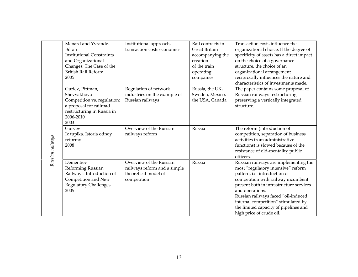|                  | Menard and Yvrande-<br><b>Billon</b><br><b>Institutional Constraints</b><br>and Organizational<br>Changes: The Case of the<br><b>British Rail Reform</b><br>2005 | Institutional approach,<br>transaction costs economics                                         | Rail contracts in<br>Great Britain<br>accompanying the<br>creation<br>of the train<br>operating<br>companies | Transaction costs influence the<br>organizational choice. If the degree of<br>specificity of assets has a direct impact<br>on the choice of a governance<br>structure, the choice of an<br>organizational arrangement<br>reciprocally influences the nature and<br>characteristics of investments made.                                                             |
|------------------|------------------------------------------------------------------------------------------------------------------------------------------------------------------|------------------------------------------------------------------------------------------------|--------------------------------------------------------------------------------------------------------------|---------------------------------------------------------------------------------------------------------------------------------------------------------------------------------------------------------------------------------------------------------------------------------------------------------------------------------------------------------------------|
|                  | Guriev, Pittman,<br>Shevyakhova<br>Competition vs. regulation:<br>a proposal for railroad<br>restructuring in Russia in<br>2006-2010<br>2003                     | Regulation of network<br>industries on the example of<br>Russian railways                      | Russia, the UK,<br>Sweden, Mexico,<br>the USA, Canada                                                        | The paper contains some proposal of<br>Russian railways restructuring<br>preserving a vertically integrated<br>structure.                                                                                                                                                                                                                                           |
| Russian railways | Guryev<br>Iz tupika. Istoria odnoy<br>reformy<br>2008                                                                                                            | Overview of the Russian<br>railways reform                                                     | Russia                                                                                                       | The reform (introduction of<br>competition, separation of business<br>activities from administrative<br>functions) is slowed because of the<br>resistance of old-mentality public<br>officers.                                                                                                                                                                      |
|                  | Dementiev<br>Reforming Russian<br>Railways. Introduction of<br>Competition and New<br><b>Regulatory Challenges</b><br>2005                                       | Overview of the Russian<br>railways reform and a simple<br>theoretical model of<br>competition | Russia                                                                                                       | Russian railways are implementing the<br>most "regulatory intensive" reform<br>pattern, i.e. introduction of<br>competition with railway incumbent<br>present both in infrastructure services<br>and operations.<br>Russian railways faced "oil-induced<br>internal competition" stimulated by<br>the limited capacity of pipelines and<br>high price of crude oil. |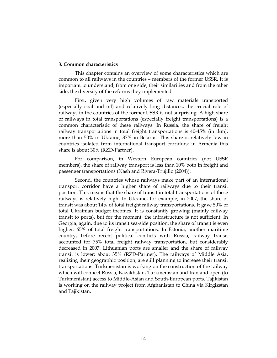#### 3. Common characteristics

This chapter contains an overview of some characteristics which are common to all railways in the countries – members of the former USSR. It is important to understand, from one side, their similarities and from the other side, the diversity of the reforms they implemented.

First, given very high volumes of raw materials transported (especially coal and oil) and relatively long distances, the crucial role of railways in the countries of the former USSR is not surprising. A high share of railways in total transportations (especially freight transportations) is a common characteristic of these railways. In Russia, the share of freight railway transportations in total freight transportations is 40-45% (in tkm), more than 50% in Ukraine, 87% in Belarus. This share is relatively low in countries isolated from international transport corridors: in Armenia this share is about 30% (RZD-Partner).

For comparison, in Western European countries (not USSR members), the share of railway transport is less than 10% both in freight and passenger transportations (Nash and Rivera-Trujillo (2004)).

Second, the countries whose railways make part of an international transport corridor have a higher share of railways due to their transit position. This means that the share of transit in total transportations of these railways is relatively high. In Ukraine, for example, in 2007, the share of transit was about 14% of total freight railway transportations. It gave 50% of total Ukrainian budget incomes. It is constantly growing (mainly railway transit to ports), but for the moment, the infrastructure is not sufficient. In Georgia, again, due to its transit sea-side position, the share of transit is even higher: 65% of total freight transportations. In Estonia, another maritime country, before recent political conflicts with Russia, railway transit accounted for 75% total freight railway transportation, but considerably decreased in 2007. Lithuanian ports are smaller and the share of railway transit is lower: about 35% (RZD-Partner). The railways of Middle Asia, realizing their geographic position, are still planning to increase their transit transportations. Turkmenistan is working on the construction of the railway which will connect Russia, Kazakhstan, Turkmenistan and Iran and open (to Turkmenistan) access to Middle-Asian and South-European ports. Tajikistan is working on the railway project from Afghanistan to China via Kirgizstan and Tajikistan.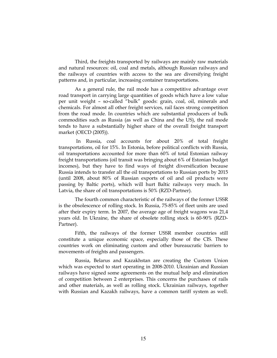Third, the freights transported by railways are mainly raw materials and natural resources: oil, coal and metals, although Russian railways and the railways of countries with access to the sea are diversifying freight patterns and, in particular, increasing container transportations.

As a general rule, the rail mode has a competitive advantage over road transport in carrying large quantities of goods which have a low value per unit weight – so-called "bulk" goods: grain, coal, oil, minerals and chemicals. For almost all other freight services, rail faces strong competition from the road mode. In countries which are substantial producers of bulk commodities such as Russia (as well as China and the US), the rail mode tends to have a substantially higher share of the overall freight transport market (OECD (2005)).

 In Russia, coal accounts for about 20% of total freight transportations, oil for 15%. In Estonia, before political conflicts with Russia, oil transportations accounted for more than 60% of total Estonian railway freight transportations (oil transit was bringing about 6% of Estonian budget incomes), but they have to find ways of freight diversification because Russia intends to transfer all the oil transportations to Russian ports by 2015 (until 2008, about 80% of Russian exports of oil and oil products were passing by Baltic ports), which will hurt Baltic railways very much. In Latvia, the share of oil transportations is 50% (RZD-Partner).

The fourth common characteristic of the railways of the former USSR is the obsolescence of rolling stock. In Russia, 75-85% of fleet units are used after their expiry term. In 2007, the average age of freight wagons was 21,4 years old. In Ukraine, the share of obsolete rolling stock is 60-90% (RZD-Partner).

Fifth, the railways of the former USSR member countries still constitute a unique economic space, especially those of the CIS. These countries work on eliminating custom and other bureaucratic barriers to movements of freights and passengers.

Russia, Belarus and Kazakhstan are creating the Custom Union which was expected to start operating in 2008-2010. Ukrainian and Russian railways have signed some agreements on the mutual help and elimination of competition between 2 enterprises. This concerns the purchases of rails and other materials, as well as rolling stock. Ukrainian railways, together with Russian and Kazakh railways, have a common tariff system as well.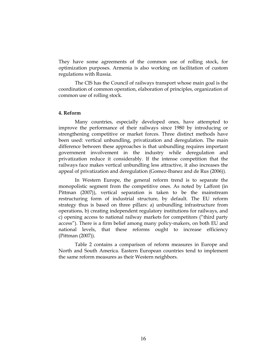They have some agreements of the common use of rolling stock, for optimization purposes. Armenia is also working on facilitation of custom regulations with Russia.

The CIS has the Council of railways transport whose main goal is the coordination of common operation, elaboration of principles, organization of common use of rolling stock.

#### 4. Reform

Many countries, especially developed ones, have attempted to improve the performance of their railways since 1980 by introducing or strengthening competitive or market forces. Three distinct methods have been used: vertical unbundling, privatization and deregulation. The main difference between these approaches is that unbundling requires important government involvement in the industry while deregulation and privatization reduce it considerably. If the intense competition that the railways face makes vertical unbundling less attractive, it also increases the appeal of privatization and deregulation (Gomez-Ibanez and de Rus (2006)).

In Western Europe, the general reform trend is to separate the monopolistic segment from the competitive ones. As noted by Laffont (in Pittman (2007)), vertical separation is taken to be the mainstream restructuring form of industrial structure, by default. The EU reform strategy thus is based on three pillars: a) unbundling infrastructure from operations, b) creating independent regulatory institutions for railways, and c) opening access to national railway markets for competitors ("third party access"). There is a firm belief among many policy-makers, on both EU and national levels, that these reforms ought to increase efficiency (Pittman (2007)).

Table 2 contains a comparison of reform measures in Europe and North and South America. Eastern European countries tend to implement the same reform measures as their Western neighbors.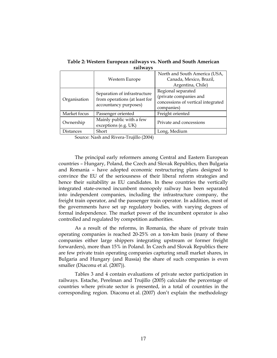|                  | 1 aii wa vo                                                                                |                                                                                                  |
|------------------|--------------------------------------------------------------------------------------------|--------------------------------------------------------------------------------------------------|
|                  | Western Europe                                                                             | North and South America (USA,<br>Canada, Mexico, Brazil,<br>Argentina, Chile)                    |
| Organisation     | Separation of infrastructure<br>from operations (at least for<br>accountancy purposes)     | Regional separated<br>(private companies and<br>concessions of vertical integrated<br>companies) |
| Market focus     | Passenger oriented                                                                         | Freight oriented                                                                                 |
| Ownership        | Mainly public with a few<br>exceptions (e.g. UK)                                           | Private and concessions                                                                          |
| <b>Distances</b> | Short                                                                                      | Long, Medium                                                                                     |
|                  | $\mathbf{r}$ and $\mathbf{r}$ and $\mathbf{r}$ and $\mathbf{r}$<br>$\mathbf{r}$<br>(0.001) |                                                                                                  |

Table 2: Western European railways vs. North and South American railways

Source: Nash and Rivera-Trujillo (2004)

The principal early reformers among Central and Eastern European countries – Hungary, Poland, the Czech and Slovak Republics, then Bulgaria and Romania – have adopted economic restructuring plans designed to convince the EU of the seriousness of their liberal reform strategies and hence their suitability as EU candidates. In these countries the vertically integrated state-owned incumbent monopoly railway has been separated into independent companies, including the infrastructure company, the freight train operator, and the passenger train operator. In addition, most of the governments have set up regulatory bodies, with varying degrees of formal independence. The market power of the incumbent operator is also controlled and regulated by competition authorities.

As a result of the reforms, in Romania, the share of private train operating companies is reached 20-25% on a ton-km basis (many of these companies either large shippers integrating upstream or former freight forwarders), more than 15% in Poland. In Czech and Slovak Republics there are few private train operating companies capturing small market shares, in Bulgaria and Hungary (and Russia) the share of such companies is even smaller (Diaconu et al. (2007)).

Tables 3 and 4 contain evaluations of private sector participation in railways. Estache, Perelman and Trujillo (2005) calculate the percentage of countries where private sector is presented, in a total of countries in the corresponding region. Diaconu et al. (2007) don't explain the methodology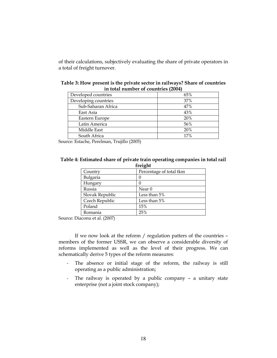of their calculations, subjectively evaluating the share of private operators in a total of freight turnover.

| 111 voimi 11 <i>m</i> 1110 C1 O1 com11v11c0 |     |  |  |
|---------------------------------------------|-----|--|--|
| Developed countries                         | 65% |  |  |
| Developing countries                        | 37% |  |  |
| Sub-Saharan Africa                          | 47% |  |  |
| East Asia                                   | 43% |  |  |
| Eastern Europe                              | 20% |  |  |
| Latin America                               | 56% |  |  |
| Middle East                                 | 20% |  |  |
| South Africa                                | 17% |  |  |

| Table 3: How present is the private sector in railways? Share of countries |
|----------------------------------------------------------------------------|
| in total number of countries (2004)                                        |

Source: Estache, Perelman, Trujillo (2005)

#### Table 4: Estimated share of private train operating companies in total rail freight

| ********        |                         |
|-----------------|-------------------------|
| Country         | Percentage of total tkm |
| Bulgaria        | 0                       |
| Hungary         |                         |
| Russia          | Near <sub>0</sub>       |
| Slovak Republic | Less than $5%$          |
| Czech Republic  | Less than 5%            |
| Poland          | 15%                     |
| Romania         | 25%                     |

Source: Diaconu et al. (2007)

If we now look at the reform / regulation patters of the countries – members of the former USSR, we can observe a considerable diversity of reforms implemented as well as the level of their progress. We can schematically derive 5 types of the reform measures:

- The absence or initial stage of the reform, the railway is still operating as a public administration;
- The railway is operated by a public company a unitary state enterprise (not a joint stock company);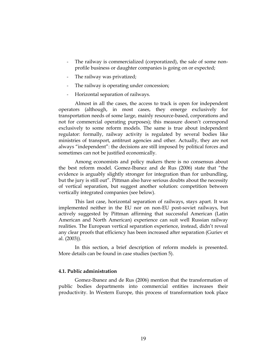- The railway is commercialized (corporatized), the sale of some nonprofile business or daughter companies is going on or expected;
- The railway was privatized;
- The railway is operating under concession;
- Horizontal separation of railways.

Almost in all the cases, the access to track is open for independent operators (although, in most cases, they emerge exclusively for transportation needs of some large, mainly resource-based, corporations and not for commercial operating purposes); this measure doesn't correspond exclusively to some reform models. The same is true about independent regulator: formally, railway activity is regulated by several bodies like ministries of transport, antitrust agencies and other. Actually, they are not always "independent": the decisions are still imposed by political forces and sometimes can not be justified economically.

Among economists and policy makers there is no consensus about the best reform model. Gomez-Ibanez and de Rus (2006) state that "the evidence is arguably slightly stronger for integration than for unbundling, but the jury is still out". Pittman also have serious doubts about the necessity of vertical separation, but suggest another solution: competition between vertically integrated companies (see below).

This last case, horizontal separation of railways, stays apart. It was implemented neither in the EU nor on non-EU post-soviet railways, but actively suggested by Pittman affirming that successful American (Latin American and North American) experience can suit well Russian railway realities. The European vertical separation experience, instead, didn't reveal any clear proofs that efficiency has been increased after separation (Guriev et al. (2003)).

In this section, a brief description of reform models is presented. More details can be found in case studies (section 5).

#### 4.1. Public administration

Gomez-Ibanez and de Rus (2006) mention that the transformation of public bodies departments into commercial entities increases their productivity. In Western Europe, this process of transformation took place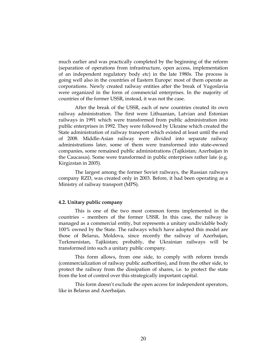much earlier and was practically completed by the beginning of the reform (separation of operations from infrastructure, open access, implementation of an independent regulatory body etc) in the late 1980s. The process is going well also in the countries of Eastern Europe: most of them operate as corporations. Newly created railway entities after the break of Yugoslavia were organized in the form of commercial enterprises. In the majority of countries of the former USSR, instead, it was not the case.

After the break of the USSR, each of new countries created its own railway administration. The first were Lithuanian, Latvian and Estonian railways in 1991 which were transformed from public administration into public enterprises in 1992. They were followed by Ukraine which created the State administration of railway transport which existed at least until the end of 2008. Middle-Asian railway were divided into separate railway administrations later, some of them were transformed into state-owned companies, some remained public administrations (Tajikistan; Azerbaijan in the Caucasus). Some were transformed in public enterprises rather late (e.g. Kirgizstan in 2005).

The largest among the former Soviet railways, the Russian railways company RZD, was created only in 2003. Before, it had been operating as a Ministry of railway transport (MPS).

#### 4.2. Unitary public company

This is one of the two most common forms implemented in the countries – members of the former USSR. In this case, the railway is managed as a commercial entity, but represents a unitary undividable body 100% owned by the State. The railways which have adopted this model are those of Belarus, Moldova, since recently the railway of Azerbaijan, Turkmenistan, Tajikistan; probably, the Ukrainian railways will be transformed into such a unitary public company.

This form allows, from one side, to comply with reform trends (commercialization of railway public authorities), and from the other side, to protect the railway from the dissipation of shares, i.e. to protect the state from the lost of control over this strategically important capital.

This form doesn't exclude the open access for independent operators, like in Belarus and Azerbaijan.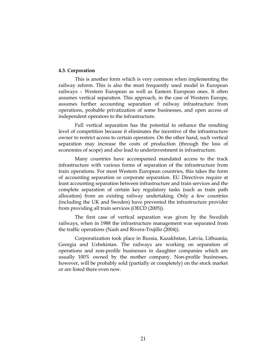#### 4.3. Corporation

This is another form which is very common when implementing the railway reform. This is also the most frequently used model in European railways – Western European as well as Eastern European ones. It often assumes vertical separation. This approach, in the case of Western Europe, assumes further accounting separation of railway infrastructure from operations, probable privatization of some businesses, and open access of independent operators to the infrastructure.

Full vertical separation has the potential to enhance the resulting level of competition because it eliminates the incentive of the infrastructure owner to restrict access to certain operators. On the other hand, such vertical separation may increase the costs of production (through the loss of economies of scope) and also lead to underinvestment in infrastructure.

Many countries have accompanied mandated access to the track infrastructure with various forms of separation of the infrastructure from train operations. For most Western European countries, this takes the form of accounting separation or corporate separation. EU Directives require at least accounting separation between infrastructure and train services and the complete separation of certain key regulatory tasks (such as train path allocation) from an existing railway undertaking. Only a few countries (including the UK and Sweden) have prevented the infrastructure provider from providing all train services (OECD (2005)).

The first case of vertical separation was given by the Swedish railways, when in 1988 the infrastructure management was separated from the traffic operations (Nash and Rivera-Trujillo (2004)).

Corporatization took place in Russia, Kazakhstan, Latvia, Lithuania, Georgia and Uzbekistan. The railways are working on separation of operations and non-profile businesses in daughter companies which are usually 100% owned by the mother company. Non-profile businesses, however, will be probably sold (partially or completely) on the stock market or are listed there even now.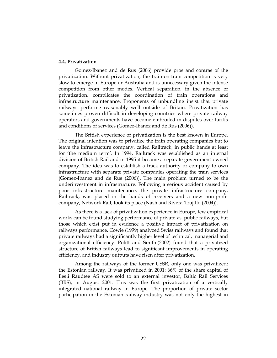#### 4.4. Privatization

Gomez-Ibanez and de Rus (2006) provide pros and contras of the privatization. Without privatization, the train-on-train competition is very slow to emerge in Europe or Australia and is unnecessary given the intense competition from other modes. Vertical separation, in the absence of privatization, complicates the coordination of train operations and infrastructure maintenance. Proponents of unbundling insist that private railways performe reasonably well outside of Britain. Privatization has sometimes proven difficult in developing countries where private railway operators and governments have become embroiled in disputes over tariffs and conditions of services (Gomez-Ibanez and de Rus (2006)).

The British experience of privatization is the best known in Europe. The original intention was to privatize the train operating companies but to leave the infrastructure company, called Railtrack, in public hands at least for 'the medium term'. In 1994, Railtrack was established as an internal division of British Rail and in 1995 it became a separate government-owned company. The idea was to establish a track authority or company to own infrastructure with separate private companies operating the train services (Gomez-Ibanez and de Rus (2006)). The main problem turned to be the underinvestment in infrastructure. Following a serious accident caused by poor infrastructure maintenance, the private infrastructure company, Railtrack, was placed in the hands of receivers and a new non-profit company, Network Rail, took its place (Nash and Rivera-Trujillo (2004)).

As there is a lack of privatization experience in Europe, few empirical works can be found studying performance of private vs. public railways, but those which exist put in evidence a positive impact of privatization on railways performance. Cowie (1999) analyzed Swiss railways and found that private railways had a significantly higher level of technical, managerial and organizational efficiency. Politt and Smith (2002) found that a privatized structure of British railways lead to significant improvements in operating efficiency, and industry outputs have risen after privatization.

Among the railways of the former USSR, only one was privatized: the Estonian railway. It was privatized in 2001: 66% of the share capital of Eesti Raudtee AS were sold to an external investor, Baltic Rail Services (BRS), in August 2001. This was the first privatization of a vertically integrated national railway in Europe. The proportion of private sector participation in the Estonian railway industry was not only the highest in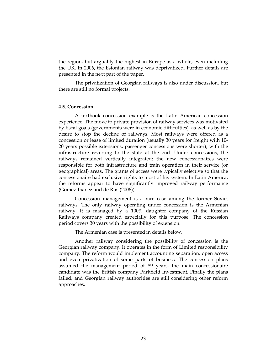the region, but arguably the highest in Europe as a whole, even including the UK. In 2006, the Estonian railway was deprivatized. Further details are presented in the next part of the paper.

The privatization of Georgian railways is also under discussion, but there are still no formal projects.

#### 4.5. Concession

A textbook concession example is the Latin American concession experience. The move to private provision of railway services was motivated by fiscal goals (governments were in economic difficulties), as well as by the desire to stop the decline of railways. Most railways were offered as a concession or lease of limited duration (usually 30 years for freight with 10- 20 years possible extensions, passenger concessions were shorter), with the infrastructure reverting to the state at the end. Under concessions, the railways remained vertically integrated: the new concessionaires were responsible for both infrastructure and train operation in their service (or geographical) areas. The grants of access were typically selective so that the concessionaire had exclusive rights to most of his system. In Latin America, the reforms appear to have significantly improved railway performance (Gomez-Ibanez and de Rus (2006)).

Concession management is a rare case among the former Soviet railways. The only railway operating under concession is the Armenian railway. It is managed by a 100% daughter company of the Russian Railways company created especially for this purpose. The concession period covers 30 years with the possibility of extension.

The Armenian case is presented in details below.

Another railway considering the possibility of concession is the Georgian railway company. It operates in the form of Limited responsibility company. The reform would implement accounting separation, open access and even privatization of some parts of business. The concession plans assumed the management period of 89 years, the main concessionaire candidate was the British company Parkfield Investment. Finally the plans failed, and Georgian railway authorities are still considering other reform approaches.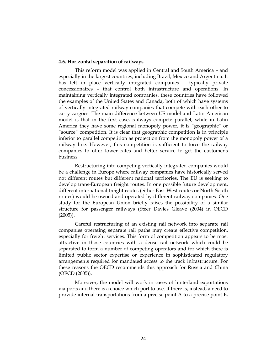#### 4.6. Horizontal separation of railways

This reform model was applied in Central and South America – and especially in the largest countries, including Brazil, Mexico and Argentina. It has left in place vertically integrated companies – typically private concessionaires – that control both infrastructure and operations. In maintaining vertically integrated companies, these countries have followed the examples of the United States and Canada, both of which have systems of vertically integrated railway companies that compete with each other to carry cargoes. The main difference between US model and Latin American model is that in the first case, railways compete parallel, while in Latin America they have some regional monopoly power, it is "geographic" or "source" competition. It is clear that geographic competition is in principle inferior to parallel competition as protection from the monopoly power of a railway line. However, this competition is sufficient to force the railway companies to offer lower rates and better service to get the customer's business.

Restructuring into competing vertically-integrated companies would be a challenge in Europe where railway companies have historically served not different routes but different national territories. The EU is seeking to develop trans-European freight routes. In one possible future development, different international freight routes (either East-West routes or North-South routes) would be owned and operated by different railway companies. One study for the European Union briefly raises the possibility of a similar structure for passenger railways (Steer Davies Gleave (2004) in OECD  $(2005)$ ).

Careful restructuring of an existing rail network into separate rail companies operating separate rail paths may create effective competition, especially for freight services. This form of competition appears to be most attractive in those countries with a dense rail network which could be separated to form a number of competing operators and for which there is limited public sector expertise or experience in sophisticated regulatory arrangements required for mandated access to the track infrastructure. For these reasons the OECD recommends this approach for Russia and China (OECD (2005)).

Moreover, the model will work in cases of hinterland exportations via ports and there is a choice which port to use. If there is, instead, a need to provide internal transportations from a precise point A to a precise point B,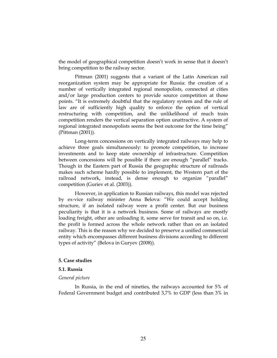the model of geographical competition doesn't work in sense that it doesn't bring competition to the railway sector.

Pittman (2001) suggests that a variant of the Latin American rail reorganization system may be appropriate for Russia: the creation of a number of vertically integrated regional monopolists, connected at cities and/or large production centers to provide source competition at those points. "It is extremely doubtful that the regulatory system and the rule of law are of sufficiently high quality to enforce the option of vertical restructuring with competition, and the unlikelihood of much train competition renders the vertical separation option unattractive. A system of regional integrated monopolists seems the best outcome for the time being" (Pittman (2001)).

Long-term concessions on vertically integrated railways may help to achieve three goals simultaneously: to promote competition, to increase investments and to keep state ownership of infrastructure. Competition between concessions will be possible if there are enough "parallel" tracks. Though in the Eastern part of Russia the geographic structure of railroads makes such scheme hardly possible to implement, the Western part of the railroad network, instead, is dense enough to organize "parallel" competition (Guriev et al. (2003)).

However, in application to Russian railways, this model was rejected by ex-vice railway minister Anna Belova: "We could accept holding structure, if an isolated railway were a profit center. But our business peculiarity is that it is a network business. Some of railways are mostly loading freight, other are unloading it, some serve for transit and so on, i.e. the profit is formed across the whole network rather than on an isolated railway. This is the reason why we decided to preserve a unified commercial entity which encompasses different business divisions according to different types of activity" (Belova in Guryev (2008)).

#### 5. Case studies

#### 5.1. Russia

#### General picture

In Russia, in the end of nineties, the railways accounted for 5% of Federal Government budget and contributed 3,7% to GDP (less than 3% in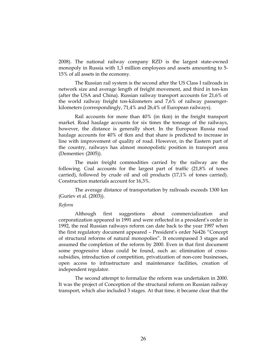2008). The national railway company RZD is the largest state-owned monopoly in Russia with 1,3 million employees and assets amounting to 5- 15% of all assets in the economy.

The Russian rail system is the second after the US Class I railroads in network size and average length of freight movement, and third in ton-km (after the USA and China). Russian railway transport accounts for 21,6% of the world railway freight ton-kilometers and 7,6% of railway passengerkilometers (correspondingly, 71,4% and 26,4% of European railways).

Rail accounts for more than 40% (in tkm) in the freight transport market. Road haulage accounts for six times the tonnage of the railways, however, the distance is generally short. In the European Russia road haulage accounts for 40% of tkm and that share is predicted to increase in line with improvement of quality of road. However, in the Eastern part of the country, railways has almost monopolistic position in transport area (Dementiev (2005)).

The main freight commodities carried by the railway are the following. Coal accounts for the largest part of traffic (21,8% of tones carried), followed by crude oil and oil products (17,1% of tones carried). Construction materials account for 16,3%.

The average distance of transportation by railroads exceeds 1300 km (Guriev et al. (2003)).

#### Reform

Although first suggestions about commercialization and corporatization appeared in 1991 and were reflected in a president's order in 1992, the real Russian railways reform can date back to the year 1997 when the first regulatory document appeared – President's order №426 "Concept of structural reforms of natural monopolies". It encompassed 3 stages and assumed the completion of the reform by 2000. Even in that first document some progressive ideas could be found, such as: elimination of crosssubsidies, introduction of competition, privatization of non-core businesses, open access to infrastructure and maintenance facilities, creation of independent regulator.

The second attempt to formalize the reform was undertaken in 2000. It was the project of Conception of the structural reform on Russian railway transport, which also included 3 stages. At that time, it became clear that the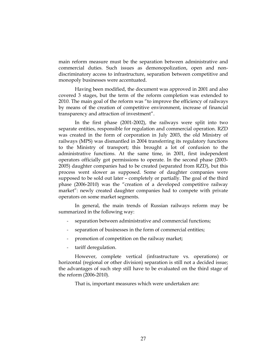main reform measure must be the separation between administrative and commercial duties. Such issues as demonopolization, open and nondiscriminatory access to infrastructure, separation between competitive and monopoly businesses were accentuated.

Having been modified, the document was approved in 2001 and also covered 3 stages, but the term of the reform completion was extended to 2010. The main goal of the reform was "to improve the efficiency of railways by means of the creation of competitive environment, increase of financial transparency and attraction of investment".

In the first phase (2001-2002), the railways were split into two separate entities, responsible for regulation and commercial operation. RZD was created in the form of corporation in July 2003, the old Ministry of railways (MPS) was dismantled in 2004 transferring its regulatory functions to the Ministry of transport; this brought a lot of confusion to the administrative functions. At the same time, in 2001, first independent operators officially got permissions to operate. In the second phase (2003- 2005) daughter companies had to be created (separated from RZD), but this process went slower as supposed. Some of daughter companies were supposed to be sold out later – completely or partially. The goal of the third phase (2006-2010) was the "creation of a developed competitive railway market": newly created daughter companies had to compete with private operators on some market segments.

In general, the main trends of Russian railways reform may be summarized in the following way:

- separation between administrative and commercial functions;
- separation of businesses in the form of commercial entities;
- promotion of competition on the railway market;
- tariff deregulation.

However, complete vertical (infrastructure vs. operations) or horizontal (regional or other division) separation is still not a decided issue; the advantages of such step still have to be evaluated on the third stage of the reform (2006-2010).

That is, important measures which were undertaken are: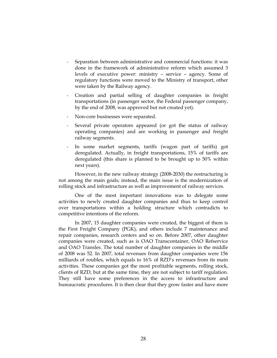- Separation between administrative and commercial functions: it was done in the framework of administrative reform which assumed 3 levels of executive power: ministry – service – agency. Some of regulatory functions were moved to the Ministry of transport, other were taken by the Railway agency.
- Creation and partial selling of daughter companies in freight transportations (in passenger sector, the Federal passenger company, by the end of 2008, was approved but not created yet).
- Non-core businesses were separated.
- Several private operators appeared (or got the status of railway operating companies) and are working in passenger and freight railway segments.
- In some market segments, tariffs (wagon part of tariffs) got deregulated. Actually, in freight transportations, 15% of tariffs are deregulated (this share is planned to be brought up to 50% within next years).

However, in the new railway strategy (2008-2030) the restructuring is not among the main goals; instead, the main issue is the modernization of rolling stock and infrastructure as well as improvement of railway services.

One of the most important innovations was to delegate some activities to newly created daughter companies and thus to keep control over transportations within a holding structure which contradicts to competitive intentions of the reform.

In 2007, 15 daughter companies were created, the biggest of them is the First Freight Company (PGK), and others include 7 maintenance and repair companies, research centers and so on. Before 2007, other daughter companies were created, such as is OAO Transcontainer, OAO Refservice and OAO Transles. The total number of daughter companies in the middle of 2008 was 52. In 2007, total revenues from daughter companies were 156 milliards of roubles, which equals to 16% of RZD's revenues from its main activities. These companies got the most profitable segments, rolling stock, clients of RZD, but at the same time, they are not subject to tariff regulation. They still have some preferences in the access to infrastructure and bureaucratic procedures. It is then clear that they grow faster and have more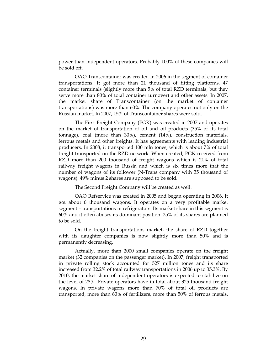power than independent operators. Probably 100% of these companies will be sold off.

OAO Transcontainer was created in 2006 in the segment of container transportations. It got more than 21 thousand of fitting platforms, 47 container terminals (slightly more than 5% of total RZD terminals, but they serve more than 80% of total container turnover) and other assets. In 2007, the market share of Transcontainer (on the market of container transportations) was more than 60%. The company operates not only on the Russian market. In 2007, 15% of Transcontainer shares were sold.

The First Freight Company (PGK) was created in 2007 and operates on the market of transportation of oil and oil products (35% of its total tonnage), coal (more than 30%), cement (14%), construction materials, ferrous metals and other freights. It has agreements with leading industrial producers. In 2008, it transported 100 mln tones, which is about 7% of total freight transported on the RZD network. When created, PGK received from RZD more than 200 thousand of freight wagons which is 21% of total railway freight wagons in Russia and which is six times more that the number of wagons of its follower (N-Trans company with 35 thousand of wagons). 49% minus 2 shares are supposed to be sold.

The Second Freight Company will be created as well.

OAO Refservice was created in 2005 and began operating in 2006. It got about 6 thousand wagons. It operates on a very profitable market segment – transportations in refrigerators. Its market share in this segment is 60% and it often abuses its dominant position. 25% of its shares are planned to be sold.

On the freight transportations market, the share of RZD together with its daughter companies is now slightly more than 50% and is permanently decreasing.

Actually, more than 2000 small companies operate on the freight market (32 companies on the passenger market). In 2007, freight transported in private rolling stock accounted for 527 million tones and its share increased from 32,2% of total railway transportations in 2006 up to 35,3%. By 2010, the market share of independent operators is expected to stabilize on the level of 28%. Private operators have in total about 325 thousand freight wagons. In private wagons more than 70% of total oil products are transported, more than 60% of fertilizers, more than 50% of ferrous metals.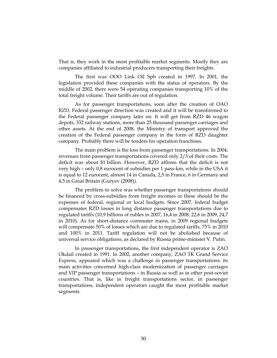That is, they work in the most profitable market segments. Mostly they are companies affiliated to industrial producers transporting their freights.

The first was OOO Link Oil Spb created in 1997. In 2001, the legislation provided these companies with the status of operators. By the middle of 2002, there were 54 operating companies transporting 10% of the total freight volume. Their tariffs are out of regulation.

As for passenger transportations, soon after the creation of OAO RZD, Federal passenger direction was created and it will be transformed to the Federal passenger company later on. It will get from RZD 46 wagon depots, 332 railway stations, more than 25 thousand passenger carriages and other assets. At the end of 2008, the Ministry of transport approved the creation of the Federal passenger company in the form of RZD daughter company. Probably there will be tenders for operation franchises.

The main problem is the loss from passenger transportations. In 2004, revenues from passenger transportations covered only 2/3 of their costs. The deficit was about \$1 billion. However, RZD affirms that the deficit is not very high – only 0,8 eurocent of subsidies per 1 pass-km, while in the USA it is equal to 12 eurocent, almost 14 in Canada, 2,5 in France, 6 in Germany and 4,5 in Great Britain (Guryev (2008)).

The problem to solve was whether passenger transportations should be financed by cross-subsidies from freight incomes or these should be the expenses of federal, regional or local budgets. Since 2007, federal budget compensates RZD losses in long distance passenger transportations due to regulated tariffs (10,9 billions of rubles in 2007, 16,4 in 2008, 22,6 in 2009, 24,7 in 2010). As for short-distance commuter trains, in 2009 regional budgets will compensate 50% of losses which are due to regulated tariffs, 75% in 2010 and 100% in 2011. Tariff regulation will not be abolished because of universal service obligations, as declared by Russia prime-minister V. Putin.

In passenger transportations, the first independent operator is ZAO Okdail created in 1991. In 2002, another company, ZAO TK Grand Service Express, appeared which was a challenge in passenger transportations: its main activities concerned high-class modernization of passenger carriages and VIP passenger transportations – in Russia as well as in other post-soviet countries. That is, like in freight transportations sector, in passenger transportations, independent operators caught the most profitable market segments.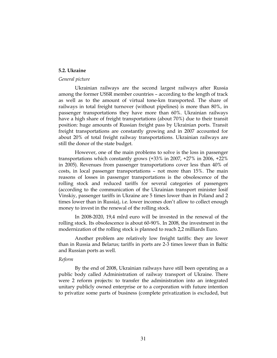### 5.2. Ukraine

# General picture

Ukrainian railways are the second largest railways after Russia among the former USSR member countries – according to the length of track as well as to the amount of virtual tone-km transported. The share of railways in total freight turnover (without pipelines) is more than 80%, in passenger transportations they have more than 60%. Ukrainian railways have a high share of freight transportations (about 70%) due to their transit position: huge amounts of Russian freight pass by Ukrainian ports. Transit freight transportations are constantly growing and in 2007 accounted for about 20% of total freight railway transportations. Ukrainian railways are still the donor of the state budget.

However, one of the main problems to solve is the loss in passenger transportations which constantly grows (+33% in 2007, +27% in 2006, +22% in 2005). Revenues from passenger transportations cover less than 40% of costs, in local passenger transportations – not more than 15%. The main reasons of losses in passenger transportations is the obsolescence of the rolling stock and reduced tariffs for several categories of passengers (according to the communication of the Ukrainian transport minister Iosif Vinskiy, passenger tariffs in Ukraine are 5 times lower than in Poland and 2 times lower than in Russia), i.e. lower incomes don't allow to collect enough money to invest in the renewal of the rolling stock.

In 2008-2020, 19,4 mlrd euro will be invested in the renewal of the rolling stock. Its obsolescence is about 60-90%. In 2008, the investment in the modernization of the rolling stock is planned to reach 2,2 milliards Euro.

Another problem are relatively low freight tariffs: they are lower than in Russia and Belarus; tariffs in ports are 2-3 times lower than in Baltic and Russian ports as well.

#### Reform

By the end of 2008, Ukrainian railways have still been operating as a public body called Administration of railway transport of Ukraine. There were 2 reform projects: to transfer the administration into an integrated unitary publicly owned enterprise or to a corporation with future intention to privatize some parts of business (complete privatization is excluded, but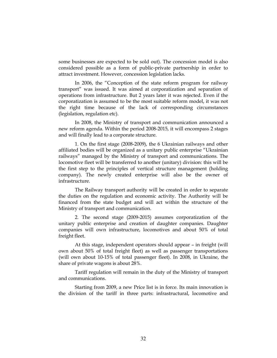some businesses are expected to be sold out). The concession model is also considered possible as a form of public-private partnership in order to attract investment. However, concession legislation lacks.

In 2006, the "Conception of the state reform program for railway transport" was issued. It was aimed at corporatization and separation of operations from infrastructure. But 2 years later it was rejected. Even if the corporatization is assumed to be the most suitable reform model, it was not the right time because of the lack of corresponding circumstances (legislation, regulation etc).

In 2008, the Ministry of transport and communication announced a new reform agenda. Within the period 2008-2015, it will encompass 2 stages and will finally lead to a corporate structure.

1. On the first stage (2008-2009), the 6 Ukrainian railways and other affiliated bodies will be organized as a unitary public enterprise "Ukrainian railways" managed by the Ministry of transport and communications. The locomotive fleet will be transferred to another (unitary) division: this will be the first step to the principles of vertical structure management (holding company). The newly created enterprise will also be the owner of infrastructure.

The Railway transport authority will be created in order to separate the duties on the regulation and economic activity. The Authority will be financed from the state budget and will act within the structure of the Ministry of transport and communication.

2. The second stage (2009-2015) assumes corporatization of the unitary public enterprise and creation of daughter companies. Daughter companies will own infrastructure, locomotives and about 50% of total freight fleet.

At this stage, independent operators should appear – in freight (will own about 50% of total freight fleet) as well as passenger transportations (will own about 10-15% of total passenger fleet). In 2008, in Ukraine, the share of private wagons is about 28%.

Tariff regulation will remain in the duty of the Ministry of transport and communications.

Starting from 2009, a new Price list is in force. Its main innovation is the division of the tariff in three parts: infrastructural, locomotive and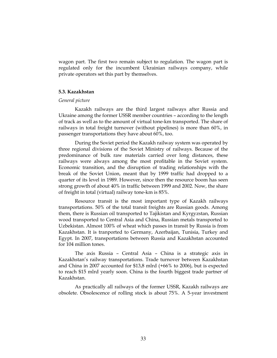wagon part. The first two remain subject to regulation. The wagon part is regulated only for the incumbent Ukrainian railways company, while private operators set this part by themselves.

# 5.3. Kazakhstan

# General picture

Kazakh railways are the third largest railways after Russia and Ukraine among the former USSR member countries – according to the length of track as well as to the amount of virtual tone-km transported. The share of railways in total freight turnover (without pipelines) is more than 60%, in passenger transportations they have about 60%, too.

During the Soviet period the Kazakh railway system was operated by three regional divisions of the Soviet Ministry of railways. Because of the predominance of bulk raw materials carried over long distances, these railways were always among the most profitable in the Soviet system. Economic transition, and the disruption of trading relationships with the break of the Soviet Union, meant that by 1999 traffic had dropped to a quarter of its level in 1989. However, since then the resource boom has seen strong growth of about 40% in traffic between 1999 and 2002. Now, the share of freight in total (virtual) railway tone-km is 85%.

Resource transit is the most important type of Kazakh railways transportations. 50% of the total transit freights are Russian goods. Among them, there is Russian oil transported to Tajikistan and Kyrgyzstan, Russian wood transported to Central Asia and China, Russian metals transported to Uzbekistan. Almost 100% of wheat which passes in transit by Russia is from Kazakhstan. It is tranported to Germany, Azerbaijan, Tunisia, Turkey and Egypt. In 2007, transportations between Russia and Kazakhstan accounted for 104 million tones.

The axis Russia – Central Asia – China is a strategic axis in Kazakhstan's railway transportations. Trade turnover between Kazakhstan and China in 2007 accounted for \$13,8 mlrd (+66% to 2006), but is expected to reach \$15 mlrd yearly soon. China is the fourth biggest trade partner of Kazakhstan.

As practically all railways of the former USSR, Kazakh railways are obsolete. Obsolescence of rolling stock is about 75%. A 5-year investment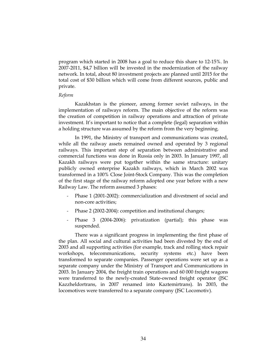program which started in 2008 has a goal to reduce this share to 12-15%. In 2007-2011, \$4,7 billion will be invested in the modernization of the railway network. In total, about 80 investment projects are planned until 2015 for the total cost of \$30 billion which will come from different sources, public and private.

# Reform

Kazakhstan is the pioneer, among former soviet railways, in the implementation of railways reform. The main objective of the reform was the creation of competition in railway operations and attraction of private investment. It's important to notice that a complete (legal) separation within a holding structure was assumed by the reform from the very beginning.

In 1991, the Ministry of transport and communications was created, while all the railway assets remained owned and operated by 3 regional railways. This important step of separation between administrative and commercial functions was done in Russia only in 2003. In January 1997, all Kazakh railways were put together within the same structure: unitary publicly owned enterprise Kazakh railways, which in March 2002 was transformed in a 100% Close Joint-Stock Company. This was the completion of the first stage of the railway reform adopted one year before with a new Railway Law. The reform assumed 3 phases:

- Phase 1 (2001-2002): commercialization and divestment of social and non-core activities;
- Phase 2 (2002-2004): competition and institutional changes;
- Phase 3 (2004-2006): privatization (partial); this phase was suspended.

There was a significant progress in implementing the first phase of the plan. All social and cultural activities had been divested by the end of 2003 and all supporting activities (for example, track and rolling stock repair workshops, telecommunications, security systems etc.) have been transformed to separate companies. Passenger operations were set up as a separate company under the Ministry of Transport and Communications in 2003. In January 2004, the freight train operations and 60 000 freight wagons were transferred to the newly-created State-owned freight operator (JSC Kazzheldortrans, in 2007 renamed into Kaztemirtrans). In 2003, the locomotives were transferred to a separate company (JSC Locomotiv).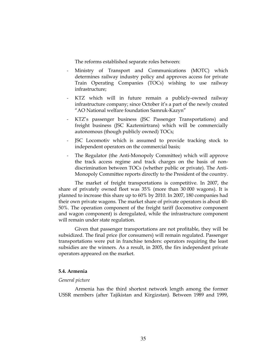The reforms established separate roles between:

- Ministry of Transport and Communications (MOTC) which determines railway industry policy and approves access for private Train Operating Companies (TOCs) wishing to use railway infrastructure;
- KTZ which will in future remain a publicly-owned railway infrastructure company; since October it's a part of the newly created "AO National welfare foundation Samruk-Kazyn"
- KTZ's passenger business (JSC Passenger Transportations) and freight business (JSC Kaztemirtrans) which will be commercially autonomous (though publicly owned) TOCs;
- JSC Locomotiv which is assumed to provide tracking stock to independent operators on the commercial basis;
- The Regulator (the Anti-Monopoly Committee) which will approve the track access regime and track charges on the basis of nondiscrimination between TOCs (whether public or private). The Anti-Monopoly Committee reports directly to the President of the country.

The market of freight transportations is competitive. In 2007, the share of privately owned fleet was 35% (more than 30 000 wagons). It is planned to increase this share up to 60% by 2010. In 2007, 180 companies had their own private wagons. The market share of private operators is about 40- 50%. The operation component of the freight tariff (locomotive component and wagon component) is deregulated, while the infrastructure component will remain under state regulation.

Given that passenger transportations are not profitable, they will be subsidized. The final price (for consumers) will remain regulated. Passenger transportations were put in franchise tenders: operators requiring the least subsidies are the winners. As a result, in 2005, the firs independent private operators appeared on the market.

# 5.4. Armenia

#### General picture

Armenia has the third shortest network length among the former USSR members (after Tajikistan and Kirgizstan). Between 1989 and 1999,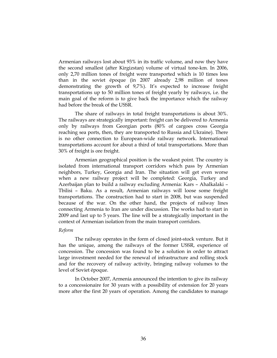Armenian railways lost about 93% in its traffic volume, and now they have the second smallest (after Kirgizstan) volume of virtual tone-km. In 2006, only 2,70 million tones of freight were transported which is 10 times less than in the soviet époque (in 2007 already 2,98 million of tones demonstrating the growth of 9,7%). It's expected to increase freight transportations up to 50 million tones of freight yearly by railways, i.e. the main goal of the reform is to give back the importance which the railway had before the break of the USSR.

The share of railways in total freight transportations is about 30%. The railways are strategically important: freight can be delivered to Armenia only by railways from Georgian ports (80% of cargoes cross Georgia reaching sea ports, then, they are transported to Russia and Ukraine). There is no other connection to European-wide railway network. International transportations account for about a third of total transportations. More than 30% of freight is ore freight.

Armenian geographical position is the weakest point. The country is isolated from international transport corridors which pass by Armenian neighbors, Turkey, Georgia and Iran. The situation will get even worse when a new railway project will be completed: Georgia, Turkey and Azerbaijan plan to build a railway excluding Armenia: Kars – Ahalkalaki – Tbilisi – Baku. As a result, Armenian railways will loose some freight transportations. The construction had to start in 2008, but was suspended because of the war. On the other hand, the projects of railway lines connecting Armenia to Iran are under discussion. The works had to start in 2009 and last up to 5 years. The line will be a strategically important in the context of Armenian isolation from the main transport corridors.

# Reform

The railway operates in the form of closed joint-stock venture. But it has the unique, among the railways of the former USSR, experience of concession. The concession was found to be a solution in order to attract large investment needed for the renewal of infrastructure and rolling stock and for the recovery of railway activity, bringing railway volumes to the level of Soviet époque.

In October 2007, Armenia announced the intention to give its railway to a concessionaire for 30 years with a possibility of extension for 20 years more after the first 20 years of operation. Among the candidates to manage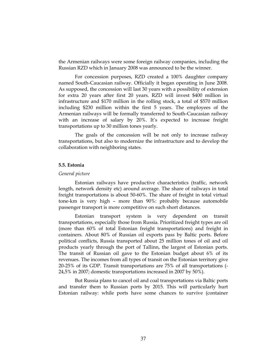the Armenian railways were some foreign railway companies, including the Russian RZD which in January 2008 was announced to be the winner.

For concession purposes, RZD created a 100% daughter company named South-Caucasian railway. Officially it began operating in June 2008. As supposed, the concession will last 30 years with a possibility of extension for extra 20 years after first 20 years. RZD will invest \$400 million in infrastructure and \$170 million in the rolling stock, a total of \$570 million including \$230 million within the first 5 years. The employees of the Armenian railways will be formally transferred to South-Caucasian railway with an increase of salary by 20%. It's expected to increase freight transportations up to 30 million tones yearly.

The goals of the concession will be not only to increase railway transportations, but also to modernize the infrastructure and to develop the collaboration with neighboring states.

### 5.5. Estonia

### General picture

Estonian railways have productive characteristics (traffic, network length, network density etc) around average. The share of railways in total freight transportations is about 50-60%. The share of freight in total virtual tone-km is very high – more than 90%: probably because automobile passenger transport is more competitive on such short distances.

Estonian transport system is very dependent on transit transportations, especially those from Russia. Prioritized freight types are oil (more than 60% of total Estonian freight transportations) and freight in containers. About 80% of Russian oil exports pass by Baltic ports. Before political conflicts, Russia transported about 25 million tones of oil and oil products yearly through the port of Tallinn, the largest of Estonian ports. The transit of Russian oil gave to the Estonian budget about 6% of its revenues. The incomes from all types of transit on the Estonian territory give 20-25% of its GDP. Transit transportations are 75% of all transportations (- 24,5% in 2007; domestic transportations increased in 2007 by 50%).

But Russia plans to cancel oil and coal transportations via Baltic ports and transfer them to Russian ports by 2015. This will particularly hurt Estonian railway: while ports have some chances to survive (container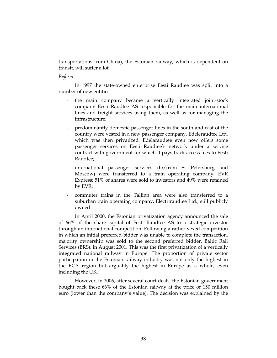transportations from China), the Estonian railway, which is dependent on transit, will suffer a lot.

### Reform

In 1997 the state-owned enterprise Eesti Raudtee was split into a number of new entities:

- the main company became a vertically integrated joint-stock company Eesti Raudtee AS responsible for the main international lines and freight services using them, as well as for managing the infrastructure;
- predominantly domestic passenger lines in the south and east of the country were vested in a new passenger company, Edeleraudtee Ltd, which was then privatized: Edelaraudtee even now offers some passenger services on Eesti Raudtee's network under a service contract with government for which it pays track access fees to Eesti Raudtee;
- international passenger services (to/from St Petersburg and Moscow) were transferred to a train operating company, EVR Express; 51% of shares were sold to investors and 49% were retained by EVR;
- commuter trains in the Tallinn area were also transferred to a suburban train operating company, Electriraudtee Ltd., still publicly owned.

In April 2000, the Estonian privatization agency announced the sale of 66% of the share capital of Eesti Raudtee AS to a strategic investor through an international competition. Following a rather vexed competition in which an initial preferred bidder was unable to complete the transaction, majority ownership was sold to the second preferred bidder, Baltic Rail Services (BRS), in August 2001. This was the first privatization of a vertically integrated national railway in Europe. The proportion of private sector participation in the Estonian railway industry was not only the highest in the ECA region but arguably the highest in Europe as a whole, even including the UK.

However, in 2006, after several court deals, the Estonian government bought back these 66% of the Estonian railway at the price of 150 million euro (lower than the company's value). The decision was explained by the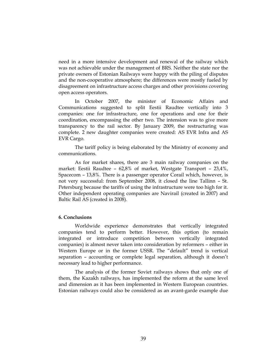need in a more intensive development and renewal of the railway which was not achievable under the management of BRS. Neither the state nor the private owners of Estonian Railways were happy with the piling of disputes and the non-cooperative atmosphere; the differences were mostly fueled by disagreement on infrastructure access charges and other provisions covering open access operators.

In October 2007, the minister of Economic Affairs and Communications suggested to split Eestii Raudtee vertically into 3 companies: one for infrastructure, one for operations and one for their coordination, encompassing the other two. The intension was to give more transparency to the rail sector. By January 2009, the restructuring was complete. 2 new daughter companies were created: AS EVR Infra and AS EVR Cargo.

The tariff policy is being elaborated by the Ministry of economy and communications.

As for market shares, there are 3 main railway companies on the market: Eestii Raudtee – 62,8% of market, Westgate Transport – 23,4%, Spacecom – 13,8%. There is a passenger operator Corail which, however, is not very successful: from September 2008, it closed the line Tallinn – St. Petersburg because the tariffs of using the infrastructure were too high for it. Other independent operating companies are Navirail (created in 2007) and Baltic Rail AS (created in 2008).

### 6. Conclusions

Worldwide experience demonstrates that vertically integrated companies tend to perform better. However, this option (to remain integrated or introduce competition between vertically integrated companies) is almost never taken into consideration by reformers – either in Western Europe or in the former USSR. The "default" trend is vertical separation – accounting or complete legal separation, although it doesn't necessary lead to higher performance.

The analysis of the former Soviet railways shows that only one of them, the Kazakh railways, has implemented the reform at the same level and dimension as it has been implemented in Western European countries. Estonian railways could also be considered as an avant-garde example due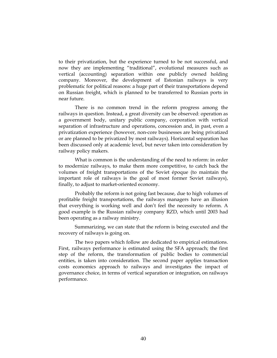to their privatization, but the experience turned to be not successful, and now they are implementing "traditional", evolutional measures such as vertical (accounting) separation within one publicly owned holding company. Moreover, the development of Estonian railways is very problematic for political reasons: a huge part of their transportations depend on Russian freight, which is planned to be transferred to Russian ports in near future.

There is no common trend in the reform progress among the railways in question. Instead, a great diversity can be observed: operation as a government body, unitary public company, corporation with vertical separation of infrastructure and operations, concession and, in past, even a privatization experience (however, non-core businesses are being privatized or are planned to be privatized by most railways). Horizontal separation has been discussed only at academic level, but never taken into consideration by railway policy makers.

What is common is the understanding of the need to reform: in order to modernize railways, to make them more competitive, to catch back the volumes of freight transportations of the Soviet époque (to maintain the important role of railways is the goal of most former Soviet railways), finally, to adjust to market-oriented economy.

Probably the reform is not going fast because, due to high volumes of profitable freight transportations, the railways managers have an illusion that everything is working well and don't feel the necessity to reform. A good example is the Russian railway company RZD, which until 2003 had been operating as a railway ministry.

Summarizing, we can state that the reform is being executed and the recovery of railways is going on.

The two papers which follow are dedicated to empirical estimations. First, railways performance is estimated using the SFA approach; the first step of the reform, the transformation of public bodies to commercial entities, is taken into consideration. The second paper applies transaction costs economics approach to railways and investigates the impact of governance choice, in terms of vertical separation or integration, on railways performance.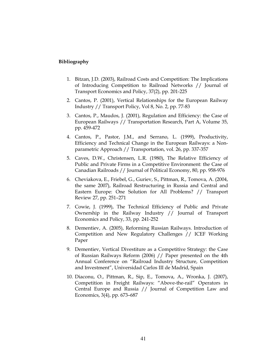# Bibliography

- 1. Bitzan, J.D. (2003), Railroad Costs and Competition: The Implications of Introducing Competition to Railroad Networks // Journal of Transport Economics and Policy, 37(2), pp. 201-225
- 2. Cantos, P. (2001), Vertical Relationships for the European Railway Industry // Transport Policy, Vol 8, No. 2, pp. 77-83
- 3. Cantos, P., Maudos, J. (2001), Regulation and Efficiency: the Case of European Railways // Transportation Research, Part A, Volume 35, pp. 459-472
- 4. Cantos, P., Pastor, J.M., and Serrano, L. (1999), Productivity, Efficiency and Technical Change in the European Railways: a Nonparametric Approach // Transportation, vol. 26, pp. 337-357
- 5. Caves, D.W., Christensen, L.R. (1980), The Relative Efficiency of Public and Private Firms in a Competitive Environment: the Case of Canadian Railroads // Journal of Political Economy, 80, pp. 958-976
- 6. Cheviakova, E., Friebel, G., Guriev, S., Pittman, R., Tomova, A. (2004, the same 2007), Railroad Restructuring in Russia and Central and Eastern Europe: One Solution for All Problems? // Transport Review 27, pp. 251–271
- 7. Cowie, J. (1999), The Technical Efficiency of Public and Private Ownership in the Railway Industry // Journal of Transport Economics and Policy, 33, pp. 241-252
- 8. Dementiev, A. (2005), Reforming Russian Railways. Introduction of Competition and New Regulatory Challenges // ICEF Working Paper
- 9. Dementiev, Vertical Divestiture as a Competitive Strategy: the Case of Russian Railways Reform (2006) // Paper presented on the 4th Annual Conference on "Railroad Industry Structure, Competition and Investment", Universidad Carlos III de Madrid, Spain
- 10. Diaconu, O., Pittman, R., Sip, E., Tomova, A., Wronka, J. (2007), Competition in Freight Railways: "Above-the-rail" Operators in Central Europe and Russia // Journal of Competition Law and Economics, 3(4), pp. 673–687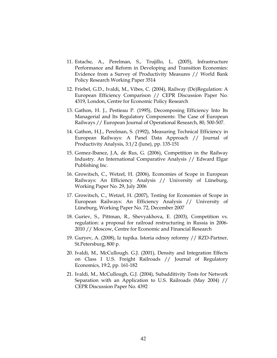- 11. Estache, A., Perelman, S., Trujillo, L. (2005), Infrastructure Performance and Reform in Developing and Transition Economies: Evidence from a Survey of Productivity Measures // World Bank Policy Research Working Paper 3514
- 12. Friebel, G.D., Ivaldi, M., Vibes, C. (2004), Railway (De)Regulation: A European Efficiency Comparison // CEPR Discussion Paper No. 4319, London, Centre for Economic Policy Research
- 13. Gathon, H. J., Pestieau P. (1995), Decomposing Efficiency Into Its Managerial and Its Regulatory Components: The Case of European Railways // European Journal of Operational Research, 80, 500-507.
- 14. Gathon, H.J., Perelman, S. (1992), Measuring Technical Efficiency in European Railways: A Panel Data Approach // Journal of Productivity Analysis, 3:1/2 (June), pp. 135-151
- 15. Gomez-Ibanez, J.A, de Rus, G. (2006), Competition in the Railway Industry. An International Comparative Analysis // Edward Elgar Publishing Inc.
- 16. Growitsch, C., Wetzel, H. (2006), Economies of Scope in European Railways: An Efficiency Analysis // University of Lüneburg, Working Paper No. 29, July 2006
- 17. Growitsch, C., Wetzel, H. (2007), Testing for Economies of Scope in European Railways: An Efficiency Analysis // University of Lüneburg, Working Paper No. 72, December 2007
- 18. Guriev, S., Pittman, R., Shevyakhova, E. (2003), Competition vs. regulation: a proposal for railroad restructuring in Russia in 2006- 2010 // Moscow, Centre for Economic and Financial Research
- 19. Guryev, A. (2008), Iz tupika. Istoria odnoy reformy // RZD-Partner, St.Petersburg, 800 p.
- 20. Ivaldi, M., McCullough. G.J. (2001), Density and Integration Effects on Class I U.S. Freight Railroads // Journal of Regulatory Economics, 19:2, pp. 161-182
- 21. Ivaldi, M., McCullough, G.J. (2004), Subadditivity Tests for Network Separation with an Application to U.S. Railroads (May 2004) // CEPR Discussion Paper No. 4392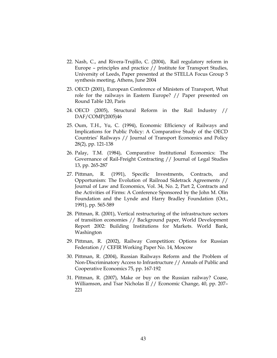- 22. Nash, C., and Rivera-Trujillo, C. (2004), Rail regulatory reform in Europe – principles and practice // Institute for Transport Studies, University of Leeds, Paper presented at the STELLA Focus Group 5 synthesis meeting, Athens, June 2004
- 23. OECD (2001), European Conference of Ministers of Transport, What role for the railways in Eastern Europe? // Paper presented on Round Table 120, Paris
- 24. OECD (2005), Structural Reform in the Rail Industry // DAF/COMP(2005)46
- 25. Oum, T.H., Yu, C. (1994), Economic Efficiency of Railways and Implications for Public Policy: A Comparative Study of the OECD Countries' Railways // Journal of Transport Economics and Policy 28(2), pp. 121-138
- 26. Palay, T.M. (1984), Comparative Institutional Economics: The Governance of Rail-Freight Contracting // Journal of Legal Studies 13, pp. 265-287
- 27. Pittman, R. (1991), Specific Investments, Contracts, and Opportunism: The Evolution of Railroad Sidetrack Agreements // Journal of Law and Economics, Vol. 34, No. 2, Part 2, Contracts and the Activities of Firms: A Conference Sponsored by the John M. Olin Foundation and the Lynde and Harry Bradley Foundation (Oct., 1991), pp. 565-589
- 28. Pittman, R. (2001), Vertical restructuring of the infrastructure sectors of transition economies // Background paper, World Development Report 2002: Building Institutions for Markets. World Bank, Washington
- 29. Pittman, R. (2002), Railway Competition: Options for Russian Federation // CEFIR Working Paper No. 14, Moscow
- 30. Pittman, R. (2004), Russian Railways Reform and the Problem of Non-Discriminatory Access to Infrastructure // Annals of Public and Cooperative Economics 75, pp. 167-192
- 31. Pittman, R. (2007), Make or buy on the Russian railway? Coase, Williamson, and Tsar Nicholas II // Economic Change, 40, pp. 207– 221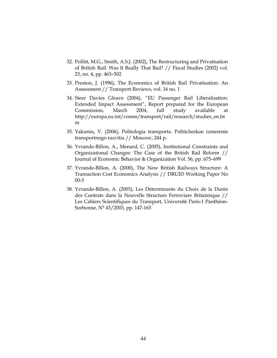- 32. Pollitt, M.G., Smith, A.S.J. (2002), The Restructuring and Privatisation of British Rail: Was It Really That Bad? // Fiscal Studies (2002) vol. 23, no. 4, pp. 463–502
- 33. Preston, J. (1996), The Economics of British Rail Privatisation: An Assessment // Transport Reviews, vol. 16 no. 1
- 34. Steer Davies Gleave (2004), "EU Passenger Rail Liberalisation: Extended Impact Assessment", Report prepared for the European Commission, March 2004, full study available at http://europa.eu.int/comm/transport/rail/research/studies\_en.ht m
- 35. Yakunin, V. (2006), Politologia transporta. Politicheskoe izmerenie transportnogo razvitia // Moscow, 244 p.
- 36. Yvrande-Billon, A., Menard, C. (2005), Institutional Constraints and Organizational Changes: The Case of the British Rail Reform // Journal of Economic Behavior & Organization Vol. 56, pp. 675–699
- 37. Yvrande-Billon, A. (2000), The New British Railways Structure: A Transaction Cost Economics Analysis // DRUID Working Paper No 00-5
- 38. Yvrande-Billon, A. (2003), Les Déterminants du Choix de la Durée des Contrats dans la Nouvelle Structure Ferroviare Britannique // Les Cahiers Scientifiques du Transport, Université Paris-1 Panthéon-Sorbonne, N° 43/2003, pp. 147-163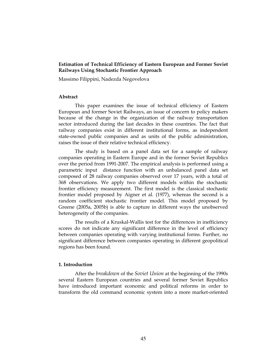# Estimation of Technical Efficiency of Eastern European and Former Soviet Railways Using Stochastic Frontier Approach

Massimo Filippini, Nadezda Negovelova

### Abstract

This paper examines the issue of technical efficiency of Eastern European and former Soviet Railways, an issue of concern to policy makers because of the change in the organization of the railway transportation sector introduced during the last decades in these countries. The fact that railway companies exist in different institutional forms, as independent state-owned public companies and as units of the public administration, raises the issue of their relative technical efficiency.

The study is based on a panel data set for a sample of railway companies operating in Eastern Europe and in the former Soviet Republics over the period from 1991-2007. The empirical analysis is performed using a parametric input distance function with an unbalanced panel data set composed of 28 railway companies observed over 17 years, with a total of 368 observations. We apply two different models within the stochastic frontier efficiency measurement. The first model is the classical stochastic frontier model proposed by Aigner et al. (1977), whereas the second is a random coefficient stochastic frontier model. This model proposed by Greene (2005a, 2005b) is able to capture in different ways the unobserved heterogeneity of the companies.

The results of a Kruskal-Wallis test for the differences in inefficiency scores do not indicate any significant difference in the level of efficiency between companies operating with varying institutional forms. Further, no significant difference between companies operating in different geopolitical regions has been found.

# 1. Introduction

After the breakdown of the Soviet Union at the beginning of the 1990s several Eastern European countries and several former Soviet Republics have introduced important economic and political reforms in order to transform the old command economic system into a more market-oriented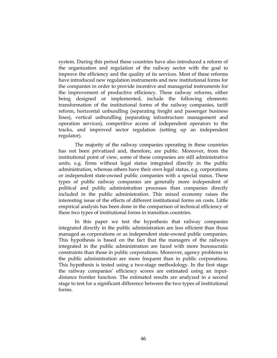system. During this period these countries have also introduced a reform of the organization and regulation of the railway sector with the goal to improve the efficiency and the quality of its services. Most of these reforms have introduced new regulation instruments and new institutional forms for the companies in order to provide incentive and managerial instruments for the improvement of productive efficiency. These railway reforms, either being designed or implemented, include the following elements: transformation of the institutional forms of the railway companies, tariff reform, horizontal unbundling (separating freight and passenger business lines), vertical unbundling (separating infrastructure management and operation services), competitive access of independent operators to the tracks, and improved sector regulation (setting up an independent regulator).

The majority of the railway companies operating in these countries has not been privatized and, therefore, are public. Moreover, from the institutional point of view, some of these companies are still administrative units, e.g. firms without legal status integrated directly in the public administration, whereas others have their own legal status, e.g. corporations or independent state-owned public companies with a special status. These types of public railway companies are generally more independent of political and public administration processes than companies directly included in the public administration. This mixed economy raises the interesting issue of the effects of different institutional forms on costs. Little empirical analysis has been done in the comparison of technical efficiency of these two types of institutional forms in transition countries.

In this paper we test the hypothesis that railway companies integrated directly in the public administration are less efficient than those managed as corporations or as independent state-owned public companies. This hypothesis is based on the fact that the managers of the railways integrated in the public administration are faced with more bureaucratic constraints than those in public corporations. Moreover, agency problems in the public administration are more frequent than in public corporations. This hypothesis is tested using a two-stage methodology. In the first stage the railway companies' efficiency scores are estimated using an inputdistance frontier function. The estimated results are analyzed in a second stage to test for a significant difference between the two types of institutional forms.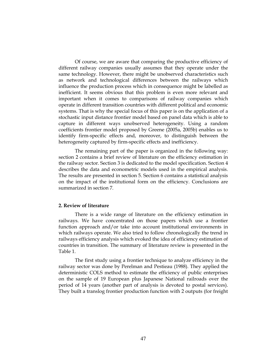Of course, we are aware that comparing the productive efficiency of different railway companies usually assumes that they operate under the same technology. However, there might be unobserved characteristics such as network and technological differences between the railways which influence the production process which in consequence might be labelled as inefficient. It seems obvious that this problem is even more relevant and important when it comes to comparisons of railway companies which operate in different transition countries with different political and economic systems. That is why the special focus of this paper is on the application of a stochastic input distance frontier model based on panel data which is able to capture in different ways unobserved heterogeneity. Using a random coefficients frontier model proposed by Greene (2005a, 2005b) enables us to identify firm-specific effects and, moreover, to distinguish between the heterogeneity captured by firm-specific effects and inefficiency.

The remaining part of the paper is organized in the following way: section 2 contains a brief review of literature on the efficiency estimation in the railway sector. Section 3 is dedicated to the model specification. Section 4 describes the data and econometric models used in the empirical analysis. The results are presented in section 5. Section 6 contains a statistical analysis on the impact of the institutional form on the efficiency. Conclusions are summarized in section 7.

### 2. Review of literature

There is a wide range of literature on the efficiency estimation in railways. We have concentrated on those papers which use a frontier function approach and/or take into account institutional environments in which railways operate. We also tried to follow chronologically the trend in railways efficiency analysis which evoked the idea of efficiency estimation of countries in transition. The summary of literature review is presented in the Table 1.

The first study using a frontier technique to analyze efficiency in the railway sector was done by Perelman and Pestieau (1988). They applied the deterministic COLS method to estimate the efficiency of public enterprises on the sample of 19 European plus Japanese National railroads over the period of 14 years (another part of analysis is devoted to postal services). They built a translog frontier production function with 2 outputs (for freight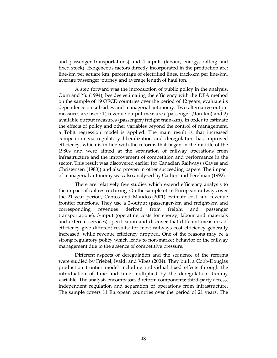and passenger transportations) and 4 inputs (labour, energy, rolling and fixed stock). Exogeneous factors directly incorporated in the production are: line-km per square km, percentage of electrified lines, track-km per line-km, average passenger journey and average length of haul ton.

A step forward was the introduction of public policy in the analysis. Oum and Yu (1994), besides estimating the efficiency with the DEA method on the sample of 19 OECD countries over the period of 12 years, evaluate its dependence on subsidies and managerial autonomy. Two alternative output measures are used: 1) revenue-output measures (passenger-/ton-km) and 2) available output measures (passenger/freight train-km). In order to estimate the effects of policy and other variables beyond the control of management, a Tobit regression model is applied. The main result is that increased competition via regulatory liberalization and deregulation has improved efficiency, which is in line with the reforms that began in the middle of the 1980s and were aimed at the separation of railway operations from infrastructure and the improvement of competition and performance in the sector. This result was discovered earlier for Canadian Railways (Caves and Christensen (1980)) and also proven in other succeeding papers. The impact of managerial autonomy was also analyzed by Gathon and Perelman (1992).

There are relatively few studies which extend efficiency analysis to the impact of rail restructuring. On the sample of 16 European railways over the 21-year period, Cantos and Maudos (2001) estimate cost and revenue frontier functions. They use a 2-output (passenger-km and freight-km and corresponding revenues derived from freight and passenger transportations), 3-input (operating costs for energy, labour and materials and external services) specification and discover that different measures of efficiency give different results: for most railways cost efficiency generally increased, while revenue efficiency dropped. One of the reasons may be a strong regulatory policy which leads to non-market behavior of the railway management due to the absence of competitive pressure.

Different aspects of deregulation and the sequence of the reforms were studied by Friebel, Ivaldi and Vibes (2004). They built a Cobb-Douglas production frontier model including individual fixed effects through the introduction of time and time multiplied by the deregulation dummy variable. The analysis encompasses 3 reform components: third-party access, independent regulation and separation of operations from infrastructure. The sample covers 11 European countries over the period of 21 years. The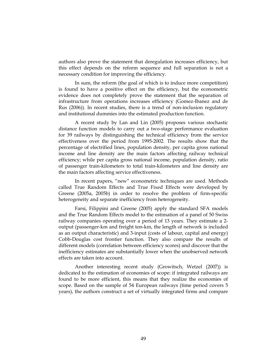authors also prove the statement that deregulation increases efficiency, but this effect depends on the reform sequence and full separation is not a necessary condition for improving the efficiency.

In sum, the reform (the goal of which is to induce more competition) is found to have a positive effect on the efficiency, but the econometric evidence does not completely prove the statement that the separation of infrastructure from operations increases efficiency (Gomez-Ibanez and de Rus (2006)). In recent studies, there is a trend of non-inclusion regulatory and institutional dummies into the estimated production function.

A recent study by Lan and Lin (2005) proposes various stochastic distance function models to carry out a two-stage performance evaluation for 39 railways by distinguishing the technical efficiency from the service effectiveness over the period from 1995-2002. The results show that the percentage of electrified lines, population density, per capita gross national income and line density are the main factors affecting railway technical efficiency; while per capita gross national income, population density, ratio of passenger train-kilometers to total train-kilometers and line density are the main factors affecting service effectiveness.

In recent papers, "new" econometric techniques are used. Methods called True Random Effects and True Fixed Effects were developed by Greene (2005a, 2005b) in order to resolve the problem of firm-specific heterogeneity and separate inefficiency from heterogeneity.

Farsi, Filippini and Greene (2005) apply the standard SFA models and the True Random Effects model to the estimation of a panel of 50 Swiss railway companies operating over a period of 13 years. They estimate a 2 output (passenger-km and freight ton-km, the length of network is included as an output characteristic) and 3-input (costs of labour, capital and energy) Cobb-Douglas cost frontier function. They also compare the results of different models (correlation between efficiency scores) and discover that the inefficiency estimates are substantially lower when the unobserved network effects are taken into account.

Another interesting recent study (Growitsch, Wetzel (2007)) is dedicated to the estimation of economies of scope: if integrated railways are found to be more efficient, this means that they realize the economies of scope. Based on the sample of 54 European railways (time period covers 5 years), the authors construct a set of virtually integrated firms and compare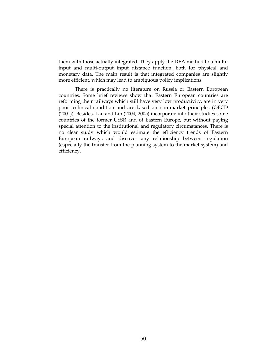them with those actually integrated. They apply the DEA method to a multiinput and multi-output input distance function, both for physical and monetary data. The main result is that integrated companies are slightly more efficient, which may lead to ambiguous policy implications.

There is practically no literature on Russia or Eastern European countries. Some brief reviews show that Eastern European countries are reforming their railways which still have very low productivity, are in very poor technical condition and are based on non-market principles (OECD (2001)). Besides, Lan and Lin (2004, 2005) incorporate into their studies some countries of the former USSR and of Eastern Europe, but without paying special attention to the institutional and regulatory circumstances. There is no clear study which would estimate the efficiency trends of Eastern European railways and discover any relationship between regulation (especially the transfer from the planning system to the market system) and efficiency.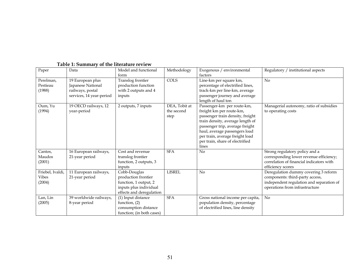| Paper                                      | Data                                                                                  | Model and functional<br>form                                                                                       | Methodology                         | Exogenous / environmental<br>factors                                                                                                                                                                                                                                              | Regulatory / institutional aspects                                                                                                                    |
|--------------------------------------------|---------------------------------------------------------------------------------------|--------------------------------------------------------------------------------------------------------------------|-------------------------------------|-----------------------------------------------------------------------------------------------------------------------------------------------------------------------------------------------------------------------------------------------------------------------------------|-------------------------------------------------------------------------------------------------------------------------------------------------------|
| Perelman,<br>Pestieau<br>(1988)            | 19 European plus<br>Japanese National<br>railways, postal<br>services, 14 year-period | Translog frontier<br>production function<br>with 2 outputs and 4<br>inputs                                         | COLS                                | Line-km per square km,<br>percentage of electrified lines,<br>track-km per line-km, average<br>passenger journey and average<br>length of haul ton                                                                                                                                | $\rm No$                                                                                                                                              |
| Oum, Yu<br>(1994)                          | 19 OECD railways, 12<br>year-period                                                   | 2 outputs, 7 inputs                                                                                                | DEA, Tobit at<br>the second<br>step | Passenger-km per route-km,<br>freight km per route-km,<br>passenger train density, freight<br>train density, average length of<br>passenger trip, average freight<br>haul, average passengers load<br>per train, average freight load<br>per train, share of electrified<br>lines | Managerial autonomy, ratio of subsidies<br>to operating costs                                                                                         |
| Cantos,<br>Maudos<br>(2001)                | 16 European railways,<br>21-year period                                               | Cost and revenue<br>translog frontier<br>function, 2 outputs, 3<br>inputs                                          | <b>SFA</b>                          | No                                                                                                                                                                                                                                                                                | Strong regulatory policy and a<br>corresponding lower revenue efficiency;<br>correlation of financial indicators with<br>efficiency scores            |
| Friebel, Ivaldi,<br><b>Vibes</b><br>(2004) | 11 European railways,<br>21-year period                                               | Cobb-Douglas<br>production frontier<br>function, 1 output, 2<br>inputs plus individual<br>effects and deregulation | <b>LISREL</b>                       | No                                                                                                                                                                                                                                                                                | Deregulation dummy covering 3 reform<br>components: third-party access,<br>independent regulation and separation of<br>operations from infrastructure |
| Lan, Lin<br>(2005)                         | 39 worldwide railways,<br>8-year period                                               | (1) Input distance<br>function, (2)<br>consumption distance<br>function; (in both cases)                           | <b>SFA</b>                          | Gross national income per capita,<br>population density, percentage<br>of electrified lines, line density                                                                                                                                                                         | N <sub>o</sub>                                                                                                                                        |

# Table 1: Summary of the literature review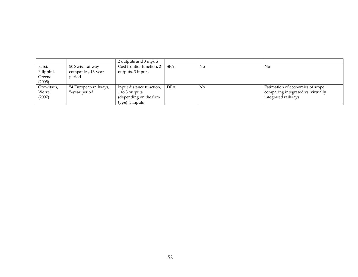|            |                       | 2 outputs and 3 inputs    |     |    |                                    |
|------------|-----------------------|---------------------------|-----|----|------------------------------------|
| Farsi,     | 50 Swiss railway      | Cost frontier function, 2 | SFA | No | No                                 |
| Filippini, | companies, 13-year    | outputs, 3 inputs         |     |    |                                    |
| Greene     | period                |                           |     |    |                                    |
| (2005)     |                       |                           |     |    |                                    |
| Growitsch, | 54 European railways, | Input distance function,  | DEA | No | Estimation of economies of scope   |
| Wetzel     | 5-year period         | 1 to 3 outputs            |     |    | comparing integrated vs. virtually |
| (2007)     |                       | (depending on the firm    |     |    | integrated railways                |
|            |                       | type), 3 inputs           |     |    |                                    |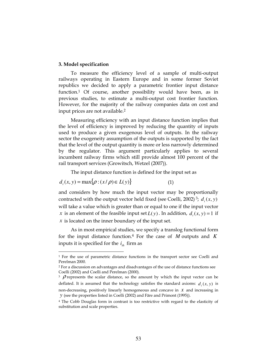# 3. Model specification

-

To measure the efficiency level of a sample of multi-output railways operating in Eastern Europe and in some former Soviet republics we decided to apply a parametric frontier input distance function.1 Of course, another possibility would have been, as in previous studies, to estimate a multi-output cost frontier function. However, for the majority of the railway companies data on cost and input prices are not available.<sup>2</sup>

Measuring efficiency with an input distance function implies that the level of efficiency is improved by reducing the quantity of inputs used to produce a given exogenous level of outputs. In the railway sector the exogeneity assumption of the outputs is supported by the fact that the level of the output quantity is more or less narrowly determined by the regulator. This argument particularly applies to several incumbent railway firms which still provide almost 100 percent of the rail transport services (Growitsch, Wetzel (2007)).

The input distance function is defined for the input set as

$$
d_i(x, y) = \max\{\rho : (x/\rho) \in L(y)\}\tag{1}
$$

and considers by how much the input vector may be proportionally contracted with the output vector held fixed (see Coelli, 2002)<sup>3</sup>;  $d(x, y)$ will take a value which is greater than or equal to one if the input vector *x* is an element of the feasible input set  $L(y)$ . In addition,  $d_i(x, y) = 1$  if *x* is located on the inner boundary of the input set.

As in most empirical studies, we specify a translog functional form for the input distance function.4 For the case of *M* outputs and *K* inputs it is specified for the  $i<sub>th</sub>$  firm as

 $3\sigma$  p represents the scalar distance, so the amount by which the input vector can be deflated. It is assumed that the technology satisfies the standard axioms:  $d_i(x, y)$  is non-decreasing, positively linearly homogeneous and concave in *x* and increasing in *y* (see the properties listed in Coelli (2002) and Färe and Primont (1995)).

<sup>1</sup> For the use of parametric distance functions in the transport sector see Coelli and Perelman 2000.

<sup>2</sup> For a discussion on advantages and disadvantages of the use of distance functions see Coelli (2002) and Coelli and Perelman (2000).

<sup>4</sup> The Cobb Douglas form in contrast is too restrictive with regard to the elasticity of substitution and scale properties.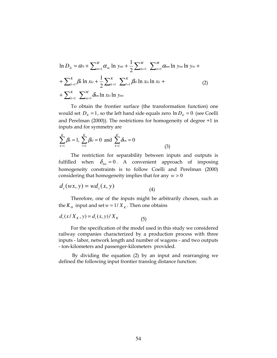$$
\ln D_{Ii} = \alpha_0 + \sum_{m=1}^{M} \alpha_m \ln y_{mi} + \frac{1}{2} \sum_{m=1}^{M} \sum_{n=1}^{M} \alpha_{mn} \ln y_{mi} \ln y_{ni} +
$$
  
+ 
$$
\sum_{k=1}^{K} \beta_k \ln x_{ki} + \frac{1}{2} \sum_{k=1}^{K} \sum_{l=1}^{K} \beta_{kl} \ln x_{ki} \ln x_{li} +
$$
  
+ 
$$
\sum_{k=1}^{K} \sum_{m=1}^{M} \delta_{km} \ln x_{ki} \ln y_{mi}
$$
 (2)

To obtain the frontier surface (the transformation function) one would set  $D_{Ii} = 1$ , so the left hand side equals zero  $\ln D_{Ii} = 0$  (see Coelli and Perelman (2000)). The restrictions for homogeneity of degree +1 in inputs and for symmetry are

$$
\sum_{k=1}^{K} \beta_k = 1, \ \sum_{l=1}^{K} \beta_{kl} = 0 \ \text{ and } \ \sum_{k=1}^{K} \delta_{km} = 0 \tag{3}
$$

The restriction for separability between inputs and outputs is fulfilled when  $\delta_{km} = 0$ . A convenient approach of imposing homogeneity constraints is to follow Coelli and Perelman (2000) considering that homogeneity implies that for any *w* > 0

$$
d_i(wx, y) = wd_i(x, y)
$$
\n<sup>(4)</sup>

Therefore, one of the inputs might be arbitrarily chosen, such as the  $K_{th}$  input and set  $w = 1/X_K$ . Then one obtains

$$
d_i(x/X_K, y) = d_i(x, y)/X_K
$$
 (5)

For the specification of the model used in this study we considered railway companies characterized by a production process with three inputs - labor, network length and number of wagons - and two outputs - ton-kilometers and passenger-kilometers provided.

 By dividing the equation (2) by an input and rearranging we defined the following input frontier translog distance function: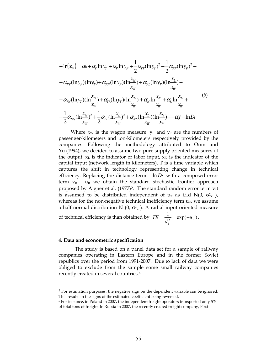$$
- \ln(x_w) = \alpha_0 + \alpha_r \ln y_r + \alpha_p \ln y_p + \frac{1}{2} \alpha_{rr} (\ln y_r)^2 + \frac{1}{2} \alpha_{pp} (\ln y_p)^2 +
$$
  
+  $\alpha_{PT} (\ln y_p) (\ln y_r) + \alpha_{PN} (\ln y_p) (\ln \frac{x_N}{x_W}) + \alpha_{PL} (\ln y_p) (\ln \frac{x_L}{x_W}) +$   
+  $\alpha_{TN} (\ln y_r) (\ln \frac{x_N}{x_W}) + \alpha_{TL} (\ln y_r) (\ln \frac{x_L}{x_W}) + \alpha_N \ln \frac{x_N}{x_W} + \alpha_L \ln \frac{x_L}{x_W} +$   
+  $\frac{1}{2} \alpha_{NN} (\ln \frac{x_N}{x_W})^2 + \frac{1}{2} \alpha_{LL} (\ln \frac{x_L}{x_W})^2 + \alpha_{NL} (\ln \frac{x_L}{x_W}) (\ln \frac{x_N}{x_W}) + \alpha_l t - \ln Dt$  (9)

Where  $x_W$  is the wagon measure;  $y_P$  and  $y_T$  are the numbers of passenger-kilometers and ton-kilometers respectively provided by the companies. Following the methodology attributed to Oum and Yu (1994), we decided to assume two pure supply oriented measures of the output.  $x_L$  is the indicator of labor input,  $x_N$  is the indicator of the capital input (network length in kilometers). T is a time variable which captures the shift in technology representing change in technical efficiency. Replacing the distance term  $-\ln D_I$  with a composed error term  $v_{it}$  -  $u_{it}$  we obtain the standard stochastic frontier approach proposed by Aigner et al.  $(1977)^5$ . The standard random error term vit is assumed to be distributed independent of  $u_{it}$  as i.i.d  $N(0, \sigma^2 v)$ , whereas for the non-negative technical inefficiency term  $u_{it}$ , we assume a half-normal distribution  $N^*(0, \sigma^2)$ . A radial input-oriented measure

of technical efficiency is than obtained by  $TE = \frac{1}{\mu} = \exp(-u_{\mu})$  $I^{\prime}$   $-\alpha_{H}$   $\alpha_{H}$ *i u d*  $TE = \frac{1}{t} = \exp(-u_{it}).$ 

# 4. Data and econometric specification

-

The study is based on a panel data set for a sample of railway companies operating in Eastern Europe and in the former Soviet republics over the period from 1991-2007. Due to lack of data we were obliged to exclude from the sample some small railway companies recently created in several countries.<sup>6</sup>

<sup>&</sup>lt;sup>5</sup> For estimation purposes, the negative sign on the dependent variable can be ignored. This results in the signs of the estimated coefficient being reversed.

<sup>6</sup> For instance, in Poland in 2007, the independent freight operators transported only 5% of total tons of freight. In Russia in 2007, the recently created freight company, First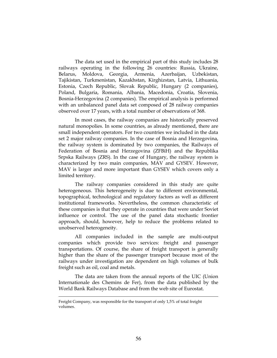The data set used in the empirical part of this study includes 28 railways operating in the following 26 countries: Russia, Ukraine, Belarus, Moldova, Georgia, Armenia, Azerbaijan, Uzbekistan, Tajikistan, Turkmenistan, Kazakhstan, Kirghizstan, Latvia, Lithuania, Estonia, Czech Republic, Slovak Republic, Hungary (2 companies), Poland, Bulgaria, Romania, Albania, Macedonia, Croatia, Slovenia, Bosnia-Herzegovina (2 companies). The empirical analysis is performed with an unbalanced panel data set composed of 28 railway companies observed over 17 years, with a total number of observations of 368.

In most cases, the railway companies are historically preserved natural monopolies. In some countries, as already mentioned, there are small independent operators. For two countries we included in the data set 2 major railway companies. In the case of Bosnia and Herzegovina, the railway system is dominated by two companies, the Railways of Federation of Bosnia and Herzegovina (ZFBiH) and the Republika Srpska Railways (ZRS). In the case of Hungary, the railway system is characterized by two main companies, MAV and GYSEV. However, MAV is larger and more important than GYSEV which covers only a limited territory.

The railway companies considered in this study are quite heterogeneous. This heterogeneity is due to different environmental, topographical, technological and regulatory factors as well as different institutional frameworks. Nevertheless, the common characteristic of these companies is that they operate in countries that were under Soviet influence or control. The use of the panel data stochastic frontier approach, should, however, help to reduce the problems related to unobserved heterogeneity.

All companies included in the sample are multi-output companies which provide two services: freight and passenger transportations. Of course, the share of freight transport is generally higher than the share of the passenger transport because most of the railways under investigation are dependent on high volumes of bulk freight such as oil, coal and metals.

The data are taken from the annual reports of the UIC (Union Internationale des Chemins de Fer), from the data published by the World Bank Railways Database and from the web site of Eurostat.

-

Freight Company, was responsible for the transport of only 1,5% of total freight volumes.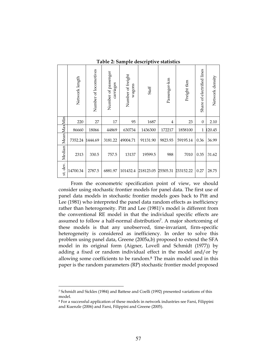|             | Network length | Number of locomotives | Number of passenger<br>carriages | Number of freight<br>wagons | Staff     | Passenger-km   | Freight tkm | Share of electrified lines | Network density |
|-------------|----------------|-----------------------|----------------------------------|-----------------------------|-----------|----------------|-------------|----------------------------|-----------------|
|             | 220            | 27                    | 17                               | 95                          | 1687      | $\overline{4}$ | 23          | $\theta$                   | 2.10            |
|             | 86660          | 18066                 | 44869                            | 630734                      | 1436300   | 172217         | 1858100     | $\mathbf{1}$               | 120.45          |
| MeanMaxMin  | 7352.24        | 1444.69               | 3181.22                          | 49004.71                    | 91131.90  | 9823.93        | 59195.14    | 0.36                       | 36.99           |
| Median      | 2313           | 330.5                 | 757.5                            | 13137                       | 19599.5   | 988            | 7010        | 0.35                       | 31.62           |
| dev.<br>st. | 14700.34       | 2787.5                | 6881.97                          | 101432.4                    | 218123.05 | 25505.31       | 233152.22   | 0.27                       | 28.75           |

Table 2: Sample descriptive statistics

From the econometric specification point of view, we should consider using stochastic frontier models for panel data. The first use of panel data models in stochastic frontier models goes back to Pitt and Lee (1981) who interpreted the panel data random effects as inefficiency rather than heterogeneity. Pitt and Lee (1981)'s model is different from the conventional RE model in that the individual specific effects are assumed to follow a half-normal distribution<sup>7</sup>. A major shortcoming of these models is that any unobserved, time-invariant, firm-specific heterogeneity is considered as inefficiency. In order to solve this problem using panel data, Greene (2005a,b) proposed to extend the SFA model in its original form (Aigner, Lovell and Schmidt (1977)) by adding a fixed or random individual effect in the model and/or by allowing some coefficients to be random.<sup>8</sup> The main model used in this paper is the random parameters (RP) stochastic frontier model proposed

-

<sup>7</sup> Schmidt and Sickles (1984) and Battese and Coelli (1992) presented variations of this model.

<sup>8</sup> For a successful application of these models in network industries see Farsi, Filippini and Kuenzle (2006) and Farsi, Filippini and Greene (2005).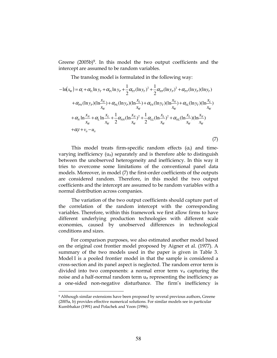Greene (2005b)9. In this model the two output coefficients and the intercept are assumed to be random variables.

The translog model is formulated in the following way:

$$
- \ln(x_{w}) = \alpha_{i} + \alpha_{ri} \ln y_{r} + \alpha_{pi} \ln y_{p} + \frac{1}{2} \alpha_{rr} (\ln y_{r})^{2} + \frac{1}{2} \alpha_{pp} (\ln y_{p})^{2} + \alpha_{pr} (\ln y_{p}) (\ln y_{r})
$$
  
+  $\alpha_{p_{N}} (\ln y_{p}) (\ln \frac{x_{N}}{x_{W}}) + \alpha_{p_{L}} (\ln y_{p}) (\ln \frac{x_{L}}{x_{W}}) + \alpha_{r_{N}} (\ln y_{r}) (\ln \frac{x_{N}}{x_{W}}) + \alpha_{r_{L}} (\ln y_{r}) (\ln \frac{x_{L}}{x_{W}})$   
+  $\alpha_{N} \ln \frac{x_{N}}{x_{W}} + \alpha_{L} \ln \frac{x_{L}}{x_{W}} + \frac{1}{2} \alpha_{NN} (\ln \frac{x_{N}}{x_{W}})^{2} + \frac{1}{2} \alpha_{LL} (\ln \frac{x_{L}}{x_{W}})^{2} + \alpha_{NL} (\ln \frac{x_{L}}{x_{W}}) (\ln \frac{x_{N}}{x_{W}})$   
+  $\alpha_{i} t + v_{i} - u_{i}$  (7)

This model treats firm-specific random effects  $(\alpha_i)$  and timevarying inefficiency  $(u_{it})$  separately and is therefore able to distinguish between the unobserved heterogeneity and inefficiency. In this way it tries to overcome some limitations of the conventional panel data models. Moreover, in model (7) the first-order coefficients of the outputs are considered random. Therefore, in this model the two output coefficients and the intercept are assumed to be random variables with a normal distribution across companies.

The variation of the two output coefficients should capture part of the correlation of the random intercept with the corresponding variables. Therefore, within this framework we first allow firms to have different underlying production technologies with different scale economies, caused by unobserved differences in technological conditions and sizes.

For comparison purposes, we also estimated another model based on the original cost frontier model proposed by Aigner et al. (1977). A summary of the two models used in the paper is given in Table 3. Model I is a pooled frontier model in that the sample is considered a cross-section and its panel aspect is neglected. The random error term is divided into two components: a normal error term  $v_{it}$  capturing the noise and a half-normal random term  $u_{it}$  representing the inefficiency as a one-sided non-negative disturbance. The firm's inefficiency is

-

<sup>9</sup> Although similar extensions have been proposed by several previous authors, Greene (2005a, b) provides effective numerical solutions. For similar models see in particular Kumbhakar (1991) and Polachek and Yoon (1996).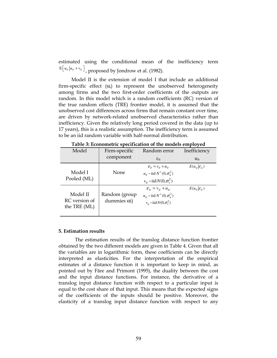estimated using the conditional mean of the inefficiency term  $\mathbb{E}\big[ u_{it} \big| u_{it} + v_{it} \big]$  , proposed by Jondrow et al. (1982).

Model II is the extension of model I that include an additional firm-specific effect  $(\alpha_i)$  to represent the unobserved heterogeneity among firms and the two first-order coefficients of the outputs are random. In this model which is a random coefficients (RC) version of the true random effects (TRE) frontier model, it is assumed that the unobserved cost differences across firms that remain constant over time, are driven by network-related unobserved characteristics rather than inefficiency. Given the relatively long period covered in the data (up to 17 years), this is a realistic assumption. The inefficiency term is assumed to be an iid random variable with half-normal distribution.

| Model                                     | Firm-specific                         | Random error                                                                                                           | Inefficiency                 |
|-------------------------------------------|---------------------------------------|------------------------------------------------------------------------------------------------------------------------|------------------------------|
|                                           | component                             | $\epsilon$ <sub>it</sub>                                                                                               | $\mathbf{u}_{it}$            |
| Model I<br>Pooled (ML)                    | None                                  | $\mathcal{E}_{it} = v_{it} + u_{it}$<br>$u_{it} \sim$ iid $N^+(0, \sigma_u^2)$<br>$v_{it} \sim$ iid $N(0, \sigma_v^2)$ | $E(u_{it} \varepsilon_{it})$ |
| Model II<br>RC version of<br>the TRE (ML) | Random (group<br>dummies $\alpha i$ ) | $\mathcal{E}_{it} = v_{it} + u_{it}$<br>$u_{it} \sim$ iid $N^+(0, \sigma_u^2)$<br>$v_{it} \sim$ iid $N(0, \sigma_v^2)$ | $E(u_{it} \varepsilon_{it})$ |

Table 3: Econometric specification of the models employed

# 5. Estimation results

The estimation results of the translog distance function frontier obtained by the two different models are given in Table 4. Given that all the variables are in logarithmic form, these coefficients can be directly interpreted as elasticities. For the interpretation of the empirical estimates of a distance function it is important to keep in mind, as pointed out by Färe and Primont (1995), the duality between the cost and the input distance functions. For instance, the derivative of a translog input distance function with respect to a particular input is equal to the cost share of that input. This means that the expected signs of the coefficients of the inputs should be positive. Moreover, the elasticity of a translog input distance function with respect to any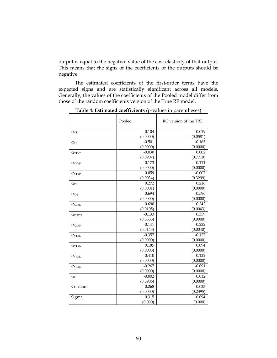output is equal to the negative value of the cost elasticity of that output. This means that the signs of the coefficients of the outputs should be negative.

The estimated coefficients of the first-order terms have the expected signs and are statistically significant across all models. Generally, the values of the coefficients of the Pooled model differ from those of the random coefficients version of the True RE model.

|                                        | Pooled   | RC version of the TRE |
|----------------------------------------|----------|-----------------------|
| $\alpha_{\text{YT}}$                   | $-0.104$ | $-0.019$              |
|                                        | (0.0000) | (0.0581)              |
| $\alpha_{\rm{YP}}$                     | $-0.501$ | $-0.163$              |
|                                        | (0.0000) | (0.0000)              |
| $\alpha_{\text{YTYT}}$                 | $-0.030$ | 0.002                 |
|                                        | (0.0907) | (0.7710)              |
| $\alpha_{\rm YPYP}$                    | $-0.173$ | $-0.111$              |
|                                        | (0.0000) | (0.0000)              |
| $\alpha_{\text{TTYP}}$                 | 0.059    | $-0.007$              |
|                                        | (0.0034) | (0.3299)              |
| $\alpha_{\text{XL}}$                   | 0.272    | 0.216                 |
|                                        | (0.0001) | (0.0000)              |
| $\alpha_{XN}$                          | 0.694    | 0.596                 |
|                                        | (0.0000) | (0.0000)              |
| $\alpha_{\text{XLXL}}$                 | 0.690    | 0.242                 |
|                                        | (0.0105) | (0.0043)              |
| $\alpha_{\text{XNXN}}$                 | $-0.133$ | 0.359                 |
|                                        | (0.5333) | (0.0000)              |
| $\alpha_{XLXN}$                        | $-0.141$ | $-0.222$              |
|                                        | (0.5143) | (0.0040)              |
| $\alpha_{\text{YTXL}}$                 | $-0.357$ | $-0.127$              |
|                                        | (0.0000) | (0.0000)              |
| $\alpha_{\text{YTXN}}$                 | 0.185    | 0.094                 |
|                                        | (0.0008) | (0.0000)              |
| $\alpha_{\text{Y} \text{P} \text{XL}}$ | 0.410    | 0.122                 |
|                                        | (0.0000) | (0.0000)              |
| <b>CLYPXN</b>                          | $-0.267$ | $-0.091$              |
|                                        | (0.0000) | (0.0000)              |
| $\alpha_T$                             | $-0.002$ | 0.012                 |
|                                        | (0.5906) | (0.0000)              |
| Constant                               | 0.268    | $-0.023$              |
|                                        | (0.0000) | (0.2395)              |
| Sigma                                  | 0.315    | 0.094                 |
|                                        | (0.000)  | (0.000)               |

Table 4: Estimated coefficients (p-values in parentheses)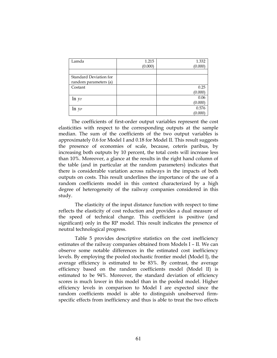| Lamda                  | 1.215   | 1.332   |
|------------------------|---------|---------|
|                        | (0.000) | (0.000) |
|                        |         |         |
| Standard Deviation for |         |         |
| random parameters (a)  |         |         |
| Costant                |         | 0.25    |
|                        |         | (0.000) |
| $\ln y_T$              |         | 0.06    |
|                        |         | (0.000) |
| $\ln y_P$              |         | 0.576   |
|                        |         | (0.000) |

The coefficients of first-order output variables represent the cost elasticities with respect to the corresponding outputs at the sample median. The sum of the coefficients of the two output variables is approximately 0.6 for Model I and 0.18 for Model II. This result suggests the presence of economies of scale, because, ceteris paribus, by increasing both outputs by 10 percent, the total costs will increase less than 10%. Moreover, a glance at the results in the right hand column of the table (and in particular at the random parameters) indicates that there is considerable variation across railways in the impacts of both outputs on costs. This result underlines the importance of the use of a random coefficients model in this context characterized by a high degree of heterogeneity of the railway companies considered in this study.

The elasticity of the input distance function with respect to time reflects the elasticity of cost reduction and provides a dual measure of the speed of technical change. This coefficient is positive (and significant) only in the RP model. This result indicates the presence of neutral technological progress.

Table 5 provides descriptive statistics on the cost inefficiency estimates of the railway companies obtained from Models I – II. We can observe some notable differences in the estimated cost inefficiency levels. By employing the pooled stochastic frontier model (Model I), the average efficiency is estimated to be 83%. By contrast, the average efficiency based on the random coefficients model (Model II) is estimated to be 94%. Moreover, the standard deviation of efficiency scores is much lower in this model than in the pooled model. Higher efficiency levels in comparison to Model I are expected since the random coefficients model is able to distinguish unobserved firmspecific effects from inefficiency and thus is able to treat the two effects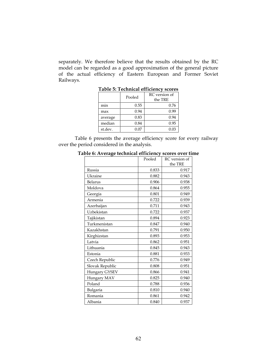separately. We therefore believe that the results obtained by the RC model can be regarded as a good approximation of the general picture of the actual efficiency of Eastern European and Former Soviet Railways.

| TUDIC 9. TULIHILUI LIIILILIILV SLOILS |        |                          |  |  |
|---------------------------------------|--------|--------------------------|--|--|
|                                       | Pooled | RC version of<br>the TRE |  |  |
| min                                   | 0.55   | 0.76                     |  |  |
| max                                   | 0.94   | 0.99                     |  |  |
| average                               | 0.83   | 0.94                     |  |  |
| median                                | 0.84   | 0.95                     |  |  |
| st.dev.                               | 0.07   | 0.03                     |  |  |

Table 5: Technical efficiency scores

Table 6 presents the average efficiency score for every railway over the period considered in the analysis.

|                 | Pooled | RC version of |
|-----------------|--------|---------------|
|                 |        | the TRE       |
| Russia          | 0.833  | 0.917         |
| Ukraine         | 0.882  | 0.943         |
| Belarus         | 0.906  | 0.938         |
| Moldova         | 0.864  | 0.955         |
| Georgia         | 0.801  | 0.949         |
| Armenia         | 0.722  | 0.939         |
| Azerbaijan      | 0.711  | 0.943         |
| Uzbekistan      | 0.722  | 0.937         |
| Tajikistan      | 0.894  | 0.923         |
| Turkmenistan    | 0.847  | 0.940         |
| Kazakhstan      | 0.791  | 0.950         |
| Kirghizstan     | 0.893  | 0.953         |
| Latvia          | 0.862  | 0.951         |
| Lithuania       | 0.845  | 0.943         |
| Estonia         | 0.881  | 0.933         |
| Czech Republic  | 0.776  | 0.949         |
| Slovak Republic | 0.808  | 0.951         |
| Hungary GYSEV   | 0.866  | 0.941         |
| Hungary MAV     | 0.825  | 0.940         |
| Poland          | 0.788  | 0.936         |
| Bulgaria        | 0.810  | 0.940         |
| Romania         | 0.861  | 0.942         |
| Albania         | 0.840  | 0.937         |

Table 6: Average technical efficiency scores over time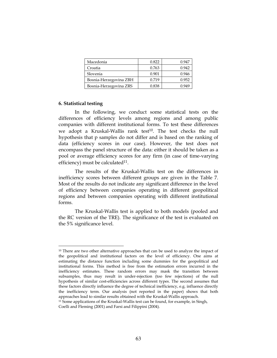| Macedonia              | 0.822 | 0.947 |
|------------------------|-------|-------|
| Croatia                | 0.763 | 0.942 |
| Slovenia               | 0.901 | 0.946 |
| Bosnia-Herzegovina ZBH | 0.719 | 0.952 |
| Bosnia-Herzegovina ZRS | 0.838 | 1949  |

# 6. Statistical testing

<u>.</u>

In the following, we conduct some statistical tests on the differences of efficiency levels among regions and among public companies with different institutional forms. To test these differences we adopt a Kruskal-Wallis rank test $10$ . The test checks the null hypothesis that p samples do not differ and is based on the ranking of data (efficiency scores in our case). However, the test does not encompass the panel structure of the data: either it should be taken as a pool or average efficiency scores for any firm (in case of time-varying efficiency) must be calculated $11$ .

The results of the Kruskal-Wallis test on the differences in inefficiency scores between different groups are given in the Table 7. Most of the results do not indicate any significant difference in the level of efficiency between companies operating in different geopolitical regions and between companies operating with different institutional forms.

The Kruskal-Wallis test is applied to both models (pooled and the RC version of the TRE). The significance of the test is evaluated on the 5% significance level.

<sup>&</sup>lt;sup>10</sup> There are two other alternative approaches that can be used to analyze the impact of the geopolitical and institutional factors on the level of efficiency. One aims at estimating the distance function including some dummies for the geopolitical and institutional forms. This method is free from the estimation errors incurred in the inefficiency estimates. These random errors may mask the transition between subsamples, thus may result in under-rejection (too few rejections) of the null hypothesis of similar cost-efficiencies across different types. The second assumes that these factors directly influence the degree of technical inefficiency, e.g. influence directly the inefficiency term. Our analysis (not reported in the paper) shows that both approaches lead to similar results obtained with the Kruskal-Wallis approach.

<sup>11</sup> Some applications of the Kruskal-Wallis test can be found, for example, in Singh, Coelli and Fleming (2001) and Farsi and Filippini (2004).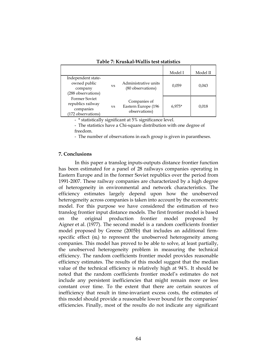|                                                                              |           |                                                      | Model I  | Model II |
|------------------------------------------------------------------------------|-----------|------------------------------------------------------|----------|----------|
| Independent state-<br>owned public<br>company<br>(288 observations)          | VS        | Administrative units<br>(80 observations)            | 0.059    | 0.043    |
| <b>Former Soviet</b><br>republics railway<br>companies<br>(172 observations) | <b>VS</b> | Companies of<br>Eastern Europe (196<br>observations) | $6.975*$ | 0,018    |

Table 7: Kruskal-Wallis test statistics

- \* statistically significant at 5% significance level.

- The statistics have a Chi-square distribution with one degree of freedom.

- The number of observations in each group is given in parantheses.

# 7. Conclusions

In this paper a translog inputs-outputs distance frontier function has been estimated for a panel of 28 railways companies operating in Eastern Europe and in the former Soviet republics over the period from 1991-2007. These railway companies are characterized by a high degree of heterogeneity in environmental and network characteristics. The efficiency estimates largely depend upon how the unobserved heterogeneity across companies is taken into account by the econometric model. For this purpose we have considered the estimation of two translog frontier input distance models. The first frontier model is based on the original production frontier model proposed by Aigner et al. (1977). The second model is a random coefficients frontier model proposed by Greene (2005b) that includes an additional firmspecific effect  $(\alpha_i)$  to represent the unobserved heterogeneity among companies. This model has proved to be able to solve, at least partially, the unobserved heterogeneity problem in measuring the technical efficiency. The random coefficients frontier model provides reasonable efficiency estimates. The results of this model suggest that the median value of the technical efficiency is relatively high at 94%. It should be noted that the random coefficients frontier model's estimates do not include any persistent inefficiencies that might remain more or less constant over time. To the extent that there are certain sources of inefficiency that result in time-invariant excess costs, the estimates of this model should provide a reasonable lower bound for the companies' efficiencies. Finally, most of the results do not indicate any significant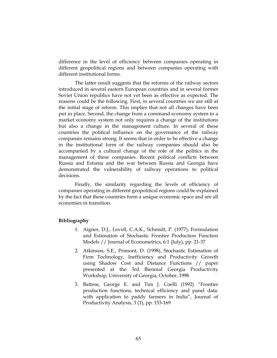difference in the level of efficiency between companies operating in different geopolitical regions and between companies operating with different institutional forms.

The latter result suggests that the reforms of the railway sectors introduced in several eastern European countries and in several former Soviet Union republics have not yet been as effective as expected. The reasons could be the following. First, in several countries we are still at the initial stage of reform. This implies that not all changes have been put in place. Second, the change from a command economy system to a market economy system not only requires a change of the institutions but also a change in the management culture. In several of these countries the political influence on the governance of the railway companies remains strong. It seems that in order to be effective a change in the institutional form of the railway companies should also be accompanied by a cultural change of the role of the politics in the management of these companies. Recent political conflicts between Russia and Estonia and the war between Russia and Georgia have demonstrated the vulnerability of railway operations to political decisions.

Finally, the similarity regarding the levels of efficiency of companies operating in different geopolitical regions could be explained by the fact that these countries form a unique economic space and are all economies in transition.

# Bibliography

- 1. Aigner, D.J., Lovell, C.A.K., Schmidt, P. (1977), Formulation and Estimation of Stochastic Frontier Production Function Models // Journal of Econometrics, 6:1 (July), pp. 21-37
- 2. Atkinson, S.E., Primont, D. (1998), Stochastic Estimation of Firm Technology, Inefficiency and Productivity Growth using Shadow Cost and Distance Functions // paper presented at the 3rd Biennial Georgia Productivity Workshop, University of Georgia, October, 1998
- 3. Battese, George E. and Tim J. Coelli (1992) "Frontier production functions, technical efficiency and panel data: with application to paddy farmers in India", Journal of Productivity Analysis, 3 (1), pp. 153-169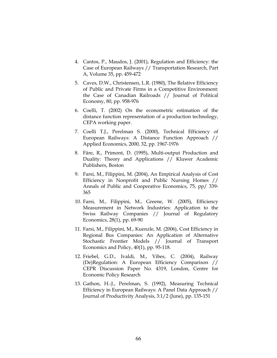- 4. Cantos, P., Maudos, J. (2001), Regulation and Efficiency: the Case of European Railways // Transportation Research, Part A, Volume 35, pp. 459-472
- 5. Caves, D.W., Christensen, L.R. (1980), The Relative Efficiency of Public and Private Firms in a Competitive Environment: the Case of Canadian Railroads // Journal of Political Economy, 80, pp. 958-976
- 6. Coelli, T. (2002) On the econometric estimation of the distance function representation of a production technology, CEPA working paper.
- 7. Coelli T.J., Perelman S. (2000), Technical Efficiency of European Railways: A Distance Function Approach // Applied Economics, 2000, 32, pp. 1967-1976
- 8. Färe, R., Primont, D. (1995), Multi-output Production and Duality: Theory and Applications // Kluwer Academic Publishers, Boston
- 9. Farsi, M., Filippini, M. (2004), An Empirical Analysis of Cost Efficiency in Nonprofit and Public Nursing Homes // Annals of Public and Cooperative Economics, 75, pp/ 339- 365
- 10. Farsi, M., Filippini, M., Greene, W. (2005), Efficiency Measurement in Network Industries: Application to the Swiss Railway Companies // Journal of Regulatory Economics, 28(1), pp. 69-90
- 11. Farsi, M., Filippini, M., Kuenzle, M. (2006), Cost Efficiency in Regional Bus Companies: An Application of Alternative Stochastic Frontier Models // Journal of Transport Economics and Policy, 40(1), pp. 95-118.
- 12. Friebel, G.D., Ivaldi, M., Vibes, C. (2004), Railway (De)Regulation: A European Efficiency Comparison // CEPR Discussion Paper No. 4319, London, Centre for Economic Policy Research
- 13. Gathon, H.-J., Perelman, S. (1992), Measuring Technical Efficiency in European Railways: A Panel Data Approach // Journal of Productivity Analysis, 3:1/2 (June), pp. 135-151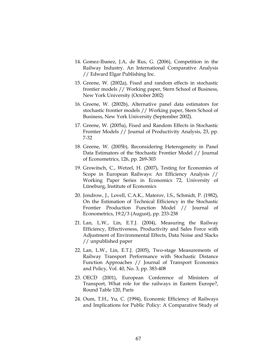- 14. Gomez-Ibanez, J.A, de Rus, G. (2006), Competition in the Railway Industry. An International Comparative Analysis // Edward Elgar Publishing Inc.
- 15. Greene, W. (2002a), Fixed and random effects in stochastic frontier models // Working paper, Stern School of Business, New York University (October 2002)
- 16. Greene, W. (2002b), Alternative panel data estimators for stochastic frontier models // Working paper, Stern School of Business, New York University (September 2002).
- 17. Greene, W. (2005a), Fixed and Random Effects in Stochastic Frontier Models // Journal of Productivity Analysis, 23, pp. 7-32
- 18. Greene, W. (2005b), Reconsidering Heterogeneity in Panel Data Estimators of the Stochastic Frontier Model // Journal of Econometrics, 126, pp. 269-303
- 19. Growitsch, C., Wetzel, H. (2007), Testing for Economies of Scope in European Railways: An Efficiency Analysis // Working Paper Series in Economics 72, University of Lüneburg, Institute of Economics
- 20. Jondrow, J., Lovell, C.A.K., Materov, I.S., Schmidt, P. (1982), On the Estimation of Technical Efficiency in the Stochastic Frontier Production Function Model // Journal of Econometrics, 19:2/3 (August), pp. 233-238
- 21. Lan, L.W., Lin, E.T.J. (2004), Measuring the Railway Efficiency, Effectiveness, Productivity and Sales Force with Adjustment of Environmental Effects, Data Noise and Slacks // unpublished paper
- 22. Lan, L.W., Lin, E.T.J. (2005), Two-stage Measurements of Railway Transport Performance with Stochastic Distance Function Approaches // Journal of Transport Economics and Policy, Vol. 40, No. 3, pp. 383-408
- 23. OECD (2001), European Conference of Ministers of Transport, What role for the railways in Eastern Europe?, Round Table 120, Paris
- 24. Oum, T.H., Yu, C. (1994), Economic Efficiency of Railways and Implications for Public Policy: A Comparative Study of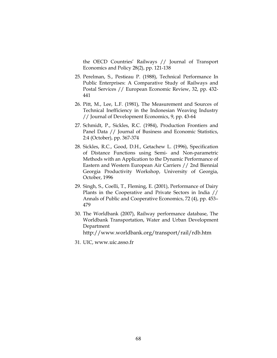the OECD Countries' Railways // Journal of Transport Economics and Policy 28(2), pp. 121-138

- 25. Perelman, S., Pestieau P. (1988), Technical Performance In Public Enterprises: A Comparative Study of Railways and Postal Services // European Economic Review, 32, pp. 432- 441
- 26. Pitt, M., Lee, L.F. (1981), The Measurement and Sources of Technical Inefficiency in the Indonesian Weaving Industry // Journal of Development Economics, 9, pp. 43-64
- 27. Schmidt, P., Sickles, R.C. (1984), Production Frontiers and Panel Data // Journal of Business and Economic Statistics, 2:4 (October), pp. 367-374
- 28. Sickles, R.C., Good, D.H., Getachew L. (1996), Specification of Distance Functions using Semi- and Non-parametric Methods with an Application to the Dynamic Performance of Eastern and Western European Air Carriers // 2nd Biennial Georgia Productivity Workshop, University of Georgia, October, 1996
- 29. Singh, S., Coelli, T., Fleming, E. (2001), Performance of Dairy Plants in the Cooperative and Private Sectors in India // Annals of Public and Cooperative Economics, 72 (4), pp. 453– 479
- 30. The Worldbank (2007), Railway performance database, The Worldbank Transportation, Water and Urban Development Department http://www.worldbank.org/transport/rail/rdb.htm
- 31. UIC, www.uic.asso.fr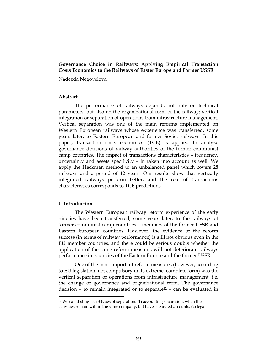## Governance Choice in Railways: Applying Empirical Transaction Costs Economics to the Railways of Easter Europe and Former USSR

Nadezda Negovelova

### Abstract

The performance of railways depends not only on technical parameters, but also on the organizational form of the railway: vertical integration or separation of operations from infrastructure management. Vertical separation was one of the main reforms implemented on Western European railways whose experience was transferred, some years later, to Eastern European and former Soviet railways. In this paper, transaction costs economics (TCE) is applied to analyze governance decisions of railway authorities of the former communist camp countries. The impact of transactions characteristics – frequency, uncertainty and assets specificity – in taken into account as well. We apply the Heckman method to an unbalanced panel which covers 28 railways and a period of 12 years. Our results show that vertically integrated railways perform better, and the role of transactions characteristics corresponds to TCE predictions.

### 1. Introduction

-

The Western European railway reform experience of the early nineties have been transferred, some years later, to the railways of former communist camp countries – members of the former USSR and Eastern European countries. However, the evidence of the reform success (in terms of railway performance) is still not obvious even in the EU member countries, and there could be serious doubts whether the application of the same reform measures will not deteriorate railways performance in countries of the Eastern Europe and the former USSR.

One of the most important reform measures (however, according to EU legislation, not compulsory in its extreme, complete form) was the vertical separation of operations from infrastructure management, i.e. the change of governance and organizational form. The governance decision – to remain integrated or to separate<sup>12</sup> – can be evaluated in

<sup>12</sup> We can distinguish 3 types of separation: (1) accounting separation, when the activities remain within the same company, but have separated accounts, (2) legal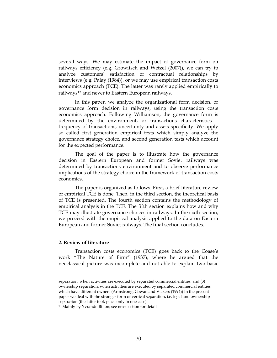several ways. We may estimate the impact of governance form on railways efficiency (e.g. Growitsch and Wetzel (2007)), we can try to analyze customers' satisfaction or contractual relationships by interviews (e.g. Palay (1984)), or we may use empirical transaction costs economics approach (TCE). The latter was rarely applied empirically to railways13 and never to Eastern European railways.

In this paper, we analyze the organizational form decision, or governance form decision in railways, using the transaction costs economics approach. Following Williamson, the governance form is determined by the environment, or transactions characteristics – frequency of transactions, uncertainty and assets specificity. We apply so called first generation empirical tests which simply analyze the governance strategy choice, and second generation tests which account for the expected performance.

The goal of the paper is to illustrate how the governance decision in Eastern European and former Soviet railways was determined by transactions environment and to observe performance implications of the strategy choice in the framework of transaction costs economics.

The paper is organized as follows. First, a brief literature review of empirical TCE is done. Then, in the third section, the theoretical basis of TCE is presented. The fourth section contains the methodology of empirical analysis in the TCE. The fifth section explains how and why TCE may illustrate governance choices in railways. In the sixth section, we proceed with the empirical analysis applied to the data on Eastern European and former Soviet railways. The final section concludes.

### 2. Review of literature

<u>.</u>

Transaction costs economics (TCE) goes back to the Coase's work "The Nature of Firm" (1937), where he argued that the neoclassical picture was incomplete and not able to explain two basic

separation, when activities are executed by separated commercial entities, and (3) ownership separation, when activities are executed by separated commercial entities which have different owners (Armstrong, Cowan and Vickers (1994)) In the present paper we deal with the stronger form of vertical separation, i.e. legal and ownership separation (the latter took place only in one case).

<sup>13</sup> Mainly by Yvrande-Billon; see next section for details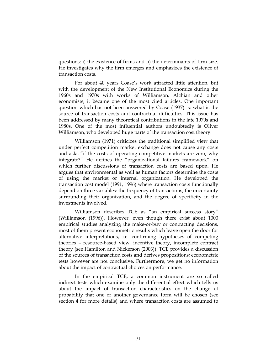questions: i) the existence of firms and ii) the determinants of firm size. He investigates why the firm emerges and emphasizes the existence of transaction costs.

For about 40 years Coase's work attracted little attention, but with the development of the New Institutional Economics during the 1960s and 1970s with works of Williamson, Alchian and other economists, it became one of the most cited articles. One important question which has not been answered by Coase (1937) is: what is the source of transaction costs and contractual difficulties. This issue has been addressed by many theoretical contributions in the late 1970s and 1980s. One of the most influential authors undoubtedly is Oliver Williamson, who developed huge parts of the transaction cost theory.

Williamson (1971) criticizes the traditional simplified view that under perfect competition market exchange does not cause any costs and asks "if the costs of operating competitive markets are zero, why integrate?" He defines the "organizational failures framework" on which further discussions of transaction costs are based upon. He argues that environmental as well as human factors determine the costs of using the market or internal organization. He developed the transaction cost model (1991, 1996) where transaction costs functionally depend on three variables: the frequency of transactions, the uncertainty surrounding their organization, and the degree of specificity in the investments involved.

Williamson describes TCE as "an empirical success story" (Williamson (1996)). However, even though there exist about 1000 empirical studies analyzing the make-or-buy or contracting decisions, most of them present econometric results which leave open the door for alternative interpretations, i.e. confirming hypotheses of competing theories – resource-based view, incentive theory, incomplete contract theory (see Hamilton and Nickerson (2003)). TCE provides a discussion of the sources of transaction costs and derives propositions; econometric tests however are not conclusive. Furthermore, we get no information about the impact of contractual choices on performance.

In the empirical TCE, a common instrument are so called indirect tests which examine only the differential effect which tells us about the impact of transaction characteristics on the change of probability that one or another governance form will be chosen (see section 4 for more details) and where transaction costs are assumed to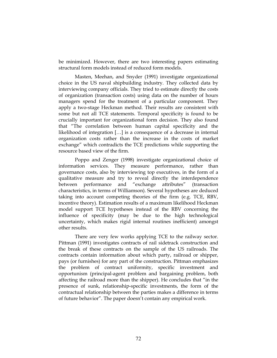be minimized. However, there are two interesting papers estimating structural form models instead of reduced form models.

Masten, Meehan, and Snyder (1991) investigate organizational choice in the US naval shipbuilding industry. They collected data by interviewing company officials. They tried to estimate directly the costs of organization (transaction costs) using data on the number of hours managers spend for the treatment of a particular component. They apply a two-stage Heckman method. Their results are consistent with some but not all TCE statements. Temporal specificity is found to be crucially important for organizational form decision. They also found that "The correlation between human capital specificity and the likelihood of integration […] is a consequence of a decrease in internal organization costs rather than the increase in the costs of market exchange" which contradicts the TCE predictions while supporting the resource based view of the firm.

Poppo and Zenger (1998) investigate organizational choice of information services. They measure performance, rather than governance costs, also by interviewing top executives, in the form of a qualitative measure and try to reveal directly the interdependence between performance and "exchange attributes" (transaction characteristics, in terms of Williamson). Several hypotheses are deduced taking into account competing theories of the firm (e.g. TCE, RBV, incentive theory). Estimation results of a maximum likelihood Heckman model support TCE hypotheses instead of the RBV concerning the influence of specificity (may be due to the high technological uncertainty, which makes rigid internal routines inefficient) amongst other results.

There are very few works applying TCE to the railway sector. Pittman (1991) investigates contracts of rail sidetrack construction and the break of these contracts on the sample of the US railroads. The contracts contain information about which party, railroad or shipper, pays (or furnishes) for any part of the construction. Pittman emphasizes the problem of contract uniformity, specific investment and opportunism (principal-agent problem and bargaining problem, both affecting the railroad more than the shipper). He concludes that "in the presence of sunk, relationship-specific investments, the form of the contractual relationship between the parties makes a difference in terms of future behavior". The paper doesn't contain any empirical work.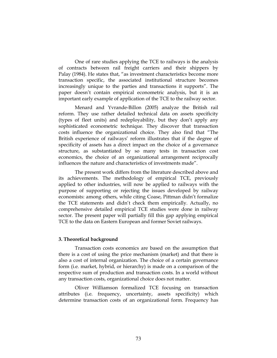One of rare studies applying the TCE to railways is the analysis of contracts between rail freight carriers and their shippers by Palay (1984). He states that, "as investment characteristics become more transaction specific, the associated institutional structure becomes increasingly unique to the parties and transactions it supports". The paper doesn't contain empirical econometric analysis, but it is an important early example of application of the TCE to the railway sector.

Menard and Yvrande-Billon (2005) analyze the British rail reform. They use rather detailed technical data on assets specificity (types of fleet units) and redeployability, but they don't apply any sophisticated econometric technique. They discover that transaction costs influence the organizational choice. They also find that "The British experience of railways' reform illustrates that if the degree of specificity of assets has a direct impact on the choice of a governance structure, as substantiated by so many tests in transaction cost economics, the choice of an organizational arrangement reciprocally influences the nature and characteristics of investments made".

The present work differs from the literature described above and its achievements. The methodology of empirical TCE, previously applied to other industries, will now be applied to railways with the purpose of supporting or rejecting the issues developed by railway economists: among others, while citing Coase, Pittman didn't formalize the TCE statements and didn't check them empirically. Actually, no comprehensive detailed empirical TCE studies were done in railway sector. The present paper will partially fill this gap applying empirical TCE to the data on Eastern European and former Soviet railways.

### 3. Theoretical background

Transaction costs economics are based on the assumption that there is a cost of using the price mechanism (market) and that there is also a cost of internal organization. The choice of a certain governance form (i.e. market, hybrid, or hierarchy) is made on a comparison of the respective sum of production and transaction costs. In a world without any transaction costs, organizational choice does not matter.

Oliver Williamson formalized TCE focusing on transaction attributes (i.e. frequency, uncertainty, assets specificity) which determine transaction costs of an organizational form. Frequency has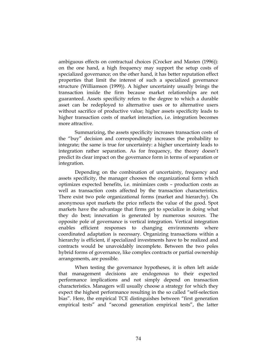ambiguous effects on contractual choices (Crocker and Masten (1996)): on the one hand, a high frequency may support the setup costs of specialized governance; on the other hand, it has better reputation effect properties that limit the interest of such a specialized governance structure (Williamson (1999)). A higher uncertainty usually brings the transaction inside the firm because market relationships are not guaranteed. Assets specificity refers to the degree to which a durable asset can be redeployed to alternative uses or to alternative users without sacrifice of productive value; higher assets specificity leads to higher transaction costs of market interaction, i.e. integration becomes more attractive.

Summarizing, the assets specificity increases transaction costs of the "buy" decision and correspondingly increases the probability to integrate; the same is true for uncertainty: a higher uncertainty leads to integration rather separation. As for frequency, the theory doesn't predict its clear impact on the governance form in terms of separation or integration.

Depending on the combination of uncertainty, frequency and assets specificity, the manager chooses the organizational form which optimizes expected benefits, i.e. minimizes costs – production costs as well as transaction costs affected by the transaction characteristics. There exist two pole organizational forms (market and hierarchy). On anonymous spot markets the price reflects the value of the good. Spot markets have the advantage that firms get to specialize in doing what they do best; innovation is generated by numerous sources. The opposite pole of governance is vertical integration. Vertical integration enables efficient responses to changing environments where coordinated adaptation is necessary. Organizing transactions within a hierarchy is efficient, if specialized investments have to be realized and contracts would be unavoidably incomplete. Between the two poles hybrid forms of governance, like complex contracts or partial ownership arrangements, are possible.

When testing the governance hypotheses, it is often left aside that management decisions are endogenous to their expected performance implications and not simply depend on transaction characteristics. Managers will usually choose a strategy for which they expect the highest performance resulting in the so called "self-selection bias". Here, the empirical TCE distinguishes between "first generation empirical tests" and "second generation empirical tests", the latter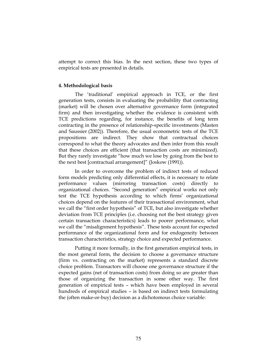attempt to correct this bias. In the next section, these two types of empirical tests are presented in details.

### 4. Methodological basis

The 'traditional' empirical approach in TCE, or the first generation tests, consists in evaluating the probability that contracting (market) will be chosen over alternative governance form (integrated firm) and then investigating whether the evidence is consistent with TCE predictions regarding, for instance, the benefits of long term contracting in the presence of relationship-specific investments (Masten and Saussier (2002)). Therefore, the usual econometric tests of the TCE propositions are indirect. They show that contractual choices correspond to what the theory advocates and then infer from this result that these choices are efficient (that transaction costs are minimized). But they rarely investigate "how much we lose by going from the best to the next best [contractual arrangement]" (Joskow (1991)).

In order to overcome the problem of indirect tests of reduced form models predicting only differential effects, it is necessary to relate performance values (mirroring transaction costs) directly to organizational choices. "Second generation" empirical works not only test the TCE hypothesis according to which firms' organizational choices depend on the features of their transactional environment, what we call the "first order hypothesis" of TCE, but also investigate whether deviation from TCE principles (i.e. choosing not the best strategy given certain transaction characteristics) leads to poorer performance, what we call the "misalignment hypothesis". These tests account for expected performance of the organizational form and for endogeneity between transaction characteristics, strategy choice and expected performance.

Putting it more formally, in the first generation empirical tests, in the most general form, the decision to choose a governance structure (firm vs. contracting on the market) represents a standard discrete choice problem. Transactors will choose one governance structure if the expected gains (net of transaction costs) from doing so are greater than those of organizing the transaction in some other way. The first generation of empirical tests – which have been employed in several hundreds of empirical studies – is based on indirect tests formulating the (often make-or-buy) decision as a dichotomous choice variable: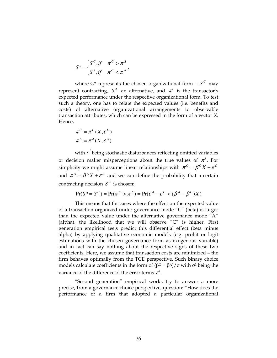$$
S^* = \begin{cases} S^C, if & \pi^C > \pi^A \\ S^A, if & \pi^C < \pi^A \end{cases}
$$

where  $G^*$  represents the chosen organizational form  $-S^c$  may represent contracting,  $S^A$  an alternative, and  $\pi^i$  is the transactor's expected performance under the respective organizational form. To test such a theory, one has to relate the expected values (i.e. benefits and costs) of alternative organizational arrangements to observable transaction attributes, which can be expressed in the form of a vector X. Hence,

$$
\pi^{C} = \pi^{C}(X, \varepsilon^{C})
$$

$$
\pi^{A} = \pi^{A}(X, \varepsilon^{A})
$$

with  $e^i$  being stochastic disturbances reflecting omitted variables or decision maker misperceptions about the true values of  $\pi^i$ . For simplicity we might assume linear relationships with  $\pi^C = \beta^C X + \varepsilon^C$ and  $\pi^A = \beta^A X + \varepsilon^A$  and we can define the probability that a certain contracting decision  $S^C$  is chosen:

$$
Pr(S^* = S^C) = Pr(\pi^C > \pi^A) = Pr(\varepsilon^A - \varepsilon^C < (\beta^A - \beta^C)X)
$$

This means that for cases where the effect on the expected value of a transaction organized under governance mode "C" (beta) is larger than the expected value under the alternative governance mode "A" (alpha), the likelihood that we will observe " $C$ " is higher. First generation empirical tests predict this differential effect (beta minus alpha) by applying qualitative economic models (e.g. probit or logit estimations with the chosen governance form as exogenous variable) and in fact can say nothing about the respective signs of these two coefficients. Here, we assume that transaction costs are minimized – the firm behaves optimally from the TCE perspective. Such binary choice models calculate coefficients in the form of  $(β<sup>C</sup> – β<sup>A</sup>)/σ$  with  $σ<sup>2</sup>$  being the variance of the difference of the error terms  $\varepsilon^i$ .

"Second generation" empirical works try to answer a more precise, from a governance choice perspective, question: "How does the performance of a firm that adopted a particular organizational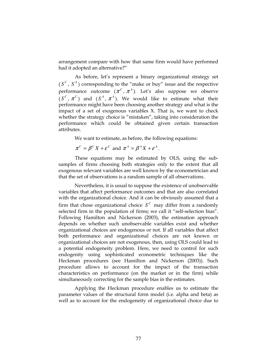arrangement compare with how that same firm would have performed had it adopted an alternative?"

As before, let's represent a binary organizational strategy set  $(S^c, S^A)$  corresponding to the "make or buy" issue and the respective performance outcome  $(\pi^c, \pi^A)$ . Let's also suppose we observe  $(S^c, \pi^c)$  and  $(S^A, \pi^A)$ . We would like to estimate what their performance might have been choosing another strategy and what is the impact of a set of exogenous variables X. That is, we want to check whether the strategy choice is "mistaken", taking into consideration the performance which could be obtained given certain transaction attributes.

We want to estimate, as before, the following equations:

$$
\pi^C = \beta^C X + \varepsilon^C \text{ and } \pi^A = \beta^A X + \varepsilon^A.
$$

These equations may be estimated by OLS, using the subsamples of firms choosing both strategies only to the extent that all exogenous relevant variables are well known by the econometrician and that the set of observations is a random sample of all observations.

Nevertheless, it is usual to suppose the existence of unobservable variables that affect performance outcomes and that are also correlated with the organizational choice. And it can be obviously assumed that a firm that chose organizational choice  $S^c$  may differ from a randomly selected firm in the population of firms; we call it "self-selection bias". Following Hamilton and Nickerson (2003), the estimation approach depends on whether such unobservable variables exist and whether organizational choices are endogenous or not. If all variables that affect both performance and organizational choices are not known or organizational choices are not exogenous, then, using OLS could lead to a potential endogeneity problem. Here, we need to control for such endogenity using sophisticated econometric techniques like the Heckman procedures (see Hamilton and Nickerson (2003)). Such procedure allows to account for the impact of the transaction characteristics on performance (on the market or in the firm) while simultaneously correcting for the sample bias in the estimates.

Applying the Heckman procedure enables us to estimate the parameter values of the structural form model (i.e. alpha and beta) as well as to account for the endogeneity of organizational choice due to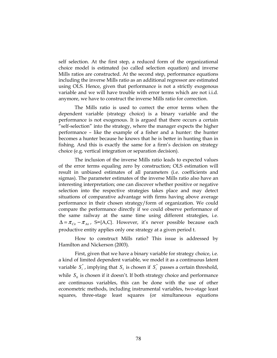self selection. At the first step, a reduced form of the organizational choice model is estimated (so called selection equation) and inverse Mills ratios are constructed. At the second step, performance equations including the inverse Mills ratio as an additional regressor are estimated using OLS. Hence, given that performance is not a strictly exogenous variable and we will have trouble with error terms which are not i.i.d. anymore, we have to construct the inverse Mills ratio for correction.

The Mills ratio is used to correct the error terms when the dependent variable (strategy choice) is a binary variable and the performance is not exogenous. It is argued that there occurs a certain "self-selection" into the strategy, where the manager expects the higher performance – like the example of a fisher and a hunter: the hunter becomes a hunter because he knows that he is better in hunting than in fishing. And this is exactly the same for a firm's decision on strategy choice (e.g. vertical integration or separation decision).

The inclusion of the inverse Mills ratio leads to expected values of the error terms equaling zero by construction; OLS estimation will result in unbiased estimates of all parameters (i.e. coefficients and sigmas). The parameter estimates of the inverse Mills ratio also have an interesting interpretation; one can discover whether positive or negative selection into the respective strategies takes place and may detect situations of comparative advantage with firms having above average performance in their chosen strategy/form of organization. We could compare the performance directly if we could observe performance of the same railway at the same time using different strategies, i.e.  $\Delta = \pi_{\text{Cit}} - \pi_{\text{Ait}}$ , S={A,C}. However, it's never possible because each productive entity applies only one strategy at a given period t.

How to construct Mills ratio? This issue is addressed by Hamilton and Nickerson (2003).

First, given that we have a binary variable for strategy choice, i.e. a kind of limited dependent variable, we model it as a continuous latent variable  $S_i^*$ , implying that  $S_1$  is chosen if  $S_i^*$  passes a certain threshold, while  $S_0$  is chosen if it doesn't. If both strategy choice and performance are continuous variables, this can be done with the use of other econometric methods, including instrumental variables, two-stage least squares, three-stage least squares (or simultaneous equations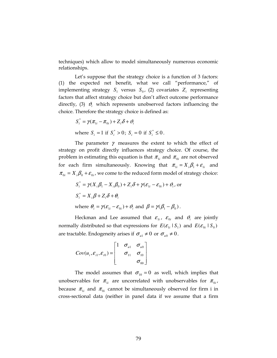techniques) which allow to model simultaneously numerous economic relationships.

Let's suppose that the strategy choice is a function of 3 factors: (1) the expected net benefit, what we call "performance," of implementing strategy  $S_1$  versus  $S_0$ , (2) covariates  $Z_i$  representing factors that affect strategy choice but don't affect outcome performance directly,  $(3)$   $\mathcal{V}_i$  which represents unobserved factors influencing the choice. Therefore the strategy choice is defined as:

$$
S_i^* = \gamma(\pi_{1i} - \pi_{0i}) + Z_i \delta + \vartheta_i
$$
  
where  $S_i = 1$  if  $S_i^* > 0$ ;  $S_i = 0$  if  $S_i^* \leq 0$ .

The parameter  $\gamma$  measures the extent to which the effect of strategy on profit directly influences strategy choice. Of course, the problem in estimating this equation is that  $\pi_{\mathfrak{u}}$  and  $\pi_{\mathfrak{0}i}$  are not observed for each firm simultaneously. Knowing that  $\pi_{1i} = X_i \beta_1 + \varepsilon_{1i}$  and  $\pi_{0i} = X_i \beta_0 + \varepsilon_{0i}$ , we come to the reduced form model of strategy choice:

$$
S_i^* = \gamma(X_i \beta_1 - X_i \beta_0) + Z_i \delta + \gamma(\varepsilon_{1i} - \varepsilon_{0i}) + \vartheta_i, \text{ or}
$$
  
\n
$$
S_i^* = X_i \beta + Z_i \delta + \theta_i
$$
  
\nwhere  $\theta_i = \gamma(\varepsilon_{1i} - \varepsilon_{0i}) + \vartheta_i$  and  $\beta = \gamma(\beta_1 - \beta_0)$ .

Heckman and Lee assumed that  $\varepsilon_{\text{1}i}$ ,  $\varepsilon_{\text{0}i}$  and  $\vartheta_{i}$  are jointly normally distributed so that expressions for  $E(E_{1i} | S_1)$  and  $E(E_{0i} | S_0)$ are tractable. Endogeneity arises if  $\sigma_{u} \neq 0$  or  $\sigma_{u0} \neq 0$ .

$$
Cov(u_i, \varepsilon_{i1}, \varepsilon_{i0}) = \begin{bmatrix} 1 & \sigma_{u1} & \sigma_{u0} \\ & \sigma_{11} & \sigma_{10} \\ & & \sigma_{00} \end{bmatrix}
$$

The model assumes that  $\sigma_{10} = 0$  as well, which implies that unobservables for  $\pi_{\mathfrak{u}}$  are uncorrelated with unobservables for  $\pi_{\mathfrak{g}_i}$ , because  $\pi_{1i}$  and  $\pi_{0i}$  cannot be simultaneously observed for firm i in cross-sectional data (neither in panel data if we assume that a firm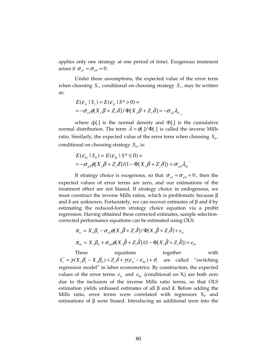applies only one strategy at one period of time). Exogenous treatment arises if  $\sigma_{u1} = \sigma_{u0} = 0$ .

Under these assumptions, the expected value of the error term when choosing  $S_1$ , conditional on choosing strategy  $S_1$ , may be written as:

$$
E(\varepsilon_{1i} \mid S_1) = E(\varepsilon_{1i} \mid S^* > 0) =
$$
  
=  $-\sigma_{u1} \phi[X_i \beta + Z_i \delta] / \Phi[X_i \beta + Z_i \delta] = -\sigma_{u1} \lambda_{1i}$ ,

where  $\phi$ [.] is the normal density and  $\Phi$ [.] is the cumulative normal distribution. The term  $\lambda = \phi(.)/\Phi(.)$  is called the inverse Mills ratio. Similarly, the expected value of the error term when choosing  $S_0$ , conditional on choosing strategy  $S_0$ , is:

$$
E(\mathcal{E}_{0i} | S_0) = E(\mathcal{E}_{0i} | S^* \le 0) =
$$
  
=  $-\sigma_{u0} \phi[X_i \beta + Z_i \delta]/(1 - \Phi[X_i \beta + Z_i \delta]) = \sigma_{u0} \lambda_{0i}$ .

If strategy choice is exogenous, so that  $\sigma_{u1} = \sigma_{u0} = 0$ , then the expected values of error terms are zero, and our estimations of the treatment effect are not biased. If strategy choice in endogenous, we must construct the inverse Mills ratios, which is problematic because β and δ are unknown. Fortunately, we can recover estimates of β and δ by estimating the reduced-form strategy choice equation via a probit regression. Having obtained these corrected estimates, sample selectioncorrected performance equations can be estimated using OLS:

$$
\pi_{1i} = X_i \beta_1 - \sigma_{u1} \phi [X_i \hat{\beta} + Z_i \hat{\delta}] / \Phi [X_i \hat{\beta} + Z_i \hat{\delta}] + e_{1i}
$$
  

$$
\pi_{0i} = X_i \beta_0 + \sigma_{u0} \phi [X_i \hat{\beta} + Z_i \hat{\delta}] / (1 - \Phi [X_i \hat{\beta} + Z_i \hat{\delta}]) + e_{0i}
$$

These equations together with  $S_i^* = \gamma(X_i \beta_1 - X_i \beta_0) + Z_i \delta + \gamma(\varepsilon_{1i} - \varepsilon_{0i}) + \vartheta_i$  are called "switching regression model" in labor econometrics. By construction, the expected values of the error terms  $e_{1i}$  and  $e_{0i}$  (conditional on  $X_i$ ) are both zero due to the inclusion of the inverse Mills ratio terms, so that OLS estimation yields unbiased estimates of all β and δ. Before adding the Mills ratio, error terms were correlated with regressors  $X_i$ , and estimations of β were biased. Introducing an additional term into the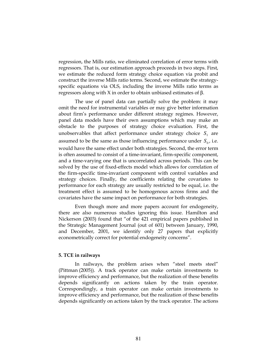regression, the Mills ratio, we eliminated correlation of error terms with regressors. That is, our estimation approach proceeds in two steps. First, we estimate the reduced form strategy choice equation via probit and construct the inverse Mills ratio terms. Second, we estimate the strategyspecific equations via OLS, including the inverse Mills ratio terms as regressors along with X in order to obtain unbiased estimates of β.

The use of panel data can partially solve the problem: it may omit the need for instrumental variables or may give better information about firm's performance under different strategy regimes. However, panel data models have their own assumptions which may make an obstacle to the purposes of strategy choice evaluation. First, the unobservables that affect performance under strategy choice  $S_1$  are assumed to be the same as those influencing performance under  $S_0$ , i.e. would have the same effect under both strategies. Second, the error term is often assumed to consist of a time-invariant, firm-specific component, and a time-varying one that is uncorrelated across periods. This can be solved by the use of fixed-effects model which allows for correlation of the firm-specific time-invariant component with control variables and strategy choices. Finally, the coefficients relating the covariates to performance for each strategy are usually restricted to be equal, i.e. the treatment effect is assumed to be homogenous across firms and the covariates have the same impact on performance for both strategies.

Even though more and more papers account for endogeneity, there are also numerous studies ignoring this issue. Hamilton and Nickerson (2003) found that "of the 421 empirical papers published in the Strategic Management Journal (out of 601) between January, 1990, and December, 2001, we identify only 27 papers that explicitly econometrically correct for potential endogeneity concerns".

### 5. TCE in railways

In railways, the problem arises when "steel meets steel" (Pittman (2005)). A track operator can make certain investments to improve efficiency and performance, but the realization of these benefits depends significantly on actions taken by the train operator. Correspondingly, a train operator can make certain investments to improve efficiency and performance, but the realization of these benefits depends significantly on actions taken by the track operator. The actions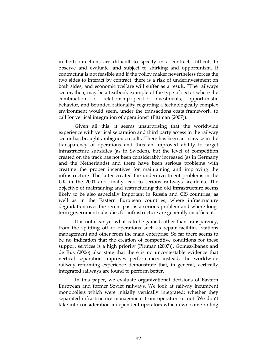in both directions are difficult to specify in a contract, difficult to observe and evaluate, and subject to shirking and opportunism. If contracting is not feasible and if the policy maker nevertheless forces the two sides to interact by contract, there is a risk of underinvestment on both sides, and economic welfare will suffer as a result. "The railways sector, then, may be a textbook example of the type of sector where the combination of relationship-specific investments, opportunistic behavior, and bounded rationality regarding a technologically complex environment would seem, under the transactions costs framework, to call for vertical integration of operations" (Pittman (2007)).

Given all this, it seems unsurprising that the worldwide experience with vertical separation and third party access in the railway sector has brought ambiguous results. There has been an increase in the transparency of operations and thus an improved ability to target infrastructure subsidies (as in Sweden), but the level of competition created on the track has not been considerably increased (as in Germany and the Netherlands) and there have been serious problems with creating the proper incentives for maintaining and improving the infrastructure. The latter created the underinvestment problems in the UK in the 2001 and finally lead to serious railways accidents. The objective of maintaining and restructuring the old infrastructure seems likely to be also especially important in Russia and CIS countries, as well as in the Eastern European countries, where infrastructure degradation over the recent past is a serious problem and where longterm government subsidies for infrastructure are generally insufficient.

It is not clear yet what is to be gained, other than transparency, from the splitting off of operations such as repair facilities, stations management and other from the main enterprise. So far there seems to be no indication that the creation of competitive conditions for these support services is a high priority (Pittman (2007)). Gomez-Ibanez and de Rus (2006) also state that there is no uncontestable evidence that vertical separation improves performance; instead, the worldwide railway reforming experience demonstrate that, in general, vertically integrated railways are found to perform better.

In this paper, we evaluate organizational decisions of Eastern European and former Soviet railways. We look at railway incumbent monopolists which were initially vertically integrated: whether they separated infrastructure management from operation or not. We don't take into consideration independent operators which own some rolling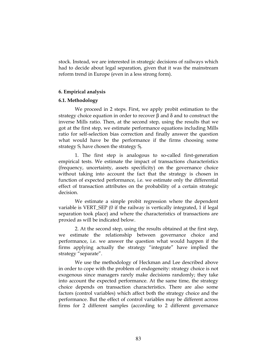stock. Instead, we are interested in strategic decisions of railways which had to decide about legal separation, given that it was the mainstream reform trend in Europe (even in a less strong form).

### 6. Empirical analysis

### 6.1. Methodology

We proceed in 2 steps. First, we apply probit estimation to the strategy choice equation in order to recover β and δ and to construct the inverse Mills ratio. Then, at the second step, using the results that we got at the first step, we estimate performance equations including Mills ratio for self-selection bias correction and finally answer the question what would have be the performance if the firms choosing some strategy  $S_i$  have chosen the strategy  $S_i$ .

1. The first step is analogous to so-called first-generation empirical tests. We estimate the impact of transactions characteristics (frequency, uncertainty, assets specificity) on the governance choice without taking into account the fact that the strategy is chosen in function of expected performance, i.e. we estimate only the differential effect of transaction attributes on the probability of a certain strategic decision.

We estimate a simple probit regression where the dependent variable is VERT\_SEP (0 if the railway is vertically integrated, 1 if legal separation took place) and where the characteristics of transactions are proxied as will be indicated below.

2. At the second step, using the results obtained at the first step, we estimate the relationship between governance choice and performance, i.e. we answer the question what would happen if the firms applying actually the strategy "integrate" have implied the strategy "separate".

We use the methodology of Heckman and Lee described above in order to cope with the problem of endogeneity: strategy choice is not exogenous since managers rarely make decisions randomly; they take into account the expected performance. At the same time, the strategy choice depends on transaction characteristics. There are also some factors (control variables) which affect both the strategy choice and the performance. But the effect of control variables may be different across firms for 2 different samples (according to 2 different governance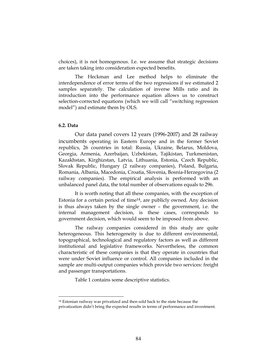choices), it is not homogenous. I.e. we assume that strategic decisions are taken taking into consideration expected benefits.

The Heckman and Lee method helps to eliminate the interdependence of error terms of the two regressions if we estimated 2 samples separately. The calculation of inverse Mills ratio and its introduction into the performance equation allows us to construct selection-corrected equations (which we will call "switching regression model") and estimate them by OLS.

### 6.2. Data

-

Our data panel covers 12 years (1996-2007) and 28 railway incumbents operating in Eastern Europe and in the former Soviet republics, 26 countries in total: Russia, Ukraine, Belarus, Moldova, Georgia, Armenia, Azerbaijan, Uzbekistan, Tajikistan, Turkmenistan, Kazakhstan, Kirghizstan, Latvia, Lithuania, Estonia, Czech Republic, Slovak Republic, Hungary (2 railway companies), Poland, Bulgaria, Romania, Albania, Macedonia, Croatia, Slovenia, Bosnia-Herzegovina (2 railway companies). The empirical analysis is performed with an unbalanced panel data, the total number of observations equals to 296.

It is worth noting that all these companies, with the exception of Estonia for a certain period of time<sup>14</sup>, are publicly owned. Any decision is thus always taken by the single owner – the government, i.e. the internal management decision, is these cases, corresponds to government decision, which would seem to be imposed from above.

The railway companies considered in this study are quite heterogeneous. This heterogeneity is due to different environmental, topographical, technological and regulatory factors as well as different institutional and legislative frameworks. Nevertheless, the common characteristic of these companies is that they operate in countries that were under Soviet influence or control. All companies included in the sample are multi-output companies which provide two services: freight and passenger transportations.

Table 1 contains some descriptive statistics.

<sup>14</sup> Estonian railway was privatized and then sold back to the state because the privatization didn't bring the expected results in terms of performance and investment.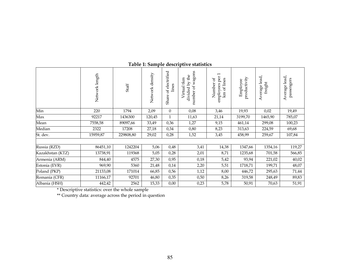|                  | Network length | Staff     | Network density | electrified<br>lines<br>$_{\rm bf}$<br>Share | number of wagons<br>divided by the<br>Virtual tkm | $\overline{\phantom{0}}$<br>per<br>ď<br>of lines<br>Number<br>employees<br>km | productivity<br>Employee | Average lead,<br>freight | Average lead,<br>passengers |
|------------------|----------------|-----------|-----------------|----------------------------------------------|---------------------------------------------------|-------------------------------------------------------------------------------|--------------------------|--------------------------|-----------------------------|
| Min              | 220            | 1794      | 2,09            | $\theta$                                     | 0,08                                              | 3,46                                                                          | 19,93                    | 0,02                     | 19,49                       |
| Max              | 92217          | 1436300   | 120,45          | $\mathbf{1}$                                 | 11,63                                             | 21,14                                                                         | 3199,70                  | 1465,90                  | 785,07                      |
| Mean             | 7558,58        | 89097,66  | 33,49           | 0,36                                         | 1,27                                              | 9,15                                                                          | 461,14                   | 299,08                   | 100,23                      |
| Median           | 2322           | 17208     | 27,18           | 0,34                                         | 0,80                                              | 8,23                                                                          | 313,63                   | 224,59                   | 69,68                       |
| St. dev.         | 15959,87       | 229808,80 | 29,02           | 0,28                                         | 1,52                                              | 3,45                                                                          | 458,99                   | 259,67                   | 107,84                      |
|                  |                |           |                 |                                              |                                                   |                                                                               |                          |                          |                             |
| Russia (RZD)     | 86451,10       | 1242204   | 5,06            | 0,48                                         | 3,41                                              | 14,38                                                                         | 1347,66                  | 1354,16                  | 119,27                      |
| Kazakhstan (KTZ) | 13738,91       | 119368    | 5,05            | 0,28                                         | 2,01                                              | 8,71                                                                          | 1235,68                  | 701,58                   | 566,85                      |
| Armenia (ARM)    | 844,40         | 4575      | 27,30           | 0,95                                         | 0,18                                              | 5,42                                                                          | 93,94                    | 221,02                   | 40,02                       |
| Estonia (EVR)    | 969,90         | 5360      | 21,48           | 0,14                                         | 2,20                                              | 5,51                                                                          | 1718,71                  | 199,71                   | 48,07                       |
| Poland (PKP)     | 21133,08       | 171014    | 66,85           | 0,56                                         | 1,12                                              | 8,00                                                                          | 446,72                   | 295,63                   | 71,44                       |
| Romania (CFR)    | 11166,17       | 92701     | 46,80           | 0,35                                         | 0,50                                              | 8,26                                                                          | 319,58                   | 248,49                   | 89,83                       |
| Albania (HSH)    | 442,42         | 2562      | 15,33           | 0,00                                         | 0,23                                              | 5,78                                                                          | 50,91                    | 70,63                    | 51,91                       |

# Table 1: Sample descriptive statistics

\* Descriptive statistics: over the whole sample

\*\* Country data: average across the period in question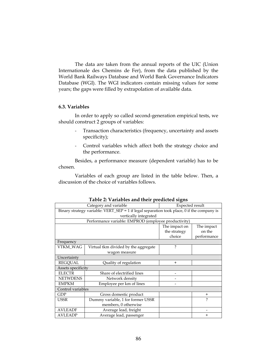The data are taken from the annual reports of the UIC (Union Internationale des Chemins de Fer), from the data published by the World Bank Railways Database and World Bank Governance Indicators Database (WGI). The WGI indicators contain missing values for some years; the gaps were filled by extrapolation of available data.

## 6.3. Variables

In order to apply so called second-generation empirical tests, we should construct 2 groups of variables:

- Transaction characteristics (frequency, uncertainty and assets specificity);
- Control variables which affect both the strategy choice and the performance.

Besides, a performance measure (dependent variable) has to be chosen.

Variables of each group are listed in the table below. Then, a discussion of the choice of variables follows.

|                                                                                            | Category and variable                | Expected result |             |  |  |
|--------------------------------------------------------------------------------------------|--------------------------------------|-----------------|-------------|--|--|
| Binary strategy variable: VERT_SEP = 1 if legal separation took place, 0 if the company is |                                      |                 |             |  |  |
| vertically integrated                                                                      |                                      |                 |             |  |  |
| Performance variable: EMPROD (employee productivity)                                       |                                      |                 |             |  |  |
|                                                                                            |                                      | The impact on   | The impact  |  |  |
|                                                                                            |                                      | the strategy    | on the      |  |  |
|                                                                                            |                                      | choice          | performance |  |  |
| Frequency                                                                                  |                                      |                 |             |  |  |
| VTKM_WAG                                                                                   | Virtual tkm divided by the aggregate | ?               |             |  |  |
|                                                                                            | wagon measure                        |                 |             |  |  |
| Uncertainty                                                                                |                                      |                 |             |  |  |
| <b>REGQUAL</b>                                                                             | Quality of regulation                | $\ddot{}$       |             |  |  |
|                                                                                            | Assets specificity                   |                 |             |  |  |
| <b>ELECTR</b>                                                                              | Share of electrified lines           |                 |             |  |  |
| <b>NETWDENS</b>                                                                            | Network density                      |                 |             |  |  |
| <b>EMPKM</b>                                                                               | Employee per km of lines             |                 |             |  |  |
| Control variables                                                                          |                                      |                 |             |  |  |
| GDP                                                                                        | Gross domestic product               |                 | $\ddot{}$   |  |  |
| <b>USSR</b>                                                                                | Dummy variable, 1 for former USSR    |                 | ?           |  |  |
|                                                                                            | members, 0 otherwise                 |                 |             |  |  |
| <b>AVLEADF</b>                                                                             | Average lead, freight                |                 |             |  |  |
| <b>AVLEADP</b>                                                                             | Average lead, passenger              |                 | $\,{}^+$    |  |  |

Table 2: Variables and their predicted signs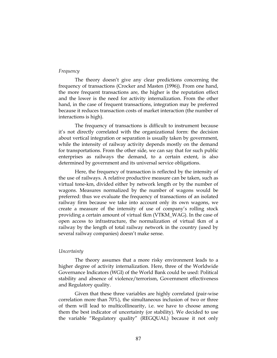### Frequency

The theory doesn't give any clear predictions concerning the frequency of transactions (Crocker and Masten (1996)). From one hand, the more frequent transactions are, the higher is the reputation effect and the lower is the need for activity internalization. From the other hand, in the case of frequent transactions, integration may be preferred because it reduces transaction costs of market interaction (the number of interactions is high).

The frequency of transactions is difficult to instrument because it's not directly correlated with the organizational form: the decision about vertical integration or separation is usually taken by government, while the intensity of railway activity depends mostly on the demand for transportations. From the other side, we can say that for such public enterprises as railways the demand, to a certain extent, is also determined by government and its universal service obligations.

Here, the frequency of transaction is reflected by the intensity of the use of railways. A relative productive measure can be taken, such as virtual tone-km, divided either by network length or by the number of wagons. Measures normalized by the number of wagons would be preferred: thus we evaluate the frequency of transactions of an isolated railway firm because we take into account only its own wagons, we create a measure of the intensity of use of company's rolling stock providing a certain amount of virtual tkm (VTKM\_WAG). In the case of open access to infrastructure, the normalization of virtual tkm of a railway by the length of total railway network in the country (used by several railway companies) doesn't make sense.

#### **Uncertainty**

The theory assumes that a more risky environment leads to a higher degree of activity internalization. Here, three of the Worldwide Governance Indicators (WGI) of the World Bank could be used: Political stability and absence of violence/terrorism, Government effectiveness and Regulatory quality.

Given that these three variables are highly correlated (pair-wise correlation more than 70%), the simultaneous inclusion of two or three of them will lead to multicollinearity, i.e. we have to choose among them the best indicator of uncertainty (or stability). We decided to use the variable "Regulatory quality" (REGQUAL) because it not only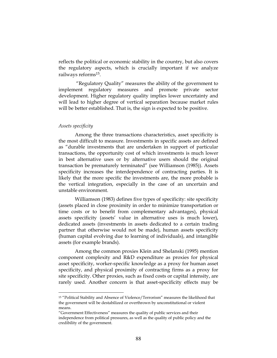reflects the political or economic stability in the country, but also covers the regulatory aspects, which is crucially important if we analyze railways reforms15.

 "Regulatory Quality" measures the ability of the government to implement regulatory measures and promote private sector development. Higher regulatory quality implies lower uncertainty and will lead to higher degree of vertical separation because market rules will be better established. That is, the sign is expected to be positive.

#### Assets specificity

<u>.</u>

Among the three transactions characteristics, asset specificity is the most difficult to measure. Investments in specific assets are defined as "durable investments that are undertaken in support of particular transactions, the opportunity cost of which investments is much lower in best alternative uses or by alternative users should the original transaction be prematurely terminated" (see Williamson (1985)). Assets specificity increases the interdependence of contracting parties. It is likely that the more specific the investments are, the more probable is the vertical integration, especially in the case of an uncertain and unstable environment.

Williamson (1983) defines five types of specificity: site specificity (assets placed in close proximity in order to minimize transportation or time costs or to benefit from complementary advantages), physical assets specificity (assets' value in alternative uses is much lower), dedicated assets (investments in assets dedicated to a certain trading partner that otherwise would not be made), human assets specificity (human capital evolving due to learning of individuals), and intangible assets (for example brands).

Among the common proxies Klein and Shelanski (1995) mention component complexity and R&D expenditure as proxies for physical asset specificity, worker-specific knowledge as a proxy for human asset specificity, and physical proximity of contracting firms as a proxy for site specificity. Other proxies, such as fixed costs or capital intensity, are rarely used. Another concern is that asset-specificity effects may be

<sup>15</sup> "Political Stability and Absence of Violence/Terrorism" measures the likelihood that the government will be destabilized or overthrown by unconstitutional or violent means.

<sup>&</sup>quot;Government Effectiveness" measures the quality of public services and their independence from political pressures, as well as the quality of public policy and the credibility of the government.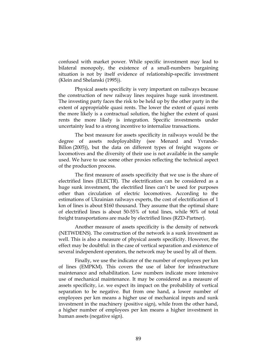confused with market power. While specific investment may lead to bilateral monopoly, the existence of a small-numbers bargaining situation is not by itself evidence of relationship-specific investment (Klein and Shelanski (1995)).

Physical assets specificity is very important on railways because the construction of new railway lines requires huge sunk investment. The investing party faces the risk to be held up by the other party in the extent of appropriable quasi rents. The lower the extent of quasi rents the more likely is a contractual solution, the higher the extent of quasi rents the more likely is integration. Specific investments under uncertainty lead to a strong incentive to internalize transactions.

The best measure for assets specificity in railways would be the degree of assets redeployability (see Menard and Yvrande-Billon (2005)), but the data on different types of freight wagons or locomotives and the diversity of their use is not available in the sample used. We have to use some other proxies reflecting the technical aspect of the production process.

The first measure of assets specificity that we use is the share of electrified lines (ELECTR). The electrification can be considered as a huge sunk investment, the electrified lines can't be used for purposes other than circulation of electric locomotives. According to the estimations of Ukrainian railways experts, the cost of electrification of 1 km of lines is about \$160 thousand. They assume that the optimal share of electrified lines is about 50-55% of total lines, while 90% of total freight transportations are made by electrified lines (RZD-Partner).

Another measure of assets specificity is the density of network (NETWDENS). The construction of the network is a sunk investment as well. This is also a measure of physical assets specificity. However, the effect may be doubtful: in the case of vertical separation and existence of several independent operators, the network may be used by all of them.

Finally, we use the indicator of the number of employees per km of lines (EMPKM). This covers the use of labor for infrastructure maintenance and rehabilitation. Low numbers indicate more intensive use of mechanical maintenance. It may be considered as a measure of assets specificity, i.e. we expect its impact on the probability of vertical separation to be negative. But from one hand, a lower number of employees per km means a higher use of mechanical inputs and sunk investment in the machinery (positive sign), while from the other hand, a higher number of employees per km means a higher investment in human assets (negative sign).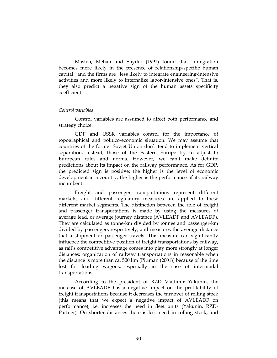Masten, Mehan and Snyder (1991) found that "integration becomes more likely in the presence of relationship-specific human capital" and the firms are "less likely to integrate engineering-intensive activities and more likely to internalize labor-intensive ones". That is, they also predict a negative sign of the human assets specificity coefficient.

### Control variables

Control variables are assumed to affect both performance and strategy choice.

GDP and USSR variables control for the importance of topographical and politico-economic situation. We may assume that countries of the former Soviet Union don't tend to implement vertical separation, instead, those of the Eastern Europe try to adjust to European rules and norms. However, we can't make definite predictions about its impact on the railway performance. As for GDP, the predicted sign is positive: the higher is the level of economic development in a country, the higher is the performance of its railway incumbent.

Freight and passenger transportations represent different markets, and different regulatory measures are applied to these different market segments. The distinction between the role of freight and passenger transportations is made by using the measures of average lead, or average journey distance (AVLEADF and AVLEADP). They are calculated as tonne-km divided by tonnes and passenger-km divided by passengers respectively, and measures the average distance that a shipment or passenger travels. This measure can significantly influence the competitive position of freight transportations by railway, as rail's competitive advantage comes into play more strongly at longer distances: organization of railway transportations in reasonable when the distance is more than ca. 500 km (Pittman (2001)) because of the time lost for loading wagons, especially in the case of intermodal transportations.

According to the president of RZD Vladimir Yakunin, the increase of AVLEADF has a negative impact on the profitability of freight transportations because it decreases the turnover of rolling stock (this means that we expect a negative impact of AVLEADF on performance), i.e. increases the need in fleet units (Yakunin, RZD-Partner). On shorter distances there is less need in rolling stock, and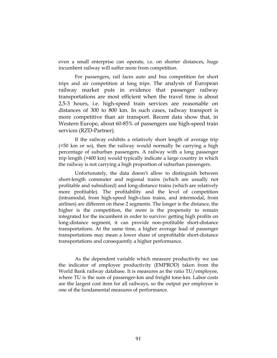even a small enterprise can operate, i.e. on shorter distances, huge incumbent railway will suffer more from competition.

For passengers, rail faces auto and bus competition for short trips and air competition at long trips. The analysis of European railway market puts in evidence that passenger railway transportations are most efficient when the travel time is about 2,5-3 hours, i.e. high-speed train services are reasonable on distances of 300 to 800 km. In such cases, railway transport is more competitive than air transport. Recent data show that, in Western Europe, about 60-85% of passengers use high-speed train services (RZD-Partner).

If the railway exhibits a relatively short length of average trip (<50 km or so), then the railway would normally be carrying a high percentage of suburban passengers. A railway with a long passenger trip length (>400 km) would typically indicate a large country in which the railway is not carrying a high proportion of suburban passengers.

Unfortunately, the data doesn't allow to distinguish between short-length commuter and regional trains (which are usually not profitable and subsidized) and long-distance trains (which are relatively more profitable). The profitability and the level of competition (intramodal, from high-speed high-class trains, and intermodal, from airlines) are different on these 2 segments. The longer is the distance, the higher is the competition, the more is the propensity to remain integrated for the incumbent in order to survive: getting high profits on long-distance segment, it can provide non-profitable short-distance transportations. At the same time, a higher average lead of passenger transportations may mean a lower share of unprofitable short-distance transportations and consequently a higher performance.

As the dependent variable which measure productivity we use the indicator of employee productivity (EMPROD) taken from the World Bank railway database. It is measures as the ratio TU/employee, where TU is the sum of passenger-km and freight tone-km. Labor costs are the largest cost item for all railways, so the output per employee is one of the fundamental measures of performance.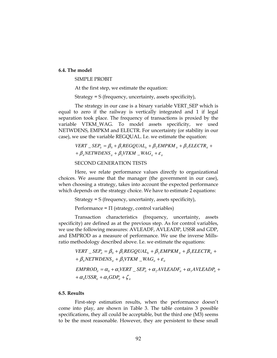#### 6.4. The model

SIMPLE PROBIT

At the first step, we estimate the equation:

Strategy = S (frequency, uncertainty, assets specificity),

The strategy in our case is a binary variable VERT\_SEP which is equal to zero if the railway is vertically integrated and 1 if legal separation took place. The frequency of transactions is proxied by the variable VTKM\_WAG. To model assets specificity, we used NETWDENS, EMPKM and ELECTR. For uncertainty (or stability in our case), we use the variable REGQUAL. I.e. we estimate the equation:

> $+ \beta_4$ NETWDENS<sub>it</sub></sub> +  $\beta_5$ VTKM  $\_{WAG_{it}} + \varepsilon_{it}$  $VERT \_\textit{S} \_\textit{E} = \beta_0 + \beta_1 REGQUAL_{it} + \beta_2 EMPKM_{it} + \beta_3 ELECTR_{it} +$

### SECOND GENERATION TESTS

Here, we relate performance values directly to organizational choices. We assume that the manager (the government in our case), when choosing a strategy, takes into account the expected performance which depends on the strategy choice. We have to estimate 2 equations:

Strategy = S (frequency, uncertainty, assets specificity),

Performance =  $\Pi$  (strategy, control variables)

Transaction characteristics (frequency, uncertainty, assets specificity) are defined as at the previous step. As for control variables, we use the following measures: AVLEADF, AVLEADP, USSR and GDP, and EMPROD as a measure of performance. We use the inverse Millsratio methodology described above. I.e. we estimate the equations:

> $+$   $\beta_{\scriptscriptstyle{4}}$ NETWDENS<sub>it</sub></sub> +  $\beta_{\scriptscriptstyle{5}}$ VTKM  $\_$ WAG<sub>it</sub> +  $\varepsilon_{\scriptscriptstyle{ii}}$  $VERT \_\textit{S} \_\textit{E} = \beta_0 + \beta_1 REGQUAL_{it} + \beta_2 EMPKM_{it} + \beta_3 ELECTR_{it} +$  $+\alpha_4 USSR_{it} + \alpha_5 GDP_{it} + \zeta_{it}$  $EMPROD_{ii} = \alpha_0 + \alpha_1 VERT \, _\textit{SEP}_{ii} + \alpha_2 AVLEADF_{ii} + \alpha_3 AVLEADP_{ii} + \alpha_4 VLEADF_{ii} + \alpha_5 VLEADF_{ii} + \alpha_6 VLEADF_{ii} + \alpha_7 VLEADF_{ii} + \alpha_8 VLEADF_{ii} + \alpha_9 VLEADF_{ii} + \alpha_9 VLEADF_{ii} + \alpha_9 VLEADF_{ii} + \alpha_9 VLEADF_{ii} + \alpha_9 VLEADF_{ii} + \alpha_9 VLEADF_{ii} + \alpha_9 VLEADF_{ii} + \alpha_9 VLEADF_{ii} + \alpha_9 VLEADF_{$

### 6.5. Results

First-step estimation results, when the performance doesn't come into play, are shown in Table 3. The table contains 3 possible specifications, they all could be acceptable, but the third one (M3) seems to be the most reasonable. However, they are persistent to these small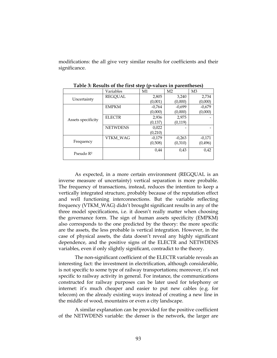modifications: the all give very similar results for coefficients and their significance.

|                       | Variables       | M1       | M <sub>2</sub> | M <sub>3</sub> |
|-----------------------|-----------------|----------|----------------|----------------|
| Uncertainty           | <b>REGOUAL</b>  | 2,805    | 3,240          | 2,734          |
|                       |                 | (0,001)  | (0,000)        | (0,000)        |
|                       | <b>EMPKM</b>    | $-0,764$ | $-0.699$       | $-0.679$       |
|                       |                 | (0,000)  | (0.000)        | (0,000)        |
| Assets specificity    | <b>ELECTR</b>   | 2,936    | 2,975          |                |
|                       |                 | (0, 137) | (0, 119)       |                |
|                       | <b>NETWDENS</b> | 0,022    |                |                |
|                       |                 | (0, 210) |                |                |
|                       | <b>VTKM WAG</b> | $-0,179$ | $-0,263$       | $-0.171$       |
| Frequency             |                 | (0,508)  | (0,310)        | (0,496)        |
| Pseudo R <sup>2</sup> |                 | 0.44     | 0.43           | 0.42           |

Table 3: Results of the first step (p-values in parentheses)

As expected, in a more certain environment (REGQUAL is an inverse measure of uncertainty) vertical separation is more probable. The frequency of transactions, instead, reduces the intention to keep a vertically integrated structure, probably because of the reputation effect and well functioning interconnections. But the variable reflecting frequency (VTKM\_WAG) didn't brought significant results in any of the three model specifications, i.e. it doesn't really matter when choosing the governance form. The sign of human assets specificity (EMPKM) also corresponds to the one predicted by the theory: the more specific are the assets, the less probable is vertical integration. However, in the case of physical assets, the data doesn't reveal any highly significant dependence, and the positive signs of the ELECTR and NETWDENS variables, even if only slightly significant, contradict to the theory.

The non-significant coefficient of the ELECTR variable reveals an interesting fact: the investment in electrification, although considerable, is not specific to some type of railway transportations; moreover, it's not specific to railway activity in general. For instance, the communications constructed for railway purposes can be later used for telephony or internet: it's much cheaper and easier to put new cables (e.g. for telecom) on the already existing ways instead of creating a new line in the middle of wood, mountains or even a city landscape.

A similar explanation can be provided for the positive coefficient of the NETWDENS variable: the denser is the network, the larger are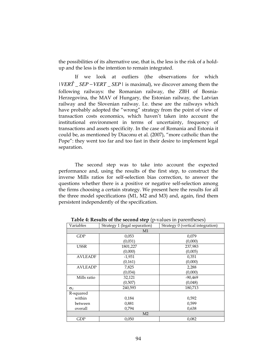the possibilities of its alternative use, that is, the less is the risk of a holdup and the less is the intention to remain integrated.

If we look at outliers (the observations for which  $|VER\hat{T}$  *\_SEP* – *VERT \_SEP* | is maximal), we discover among them the following railways: the Romanian railway, the ZBH of Bosnia-Herzegovina, the MAV of Hungary, the Estonian railway, the Latvian railway and the Slovenian railway. I.e. these are the railways which have probably adopted the "wrong" strategy from the point of view of transaction costs economics, which haven't taken into account the institutional environment in terms of uncertainty, frequency of transactions and assets specificity. In the case of Romania and Estonia it could be, as mentioned by Diaconu et al. (2007), "more catholic than the Pope": they went too far and too fast in their desire to implement legal separation.

The second step was to take into account the expected performance and, using the results of the first step, to construct the inverse Mills ratios for self-selection bias correction, to answer the questions whether there is a positive or negative self-selection among the firms choosing a certain strategy. We present here the results for all the three model specifications (M1, M2 and M3) and, again, find them persistent independently of the specification.

| Variables      | Strategy 1 (legal separation) | Strategy 0 (vertical integration) |  |  |
|----------------|-------------------------------|-----------------------------------|--|--|
| M1             |                               |                                   |  |  |
| <b>GDP</b>     | 0,053                         | 0,079                             |  |  |
|                | (0,031)                       | (0,000)                           |  |  |
| <b>USSR</b>    | 1801,227                      | 237,983                           |  |  |
|                | (0,000)                       | (0,005)                           |  |  |
| <b>AVLEADF</b> | $-1,931$                      | 0,351                             |  |  |
|                | (0, 161)                      | (0,000)                           |  |  |
| <b>AVLEADP</b> | 7,825                         | 2,288                             |  |  |
|                | (0,034)                       | (0,000)                           |  |  |
| Mills ratio    | 32,121                        | $-90,469$                         |  |  |
|                | (0,507)                       | (0,048)                           |  |  |
| $\sigma_U$     | 240,593                       | 180,713                           |  |  |
| R-squared      |                               |                                   |  |  |
| within         | 0,184                         | 0,592                             |  |  |
| between        | 0,881                         | 0,599                             |  |  |
| overall        | 0,794                         | 0,638                             |  |  |
| M <sub>2</sub> |                               |                                   |  |  |
| <b>GDP</b>     | 0,050                         | 0,082                             |  |  |

Table 4: Results of the second step (p-values in parentheses)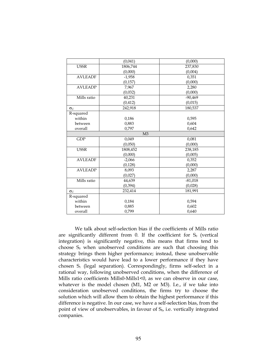|                       | (0,041)        | (0,000)   |
|-----------------------|----------------|-----------|
| <b>USSR</b>           | 1806,744       | 237,830   |
|                       | (0,000)        | (0,004)   |
| <b>AVLEADF</b>        | $-1,958$       | 0,351     |
|                       | (0, 157)       | (0,000)   |
| <b>AVLEADP</b>        | 7,967          | 2,280     |
|                       | (0,032)        | (0,000)   |
| Mills ratio           | 40,231         | $-90,469$ |
|                       | (0.412)        | (0,015)   |
| $\sigma_U$            | 242,918        | 180,537   |
| R-squared             |                |           |
| within                | 0,186          | 0,595     |
| between               | 0,883          | 0,604     |
| overall               | 0,797          | 0,642     |
|                       | M <sub>3</sub> |           |
| <b>GDP</b>            | 0,049          | 0,081     |
|                       | (0,050)        | (0,000)   |
| <b>USSR</b>           | 1808,452       | 238,185   |
|                       | (0,000)        | (0,005)   |
| <b>AVLEADF</b>        | $-2,066$       | 0,352     |
|                       | (0, 128)       | (0,000)   |
| <b>AVLEADP</b>        | 8,093          | 2,287     |
|                       | (0,027)        | (0,000)   |
| Mills ratio           | 44,639         | $-81,018$ |
|                       | (0, 394)       | (0,028)   |
| $\sigma_{\mathrm{U}}$ | 232,414        | 181,991   |
| R-squared             |                |           |
| within                | 0,184          | 0,594     |
| between               | 0,885          | 0,602     |
| overall               | 0,799          | 0,640     |

We talk about self-selection bias if the coefficients of Mills ratio are significantly different from 0. If the coefficient for  $S_0$  (vertical integration) is significantly negative, this means that firms tend to choose  $S_0$  when unobserved conditions are such that choosing this strategy brings them higher performance; instead, these unobservable characteristics would have lead to a lower performance if they have chosen  $S_1$  (legal separation). Correspondingly, firms self-select in a rational way, following unobserved conditions, when the difference of Mills ratio coefficients Mills0-Mills1<0, as we can observe in our case, whatever is the model chosen (M1, M2 or M3). I.e., if we take into consideration unobserved conditions, the firms try to choose the solution which will allow them to obtain the highest performance if this difference is negative. In our case, we have a self-selection bias, from the point of view of unobservables, in favour of  $S_0$ , i.e. vertically integrated companies.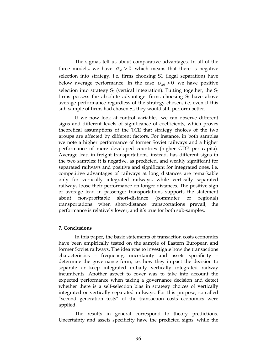The sigmas tell us about comparative advantages. In all of the three models, we have  $\sigma_{u1} > 0$  which means that there is negative selection into strategy, i.e. firms choosing S1 (legal separation) have below average performance. In the case  $\sigma_{u0} > 0$  we have positive selection into strategy  $S_0$  (vertical integration). Putting together, the  $S_0$ firms possess the absolute advantage: firms choosing  $S_0$  have above average performance regardless of the strategy chosen, i.e. even if this sub-sample of firms had chosen  $S<sub>1</sub>$ , they would still perform better.

If we now look at control variables, we can observe different signs and different levels of significance of coefficients, which proves theoretical assumptions of the TCE that strategy choices of the two groups are affected by different factors. For instance, in both samples we note a higher performance of former Soviet railways and a higher performance of more developed countries (higher GDP per capita). Average lead in freight transportations, instead, has different signs in the two samples: it is negative, as predicted, and weakly significant for separated railways and positive and significant for integrated ones, i.e. competitive advantages of railways at long distances are remarkable only for vertically integrated railways, while vertically separated railways loose their performance on longer distances. The positive sign of average lead in passenger transportations supports the statement about non-profitable short-distance (commuter or regional) transportations: when short-distance transportations prevail, the performance is relatively lower, and it's true for both sub-samples.

### 7. Conclusions

In this paper, the basic statements of transaction costs economics have been empirically tested on the sample of Eastern European and former Soviet railways. The idea was to investigate how the transactions characteristics – frequency, uncertainty and assets specificity – determine the governance form, i.e. how they impact the decision to separate or keep integrated initially vertically integrated railway incumbents. Another aspect to cover was to take into account the expected performance when taking a governance decision and detect whether there is a self-selection bias in strategy choices of vertically integrated or vertically separated railways. For this purpose, so called "second generation tests" of the transaction costs economics were applied.

The results in general correspond to theory predictions. Uncertainty and assets specificity have the predicted signs, while the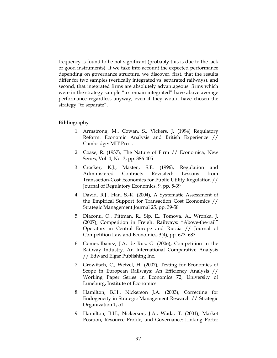frequency is found to be not significant (probably this is due to the lack of good instruments). If we take into account the expected performance depending on governance structure, we discover, first, that the results differ for two samples (vertically integrated vs. separated railways), and second, that integrated firms are absolutely advantageous: firms which were in the strategy sample "to remain integrated" have above average performance regardless anyway, even if they would have chosen the strategy "to separate".

### Bibliography

- 1. Armstrong, M., Cowan, S., Vickers, J. (1994) Regulatory Reform: Economic Analysis and British Experience // Cambridge: MIT Press
- 2. Coase, R. (1937), The Nature of Firm // Economica, New Series, Vol. 4, No. 3, pp. 386-405
- 3. Crocker, K.J., Masten, S.E. (1996), Regulation and Administered Contracts Revisited: Lessons from Transaction-Cost Economics for Public Utility Regulation // Journal of Regulatory Economics, 9, pp. 5-39
- 4. David, R.J., Han, S.-K. (2004), A Systematic Assessment of the Empirical Support for Transaction Cost Economics // Strategic Management Journal 25, pp. 39-58
- 5. Diaconu, O., Pittman, R., Sip, E., Tomova, A., Wronka, J. (2007), Competition in Freight Railways: "Above-the-rail" Operators in Central Europe and Russia // Journal of Competition Law and Economics, 3(4), pp. 673–687
- 6. Gomez-Ibanez, J.A, de Rus, G. (2006), Competition in the Railway Industry. An International Comparative Analysis // Edward Elgar Publishing Inc.
- 7. Growitsch, C., Wetzel, H. (2007), Testing for Economies of Scope in European Railways: An Efficiency Analysis // Working Paper Series in Economics 72, University of Lüneburg, Institute of Economics
- 8. Hamilton, B.H., Nickerson J.A. (2003), Correcting for Endogeneity in Strategic Management Research // Strategic Organization 1, 51
- 9. Hamilton, B.H., Nickerson, J.A., Wada, T. (2001), Market Position, Resource Profile, and Governance: Linking Porter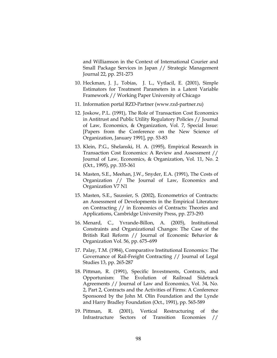and Williamson in the Context of International Courier and Small Package Services in Japan // Strategic Management Journal 22, pp. 251-273

- 10. Heckman, J. J., Tobias, J. L., Vytlacil, E. (2001), Simple Estimators for Treatment Parameters in a Latent Variable Framework // Working Paper University of Chicago
- 11. Information portal RZD-Partner (www.rzd-partner.ru)
- 12. Joskow, P.L. (1991), The Role of Transaction Cost Economics in Antitrust and Public Utility Regulatory Policies // Journal of Law, Economics, & Organization, Vol. 7, Special Issue: [Papers from the Conference on the New Science of Organization, January 1991], pp. 53-83
- 13. Klein, P.G., Shelanski, H. A. (1995), Empirical Research in Transaction Cost Economics: A Review and Assessment // Journal of Law, Economics, & Organization, Vol. 11, No. 2 (Oct., 1995), pp. 335-361
- 14. Masten, S.E., Meehan, J.W., Snyder, E.A. (1991), The Costs of Organization // The Journal of Law, Economics and Organization V7 N1
- 15. Masten, S.E., Saussier, S. (2002), Econometrics of Contracts: an Assessment of Developments in the Empirical Literature on Contracting // in Economics of Contracts: Theories and Applications, Cambridge University Press, pp. 273-293
- 16. Menard, C., Yvrande-Billon, A. (2005), Institutional Constraints and Organizational Changes: The Case of the British Rail Reform // Journal of Economic Behavior & Organization Vol. 56, pp. 675–699
- 17. Palay, T.M. (1984), Comparative Institutional Economics: The Governance of Rail-Freight Contracting // Journal of Legal Studies 13, pp. 265-287
- 18. Pittman, R. (1991), Specific Investments, Contracts, and Opportunism: The Evolution of Railroad Sidetrack Agreements // Journal of Law and Economics, Vol. 34, No. 2, Part 2, Contracts and the Activities of Firms: A Conference Sponsored by the John M. Olin Foundation and the Lynde and Harry Bradley Foundation (Oct., 1991), pp. 565-589
- 19. Pittman, R. (2001), Vertical Restructuring of the Infrastructure Sectors of Transition Economies //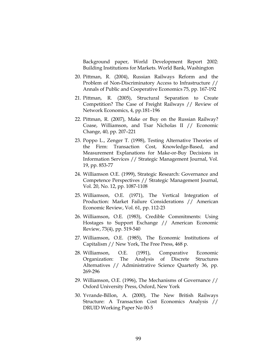Background paper, World Development Report 2002: Building Institutions for Markets. World Bank, Washington

- 20. Pittman, R. (2004), Russian Railways Reform and the Problem of Non-Discriminatory Access to Infrastructure // Annals of Public and Cooperative Economics 75, pp. 167-192
- 21. Pittman, R. (2005), Structural Separation to Create Competition? The Case of Freight Railways // Review of Network Economics, 4, pp.181–196
- 22. Pittman, R. (2007), Make or Buy on the Russian Railway? Coase, Williamson, and Tsar Nicholas II // Economic Change, 40, pp. 207–221
- 23. Poppo L., Zenger T. (1998), Testing Alternative Theories of the Firm: Transaction Cost, Knowledge-Based, and Measurement Explanations for Make-or-Buy Decisions in Information Services // Strategic Management Journal, Vol. 19, pp. 853-77
- 24. Williamson O.E. (1999), Strategic Research: Governance and Competence Perspectives // Strategic Management Journal, Vol. 20, No. 12, pp. 1087-1108
- 25. Williamson, O.E. (1971), The Vertical Integration of Production: Market Failure Considerations // American Economic Review, Vol. 61, pp. 112-23
- 26. Williamson, O.E. (1983), Credible Commitments: Using Hostages to Support Exchange // American Economic Review, 73(4), pp. 519-540
- 27. Williamson, O.E. (1985), The Economic Institutions of Capitalism // New York, The Free Press, 468 p.
- 28. Williamson, O.E. (1991), Comparative Economic Organization: The Analysis of Discrete Structures Alternatives // Administrative Science Quarterly 36, pp. 269-296
- 29. Williamson, O.E. (1996), The Mechanisms of Governance // Oxford University Press, Oxford, New York
- 30. Yvrande-Billon, A. (2000), The New British Railways Structure: A Transaction Cost Economics Analysis // DRUID Working Paper No 00-5